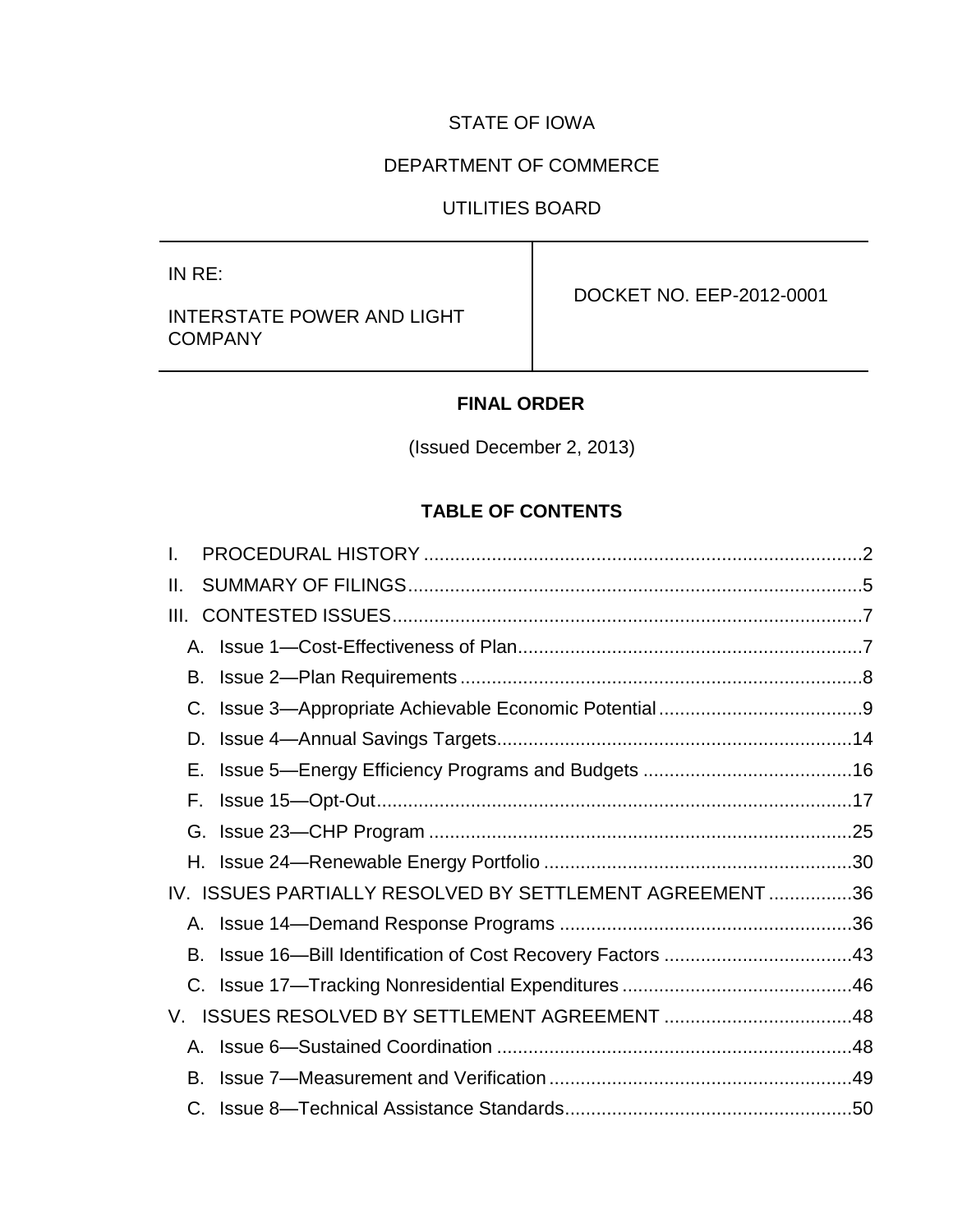# STATE OF IOWA

# DEPARTMENT OF COMMERCE

# UTILITIES BOARD

IN RE:

# INTERSTATE POWER AND LIGHT **COMPANY**

DOCKET NO. EEP-2012-0001

# **FINAL ORDER**

(Issued December 2, 2013)

# **TABLE OF CONTENTS**

| I. |                                                          |  |
|----|----------------------------------------------------------|--|
| Ш. |                                                          |  |
|    |                                                          |  |
|    |                                                          |  |
|    |                                                          |  |
|    |                                                          |  |
|    |                                                          |  |
| Е. |                                                          |  |
| F. |                                                          |  |
|    |                                                          |  |
|    |                                                          |  |
|    | IV. ISSUES PARTIALLY RESOLVED BY SETTLEMENT AGREEMENT 36 |  |
|    |                                                          |  |
|    |                                                          |  |
|    |                                                          |  |
|    |                                                          |  |
|    |                                                          |  |
|    |                                                          |  |
|    |                                                          |  |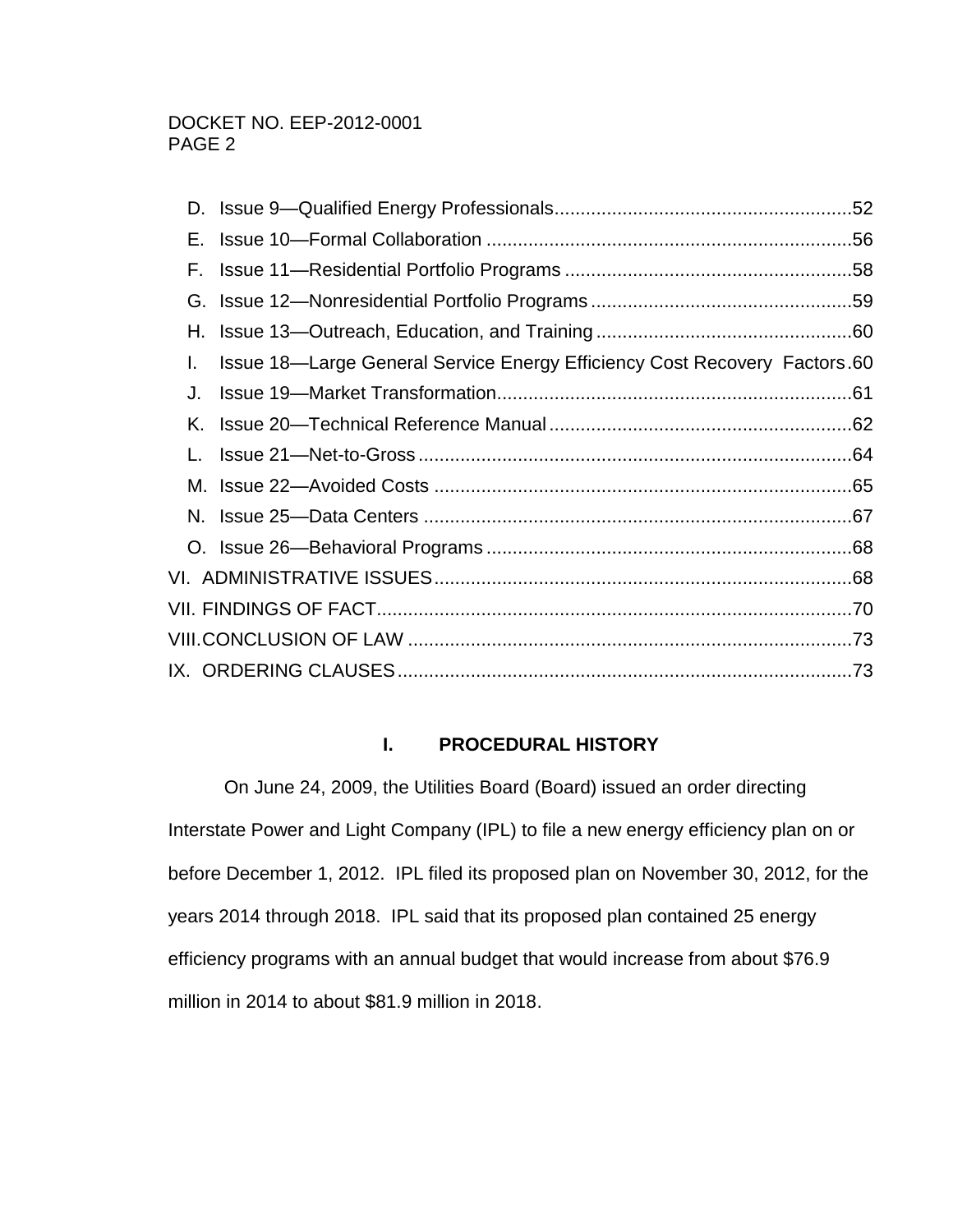| L. | Issue 18—Large General Service Energy Efficiency Cost Recovery Factors.60 |  |
|----|---------------------------------------------------------------------------|--|
| J. |                                                                           |  |
|    |                                                                           |  |
|    |                                                                           |  |
|    |                                                                           |  |
|    |                                                                           |  |
|    |                                                                           |  |
|    |                                                                           |  |
|    |                                                                           |  |
|    |                                                                           |  |
|    |                                                                           |  |
|    |                                                                           |  |

# **I. PROCEDURAL HISTORY**

<span id="page-1-0"></span>On June 24, 2009, the Utilities Board (Board) issued an order directing Interstate Power and Light Company (IPL) to file a new energy efficiency plan on or before December 1, 2012. IPL filed its proposed plan on November 30, 2012, for the years 2014 through 2018. IPL said that its proposed plan contained 25 energy efficiency programs with an annual budget that would increase from about \$76.9 million in 2014 to about \$81.9 million in 2018.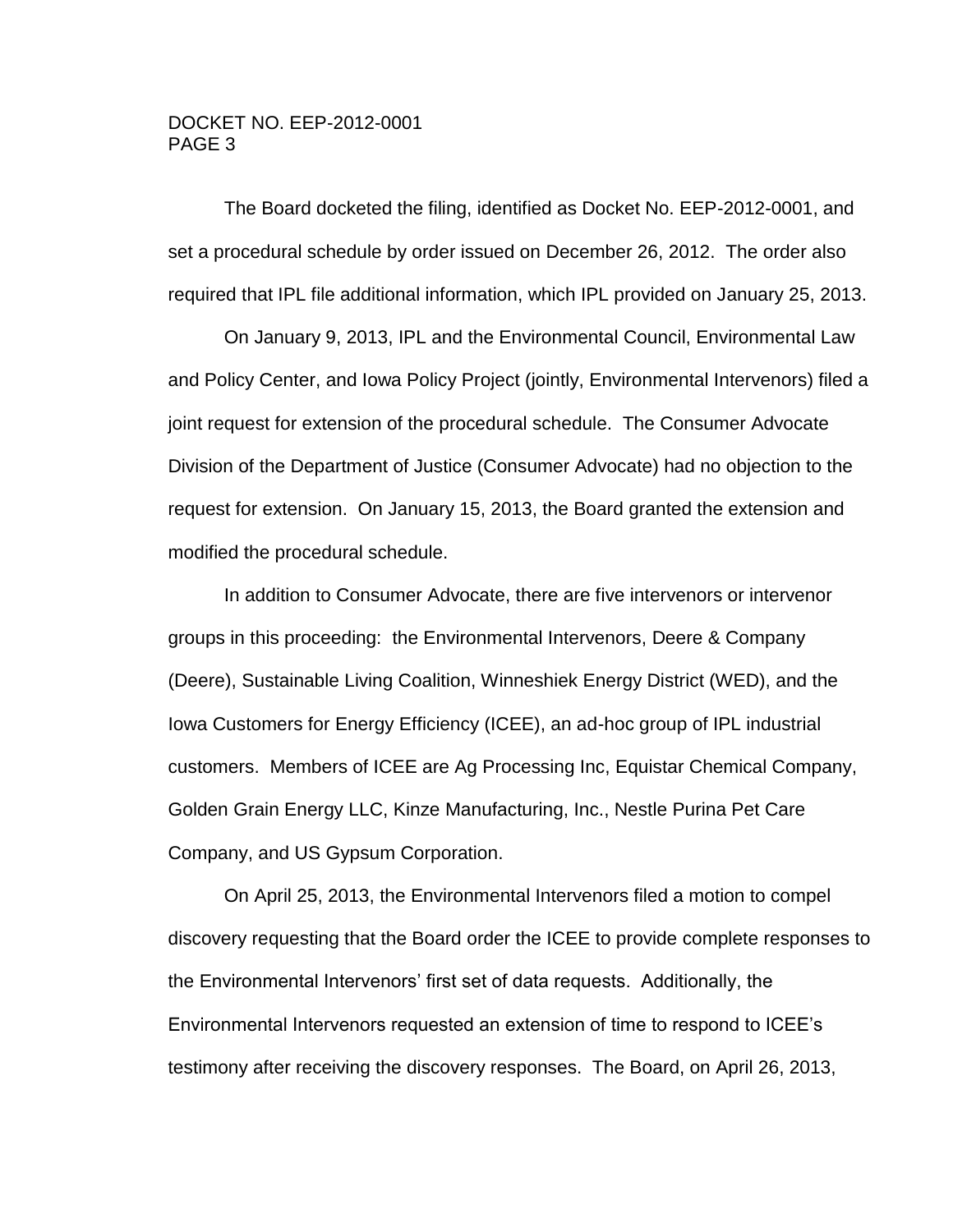The Board docketed the filing, identified as Docket No. EEP-2012-0001, and set a procedural schedule by order issued on December 26, 2012. The order also required that IPL file additional information, which IPL provided on January 25, 2013.

On January 9, 2013, IPL and the Environmental Council, Environmental Law and Policy Center, and Iowa Policy Project (jointly, Environmental Intervenors) filed a joint request for extension of the procedural schedule. The Consumer Advocate Division of the Department of Justice (Consumer Advocate) had no objection to the request for extension. On January 15, 2013, the Board granted the extension and modified the procedural schedule.

In addition to Consumer Advocate, there are five intervenors or intervenor groups in this proceeding: the Environmental Intervenors, Deere & Company (Deere), Sustainable Living Coalition, Winneshiek Energy District (WED), and the Iowa Customers for Energy Efficiency (ICEE), an ad-hoc group of IPL industrial customers. Members of ICEE are Ag Processing Inc, Equistar Chemical Company, Golden Grain Energy LLC, Kinze Manufacturing, Inc., Nestle Purina Pet Care Company, and US Gypsum Corporation.

On April 25, 2013, the Environmental Intervenors filed a motion to compel discovery requesting that the Board order the ICEE to provide complete responses to the Environmental Intervenors' first set of data requests. Additionally, the Environmental Intervenors requested an extension of time to respond to ICEE's testimony after receiving the discovery responses. The Board, on April 26, 2013,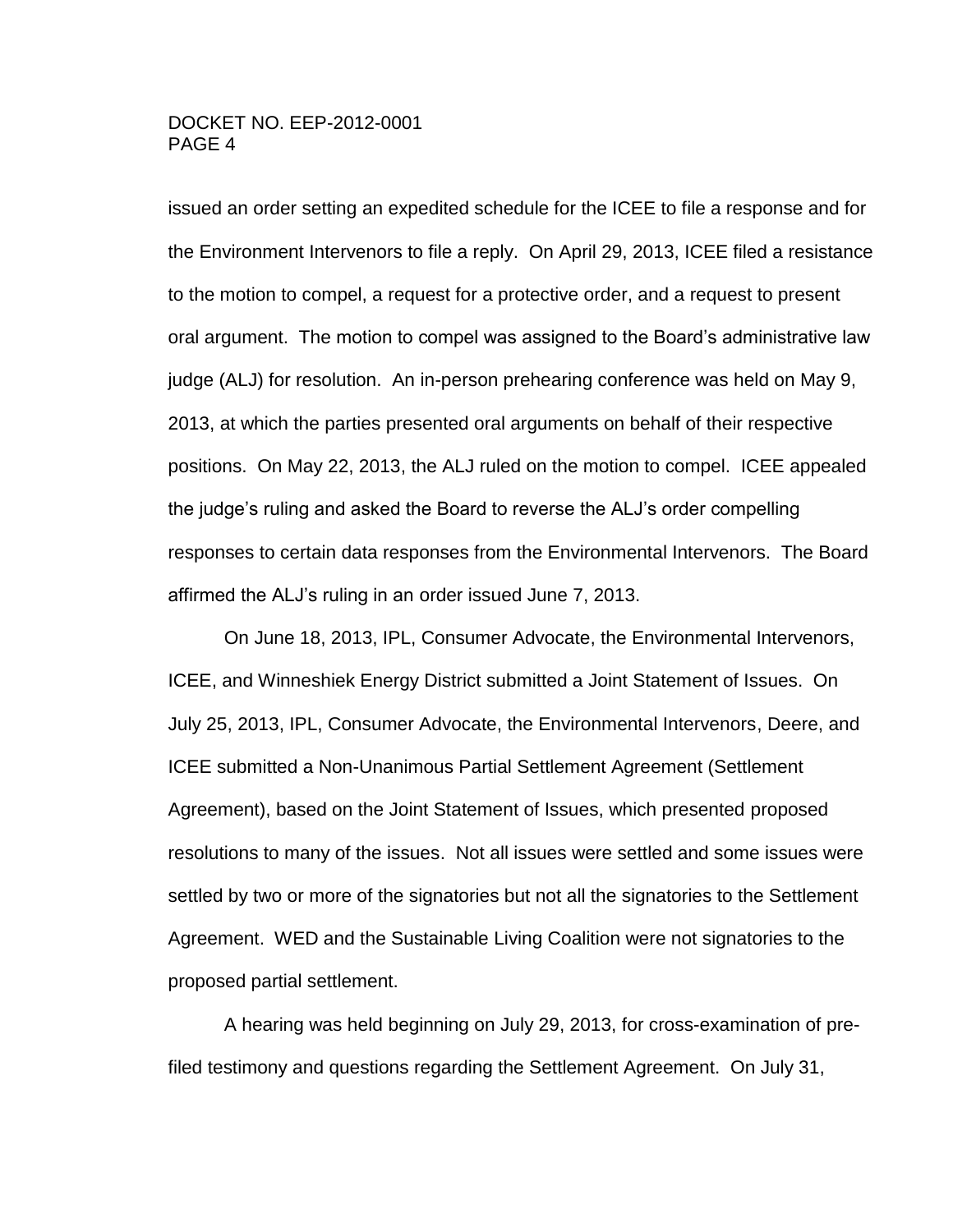issued an order setting an expedited schedule for the ICEE to file a response and for the Environment Intervenors to file a reply. On April 29, 2013, ICEE filed a resistance to the motion to compel, a request for a protective order, and a request to present oral argument. The motion to compel was assigned to the Board's administrative law judge (ALJ) for resolution. An in-person prehearing conference was held on May 9, 2013, at which the parties presented oral arguments on behalf of their respective positions. On May 22, 2013, the ALJ ruled on the motion to compel. ICEE appealed the judge's ruling and asked the Board to reverse the ALJ's order compelling responses to certain data responses from the Environmental Intervenors. The Board affirmed the ALJ's ruling in an order issued June 7, 2013.

On June 18, 2013, IPL, Consumer Advocate, the Environmental Intervenors, ICEE, and Winneshiek Energy District submitted a Joint Statement of Issues. On July 25, 2013, IPL, Consumer Advocate, the Environmental Intervenors, Deere, and ICEE submitted a Non-Unanimous Partial Settlement Agreement (Settlement Agreement), based on the Joint Statement of Issues, which presented proposed resolutions to many of the issues. Not all issues were settled and some issues were settled by two or more of the signatories but not all the signatories to the Settlement Agreement. WED and the Sustainable Living Coalition were not signatories to the proposed partial settlement.

A hearing was held beginning on July 29, 2013, for cross-examination of prefiled testimony and questions regarding the Settlement Agreement. On July 31,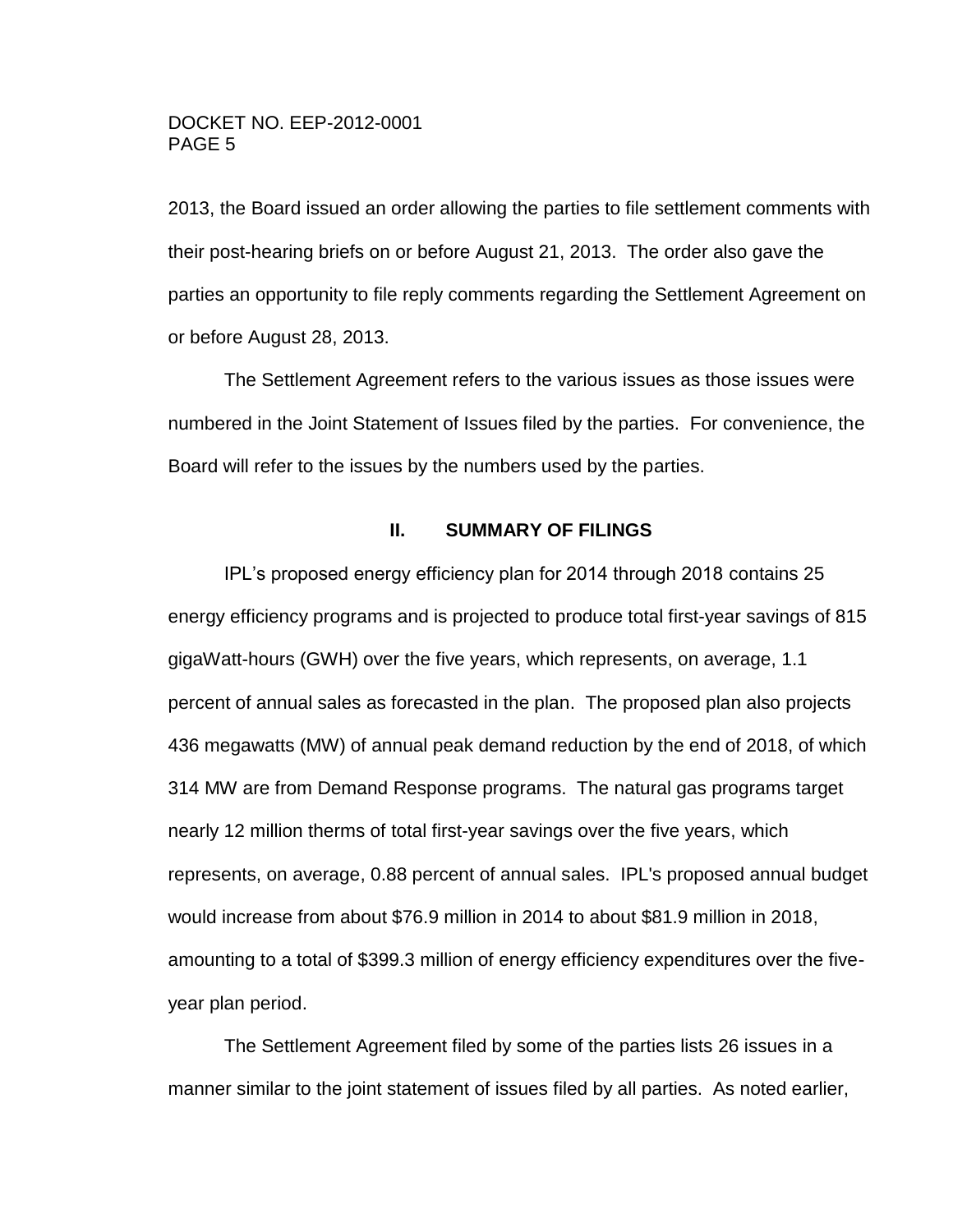2013, the Board issued an order allowing the parties to file settlement comments with their post-hearing briefs on or before August 21, 2013. The order also gave the parties an opportunity to file reply comments regarding the Settlement Agreement on or before August 28, 2013.

The Settlement Agreement refers to the various issues as those issues were numbered in the Joint Statement of Issues filed by the parties. For convenience, the Board will refer to the issues by the numbers used by the parties.

#### **II. SUMMARY OF FILINGS**

<span id="page-4-0"></span>IPL's proposed energy efficiency plan for 2014 through 2018 contains 25 energy efficiency programs and is projected to produce total first-year savings of 815 gigaWatt-hours (GWH) over the five years, which represents, on average, 1.1 percent of annual sales as forecasted in the plan. The proposed plan also projects 436 megawatts (MW) of annual peak demand reduction by the end of 2018, of which 314 MW are from Demand Response programs. The natural gas programs target nearly 12 million therms of total first-year savings over the five years, which represents, on average, 0.88 percent of annual sales. IPL's proposed annual budget would increase from about \$76.9 million in 2014 to about \$81.9 million in 2018, amounting to a total of \$399.3 million of energy efficiency expenditures over the fiveyear plan period.

The Settlement Agreement filed by some of the parties lists 26 issues in a manner similar to the joint statement of issues filed by all parties. As noted earlier,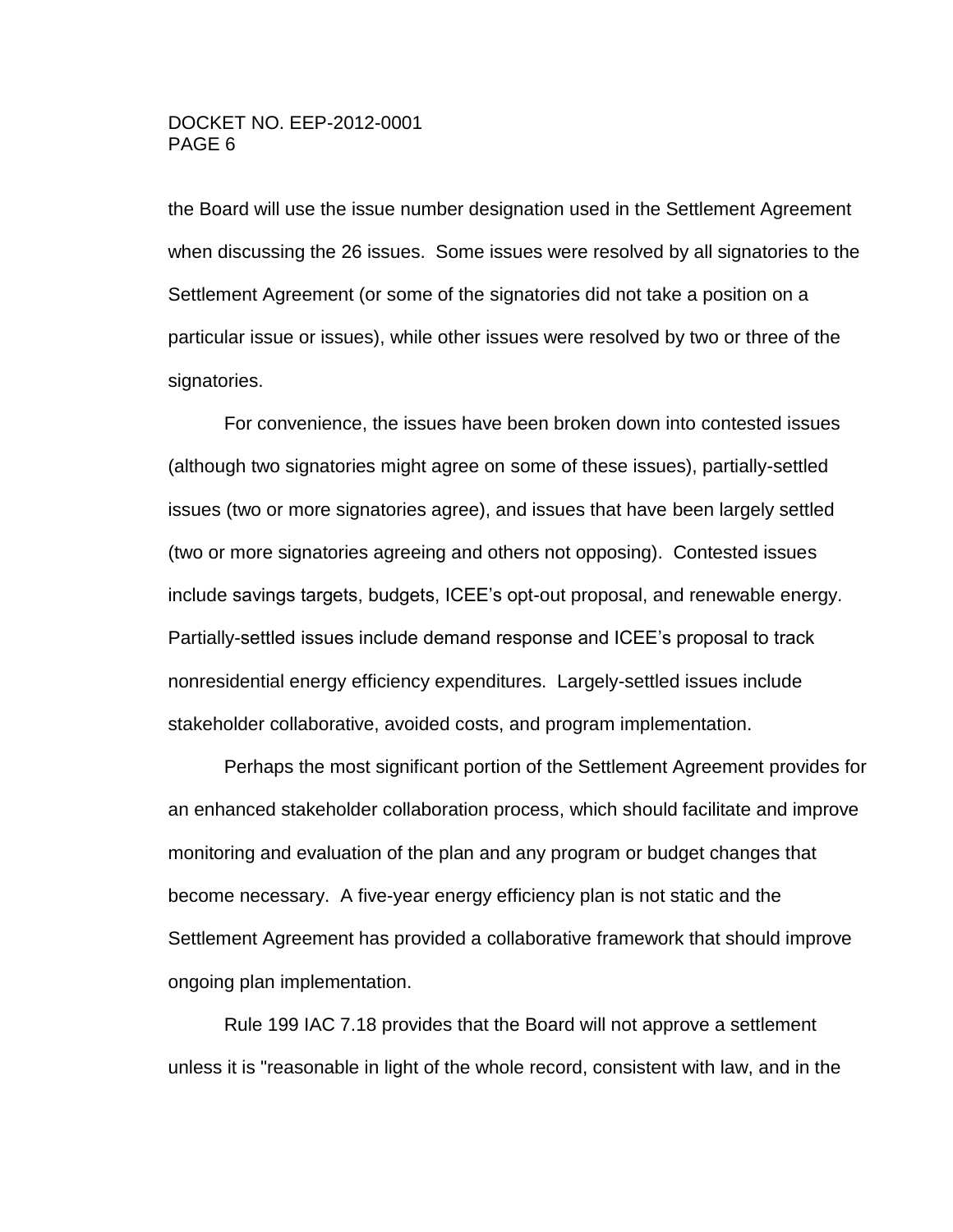the Board will use the issue number designation used in the Settlement Agreement when discussing the 26 issues. Some issues were resolved by all signatories to the Settlement Agreement (or some of the signatories did not take a position on a particular issue or issues), while other issues were resolved by two or three of the signatories.

For convenience, the issues have been broken down into contested issues (although two signatories might agree on some of these issues), partially-settled issues (two or more signatories agree), and issues that have been largely settled (two or more signatories agreeing and others not opposing). Contested issues include savings targets, budgets, ICEE's opt-out proposal, and renewable energy. Partially-settled issues include demand response and ICEE's proposal to track nonresidential energy efficiency expenditures. Largely-settled issues include stakeholder collaborative, avoided costs, and program implementation.

Perhaps the most significant portion of the Settlement Agreement provides for an enhanced stakeholder collaboration process, which should facilitate and improve monitoring and evaluation of the plan and any program or budget changes that become necessary. A five-year energy efficiency plan is not static and the Settlement Agreement has provided a collaborative framework that should improve ongoing plan implementation.

Rule 199 IAC 7.18 provides that the Board will not approve a settlement unless it is "reasonable in light of the whole record, consistent with law, and in the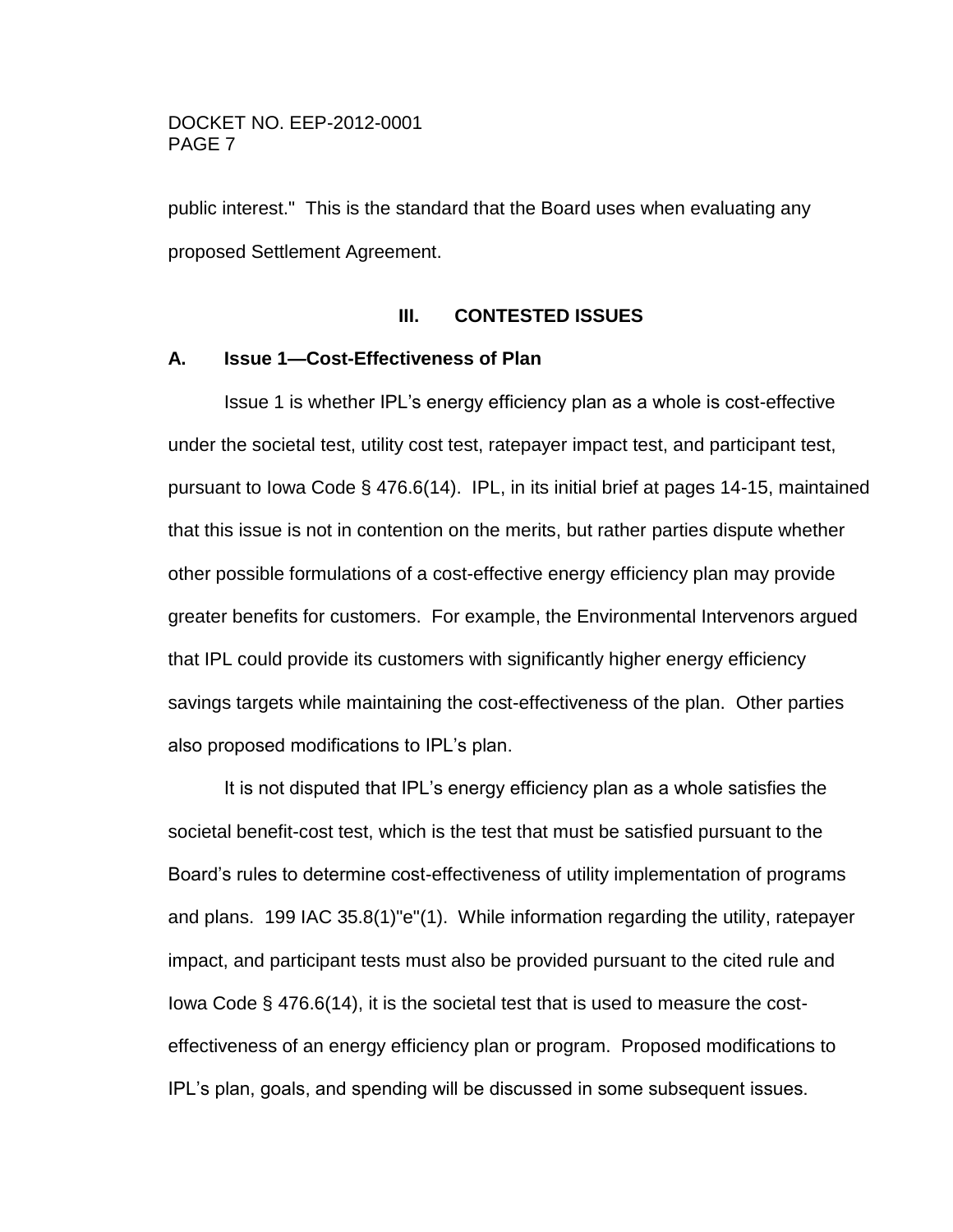public interest." This is the standard that the Board uses when evaluating any proposed Settlement Agreement.

#### **III. CONTESTED ISSUES**

#### <span id="page-6-1"></span><span id="page-6-0"></span>**A. Issue 1—Cost-Effectiveness of Plan**

Issue 1 is whether IPL's energy efficiency plan as a whole is cost-effective under the societal test, utility cost test, ratepayer impact test, and participant test, pursuant to Iowa Code § 476.6(14). IPL, in its initial brief at pages 14-15, maintained that this issue is not in contention on the merits, but rather parties dispute whether other possible formulations of a cost-effective energy efficiency plan may provide greater benefits for customers. For example, the Environmental Intervenors argued that IPL could provide its customers with significantly higher energy efficiency savings targets while maintaining the cost-effectiveness of the plan. Other parties also proposed modifications to IPL's plan.

It is not disputed that IPL's energy efficiency plan as a whole satisfies the societal benefit-cost test, which is the test that must be satisfied pursuant to the Board's rules to determine cost-effectiveness of utility implementation of programs and plans. 199 IAC 35.8(1)"e"(1). While information regarding the utility, ratepayer impact, and participant tests must also be provided pursuant to the cited rule and Iowa Code § 476.6(14), it is the societal test that is used to measure the costeffectiveness of an energy efficiency plan or program. Proposed modifications to IPL's plan, goals, and spending will be discussed in some subsequent issues.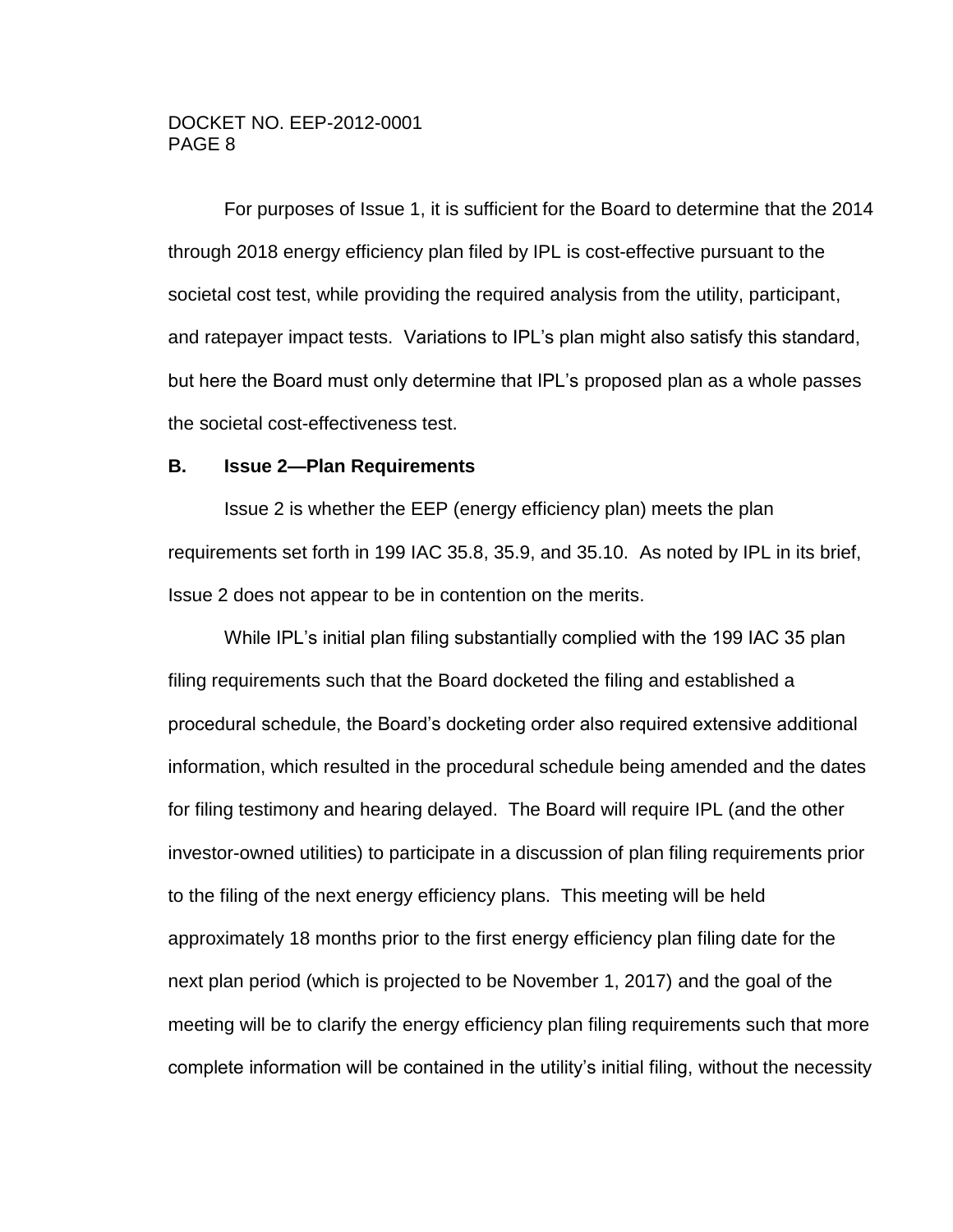For purposes of Issue 1, it is sufficient for the Board to determine that the 2014 through 2018 energy efficiency plan filed by IPL is cost-effective pursuant to the societal cost test, while providing the required analysis from the utility, participant, and ratepayer impact tests. Variations to IPL's plan might also satisfy this standard, but here the Board must only determine that IPL's proposed plan as a whole passes the societal cost-effectiveness test.

#### <span id="page-7-0"></span>**B. Issue 2—Plan Requirements**

Issue 2 is whether the EEP (energy efficiency plan) meets the plan requirements set forth in 199 IAC 35.8, 35.9, and 35.10. As noted by IPL in its brief, Issue 2 does not appear to be in contention on the merits.

While IPL's initial plan filing substantially complied with the 199 IAC 35 plan filing requirements such that the Board docketed the filing and established a procedural schedule, the Board's docketing order also required extensive additional information, which resulted in the procedural schedule being amended and the dates for filing testimony and hearing delayed. The Board will require IPL (and the other investor-owned utilities) to participate in a discussion of plan filing requirements prior to the filing of the next energy efficiency plans. This meeting will be held approximately 18 months prior to the first energy efficiency plan filing date for the next plan period (which is projected to be November 1, 2017) and the goal of the meeting will be to clarify the energy efficiency plan filing requirements such that more complete information will be contained in the utility's initial filing, without the necessity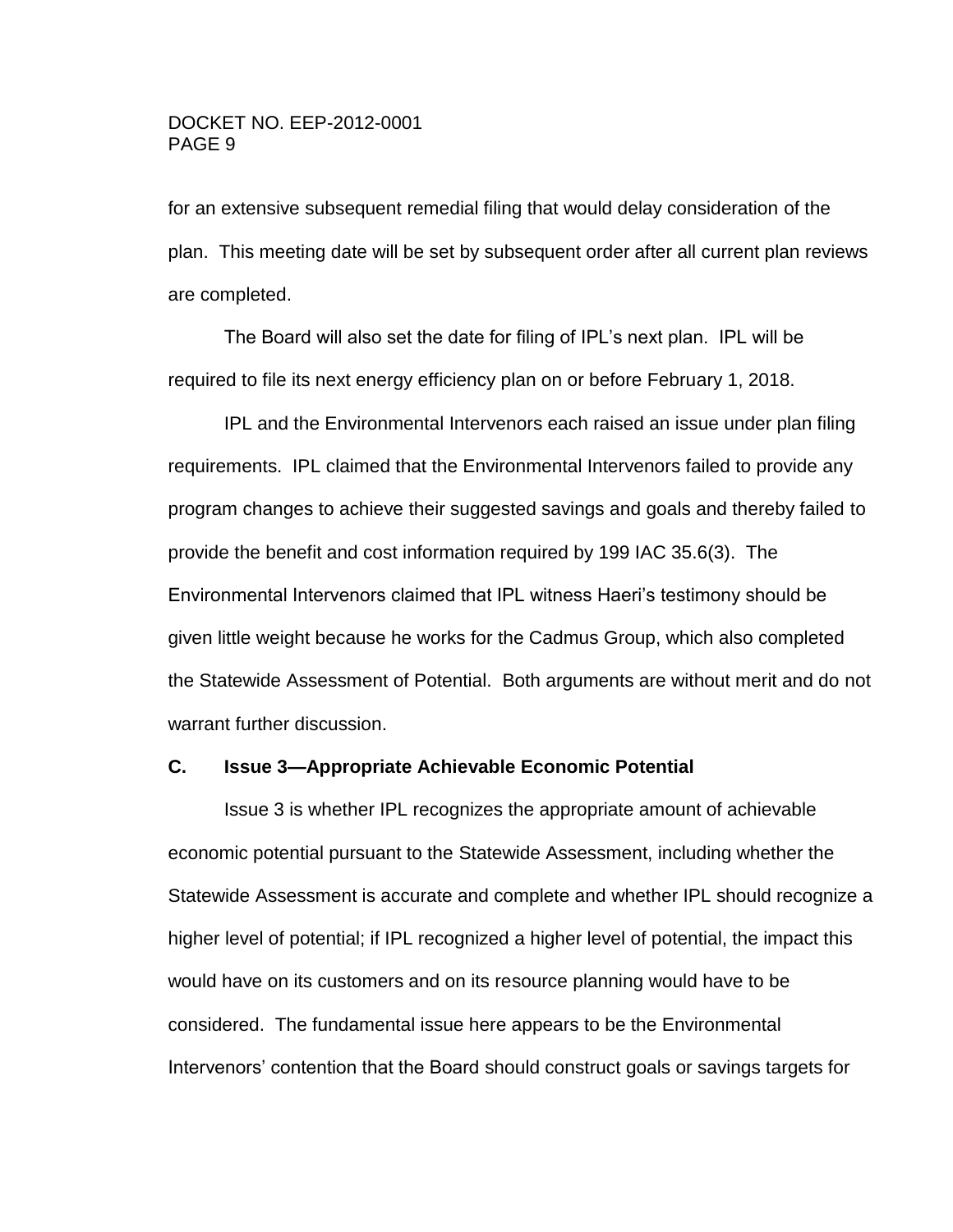for an extensive subsequent remedial filing that would delay consideration of the plan. This meeting date will be set by subsequent order after all current plan reviews are completed.

The Board will also set the date for filing of IPL's next plan. IPL will be required to file its next energy efficiency plan on or before February 1, 2018.

 IPL and the Environmental Intervenors each raised an issue under plan filing requirements. IPL claimed that the Environmental Intervenors failed to provide any program changes to achieve their suggested savings and goals and thereby failed to provide the benefit and cost information required by 199 IAC 35.6(3). The Environmental Intervenors claimed that IPL witness Haeri's testimony should be given little weight because he works for the Cadmus Group, which also completed the Statewide Assessment of Potential. Both arguments are without merit and do not warrant further discussion.

### <span id="page-8-0"></span>**C. Issue 3—Appropriate Achievable Economic Potential**

Issue 3 is whether IPL recognizes the appropriate amount of achievable economic potential pursuant to the Statewide Assessment, including whether the Statewide Assessment is accurate and complete and whether IPL should recognize a higher level of potential; if IPL recognized a higher level of potential, the impact this would have on its customers and on its resource planning would have to be considered. The fundamental issue here appears to be the Environmental Intervenors' contention that the Board should construct goals or savings targets for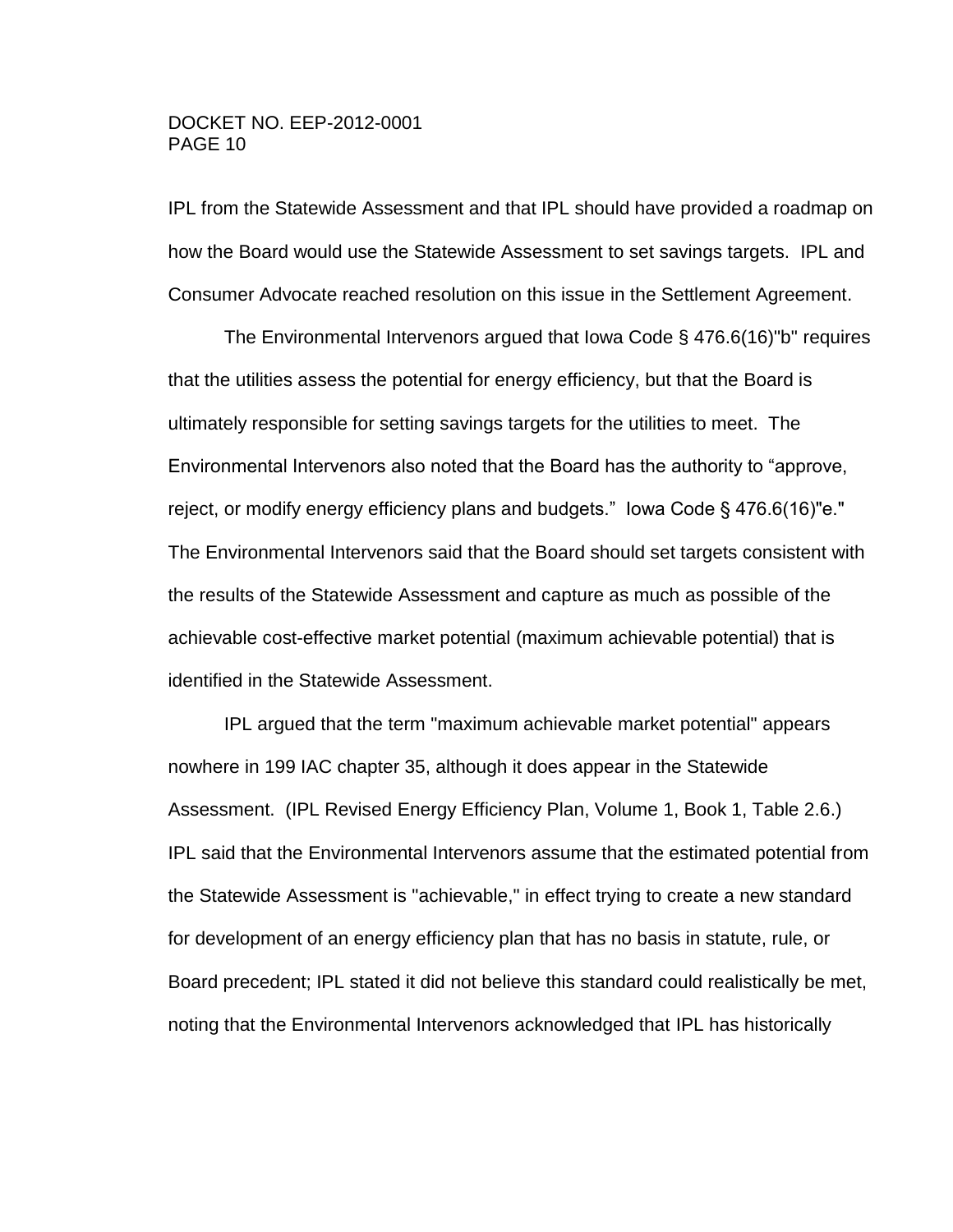IPL from the Statewide Assessment and that IPL should have provided a roadmap on how the Board would use the Statewide Assessment to set savings targets. IPL and Consumer Advocate reached resolution on this issue in the Settlement Agreement.

The Environmental Intervenors argued that Iowa Code § 476.6(16)"b" requires that the utilities assess the potential for energy efficiency, but that the Board is ultimately responsible for setting savings targets for the utilities to meet. The Environmental Intervenors also noted that the Board has the authority to "approve, reject, or modify energy efficiency plans and budgets." Iowa Code § 476.6(16)"e." The Environmental Intervenors said that the Board should set targets consistent with the results of the Statewide Assessment and capture as much as possible of the achievable cost-effective market potential (maximum achievable potential) that is identified in the Statewide Assessment.

IPL argued that the term "maximum achievable market potential" appears nowhere in 199 IAC chapter 35, although it does appear in the Statewide Assessment. (IPL Revised Energy Efficiency Plan, Volume 1, Book 1, Table 2.6.) IPL said that the Environmental Intervenors assume that the estimated potential from the Statewide Assessment is "achievable," in effect trying to create a new standard for development of an energy efficiency plan that has no basis in statute, rule, or Board precedent; IPL stated it did not believe this standard could realistically be met, noting that the Environmental Intervenors acknowledged that IPL has historically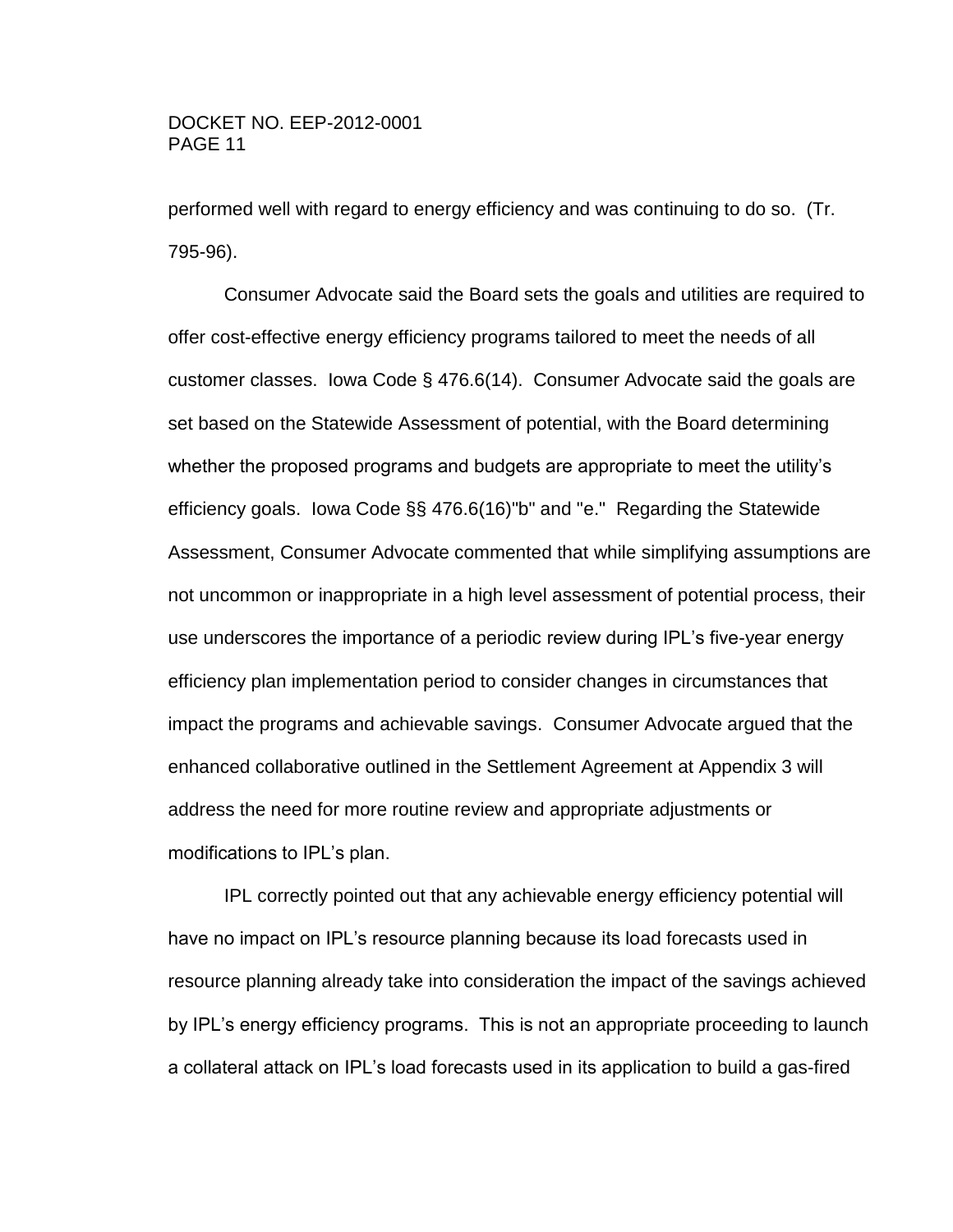performed well with regard to energy efficiency and was continuing to do so. (Tr. 795-96).

Consumer Advocate said the Board sets the goals and utilities are required to offer cost-effective energy efficiency programs tailored to meet the needs of all customer classes. Iowa Code § 476.6(14). Consumer Advocate said the goals are set based on the Statewide Assessment of potential, with the Board determining whether the proposed programs and budgets are appropriate to meet the utility's efficiency goals. Iowa Code §§ 476.6(16)"b" and "e." Regarding the Statewide Assessment, Consumer Advocate commented that while simplifying assumptions are not uncommon or inappropriate in a high level assessment of potential process, their use underscores the importance of a periodic review during IPL's five-year energy efficiency plan implementation period to consider changes in circumstances that impact the programs and achievable savings. Consumer Advocate argued that the enhanced collaborative outlined in the Settlement Agreement at Appendix 3 will address the need for more routine review and appropriate adjustments or modifications to IPL's plan.

IPL correctly pointed out that any achievable energy efficiency potential will have no impact on IPL's resource planning because its load forecasts used in resource planning already take into consideration the impact of the savings achieved by IPL's energy efficiency programs. This is not an appropriate proceeding to launch a collateral attack on IPL's load forecasts used in its application to build a gas-fired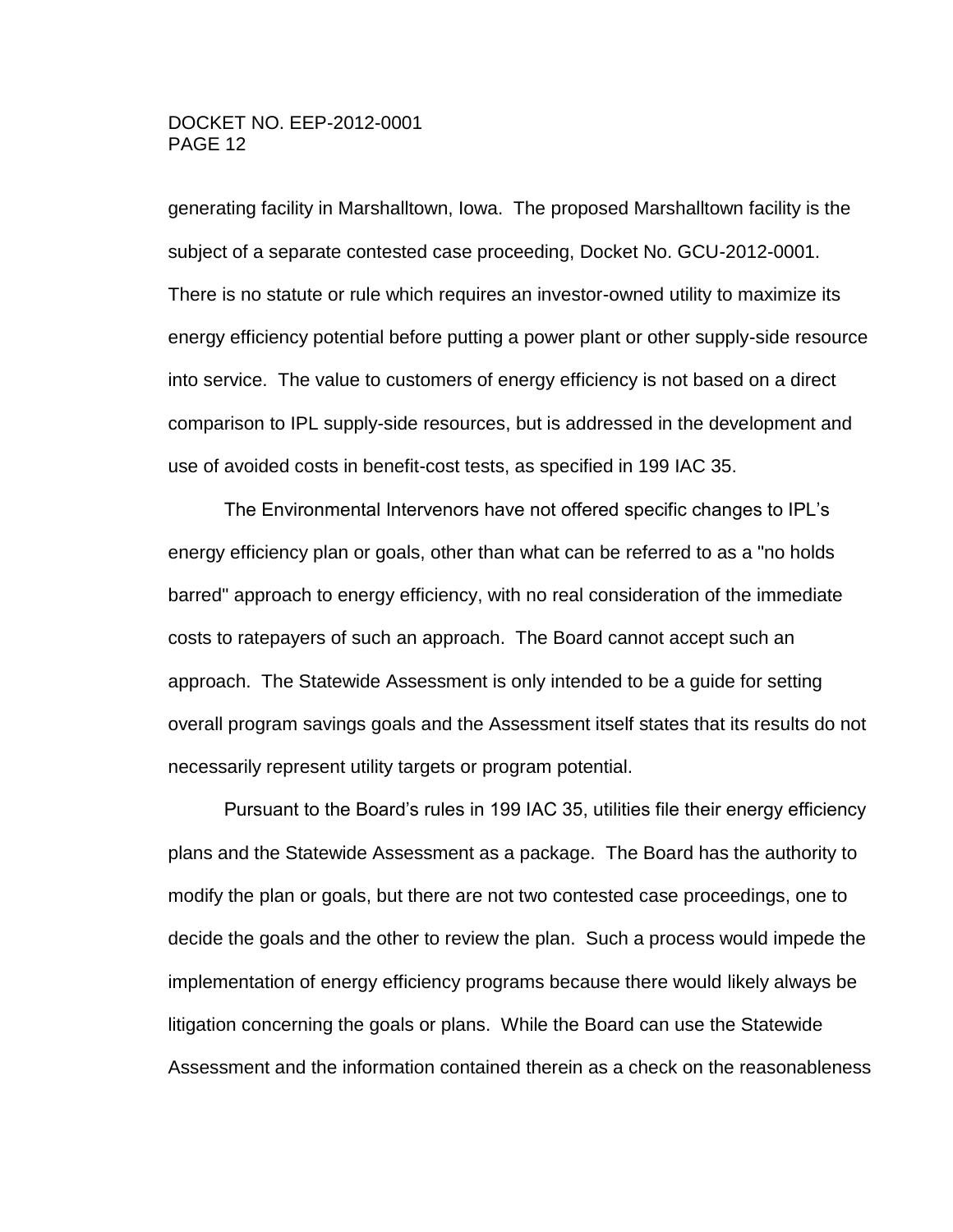generating facility in Marshalltown, Iowa. The proposed Marshalltown facility is the subject of a separate contested case proceeding, Docket No. GCU-2012-0001. There is no statute or rule which requires an investor-owned utility to maximize its energy efficiency potential before putting a power plant or other supply-side resource into service. The value to customers of energy efficiency is not based on a direct comparison to IPL supply-side resources, but is addressed in the development and use of avoided costs in benefit-cost tests, as specified in 199 IAC 35.

The Environmental Intervenors have not offered specific changes to IPL's energy efficiency plan or goals, other than what can be referred to as a "no holds barred" approach to energy efficiency, with no real consideration of the immediate costs to ratepayers of such an approach. The Board cannot accept such an approach. The Statewide Assessment is only intended to be a guide for setting overall program savings goals and the Assessment itself states that its results do not necessarily represent utility targets or program potential.

Pursuant to the Board's rules in 199 IAC 35, utilities file their energy efficiency plans and the Statewide Assessment as a package. The Board has the authority to modify the plan or goals, but there are not two contested case proceedings, one to decide the goals and the other to review the plan. Such a process would impede the implementation of energy efficiency programs because there would likely always be litigation concerning the goals or plans. While the Board can use the Statewide Assessment and the information contained therein as a check on the reasonableness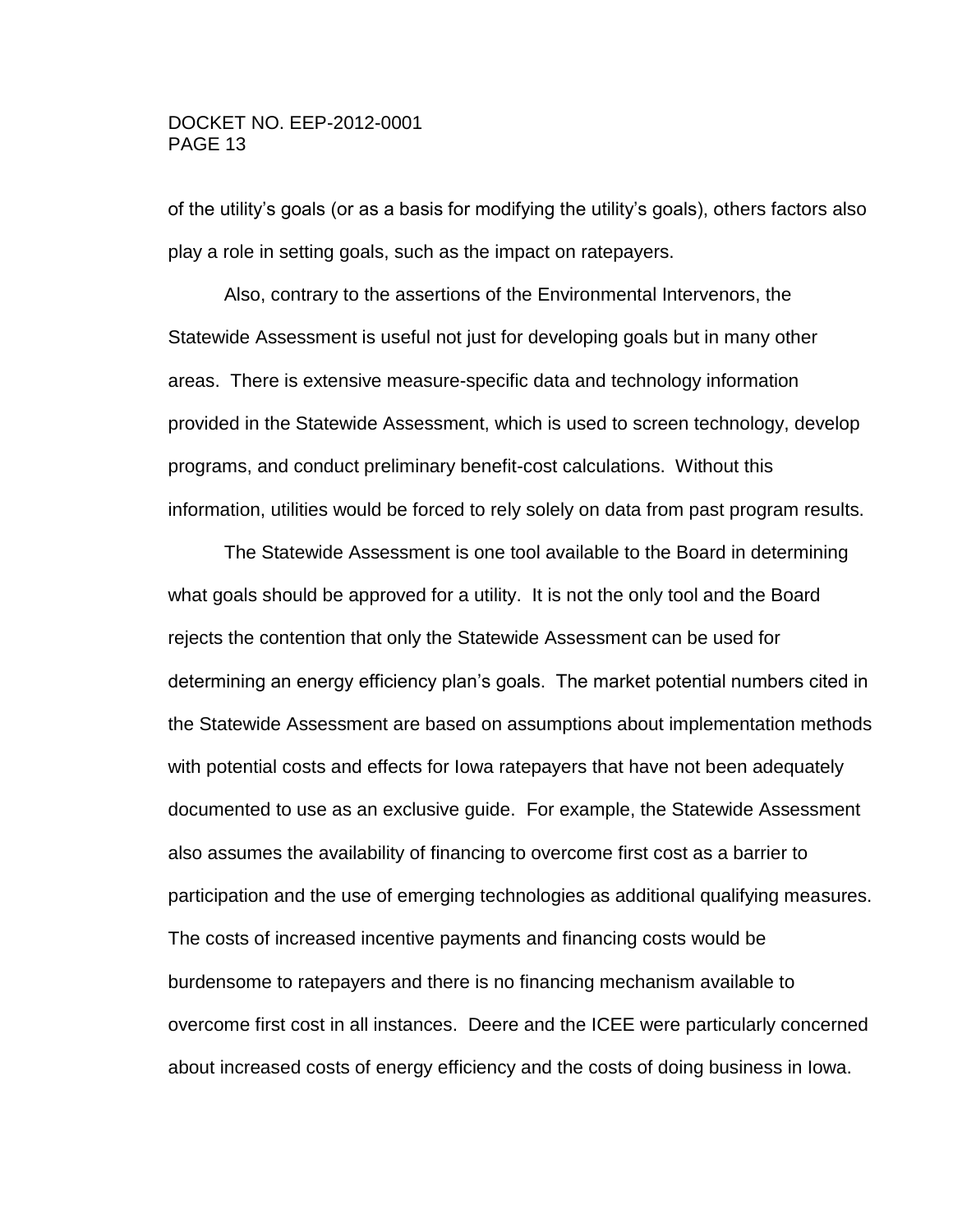of the utility's goals (or as a basis for modifying the utility's goals), others factors also play a role in setting goals, such as the impact on ratepayers.

Also, contrary to the assertions of the Environmental Intervenors, the Statewide Assessment is useful not just for developing goals but in many other areas. There is extensive measure-specific data and technology information provided in the Statewide Assessment, which is used to screen technology, develop programs, and conduct preliminary benefit-cost calculations. Without this information, utilities would be forced to rely solely on data from past program results.

The Statewide Assessment is one tool available to the Board in determining what goals should be approved for a utility. It is not the only tool and the Board rejects the contention that only the Statewide Assessment can be used for determining an energy efficiency plan's goals. The market potential numbers cited in the Statewide Assessment are based on assumptions about implementation methods with potential costs and effects for Iowa ratepayers that have not been adequately documented to use as an exclusive guide. For example, the Statewide Assessment also assumes the availability of financing to overcome first cost as a barrier to participation and the use of emerging technologies as additional qualifying measures. The costs of increased incentive payments and financing costs would be burdensome to ratepayers and there is no financing mechanism available to overcome first cost in all instances. Deere and the ICEE were particularly concerned about increased costs of energy efficiency and the costs of doing business in Iowa.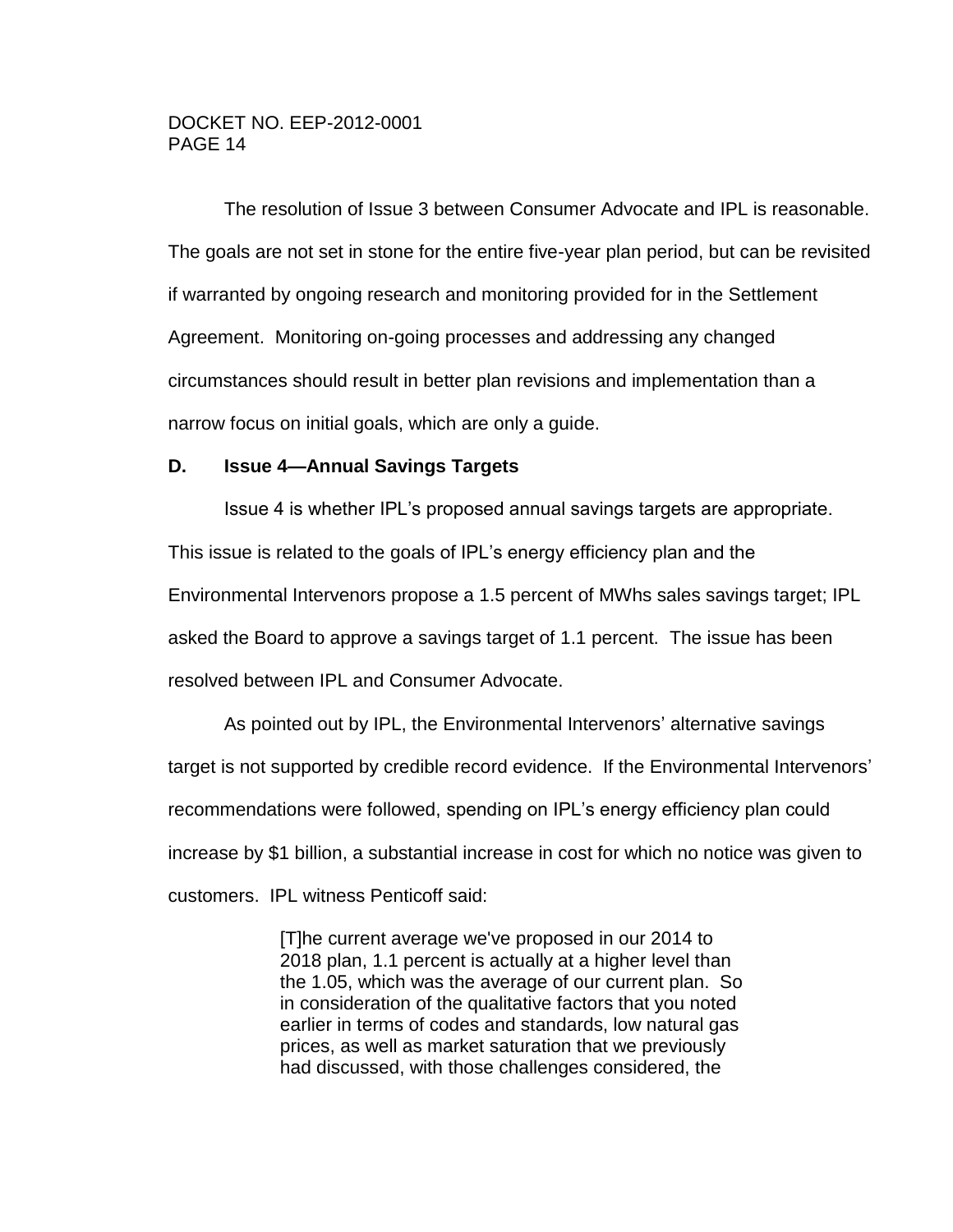The resolution of Issue 3 between Consumer Advocate and IPL is reasonable. The goals are not set in stone for the entire five-year plan period, but can be revisited if warranted by ongoing research and monitoring provided for in the Settlement Agreement. Monitoring on-going processes and addressing any changed circumstances should result in better plan revisions and implementation than a narrow focus on initial goals, which are only a guide.

### <span id="page-13-0"></span>**D. Issue 4—Annual Savings Targets**

Issue 4 is whether IPL's proposed annual savings targets are appropriate. This issue is related to the goals of IPL's energy efficiency plan and the Environmental Intervenors propose a 1.5 percent of MWhs sales savings target; IPL asked the Board to approve a savings target of 1.1 percent. The issue has been resolved between IPL and Consumer Advocate.

As pointed out by IPL, the Environmental Intervenors' alternative savings target is not supported by credible record evidence. If the Environmental Intervenors' recommendations were followed, spending on IPL's energy efficiency plan could increase by \$1 billion, a substantial increase in cost for which no notice was given to customers. IPL witness Penticoff said:

> [T]he current average we've proposed in our 2014 to 2018 plan, 1.1 percent is actually at a higher level than the 1.05, which was the average of our current plan. So in consideration of the qualitative factors that you noted earlier in terms of codes and standards, low natural gas prices, as well as market saturation that we previously had discussed, with those challenges considered, the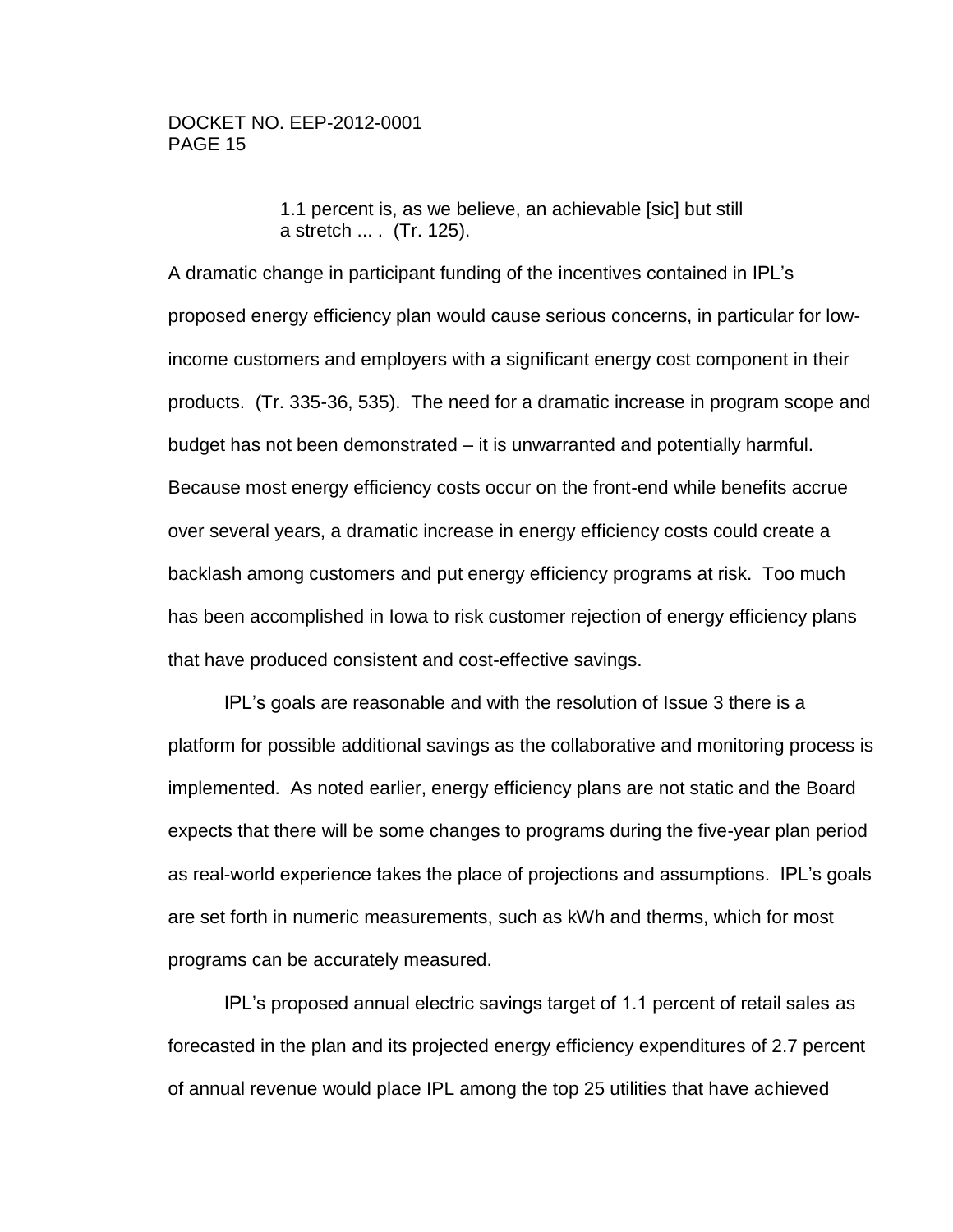1.1 percent is, as we believe, an achievable [sic] but still a stretch ... . (Tr. 125).

A dramatic change in participant funding of the incentives contained in IPL's proposed energy efficiency plan would cause serious concerns, in particular for lowincome customers and employers with a significant energy cost component in their products. (Tr. 335-36, 535). The need for a dramatic increase in program scope and budget has not been demonstrated – it is unwarranted and potentially harmful. Because most energy efficiency costs occur on the front-end while benefits accrue over several years, a dramatic increase in energy efficiency costs could create a backlash among customers and put energy efficiency programs at risk. Too much has been accomplished in Iowa to risk customer rejection of energy efficiency plans that have produced consistent and cost-effective savings.

IPL's goals are reasonable and with the resolution of Issue 3 there is a platform for possible additional savings as the collaborative and monitoring process is implemented. As noted earlier, energy efficiency plans are not static and the Board expects that there will be some changes to programs during the five-year plan period as real-world experience takes the place of projections and assumptions. IPL's goals are set forth in numeric measurements, such as kWh and therms, which for most programs can be accurately measured.

IPL's proposed annual electric savings target of 1.1 percent of retail sales as forecasted in the plan and its projected energy efficiency expenditures of 2.7 percent of annual revenue would place IPL among the top 25 utilities that have achieved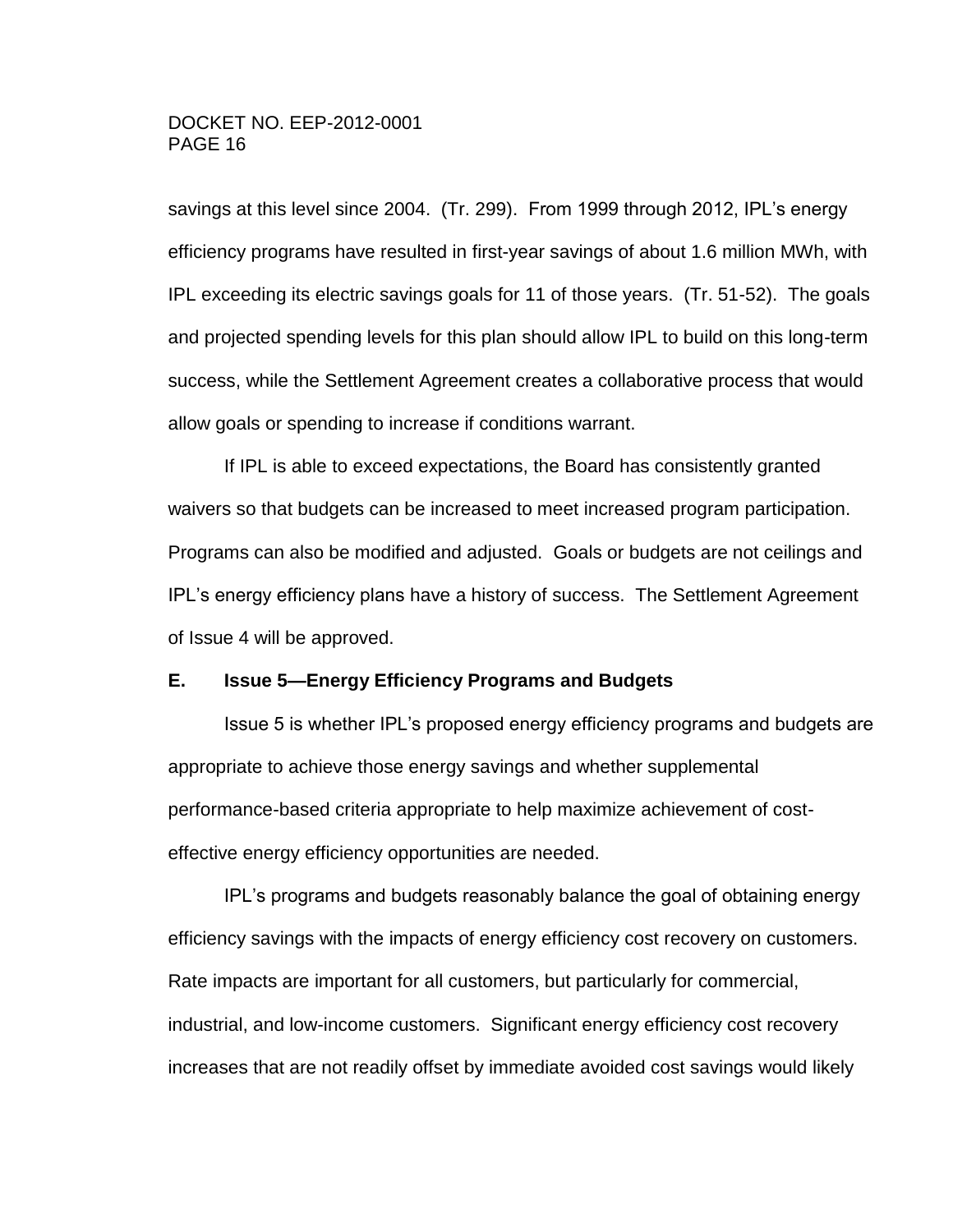savings at this level since 2004. (Tr. 299). From 1999 through 2012, IPL's energy efficiency programs have resulted in first-year savings of about 1.6 million MWh, with IPL exceeding its electric savings goals for 11 of those years. (Tr. 51-52). The goals and projected spending levels for this plan should allow IPL to build on this long-term success, while the Settlement Agreement creates a collaborative process that would allow goals or spending to increase if conditions warrant.

If IPL is able to exceed expectations, the Board has consistently granted waivers so that budgets can be increased to meet increased program participation. Programs can also be modified and adjusted. Goals or budgets are not ceilings and IPL's energy efficiency plans have a history of success. The Settlement Agreement of Issue 4 will be approved.

#### <span id="page-15-0"></span>**E. Issue 5—Energy Efficiency Programs and Budgets**

Issue 5 is whether IPL's proposed energy efficiency programs and budgets are appropriate to achieve those energy savings and whether supplemental performance-based criteria appropriate to help maximize achievement of costeffective energy efficiency opportunities are needed.

IPL's programs and budgets reasonably balance the goal of obtaining energy efficiency savings with the impacts of energy efficiency cost recovery on customers. Rate impacts are important for all customers, but particularly for commercial, industrial, and low-income customers. Significant energy efficiency cost recovery increases that are not readily offset by immediate avoided cost savings would likely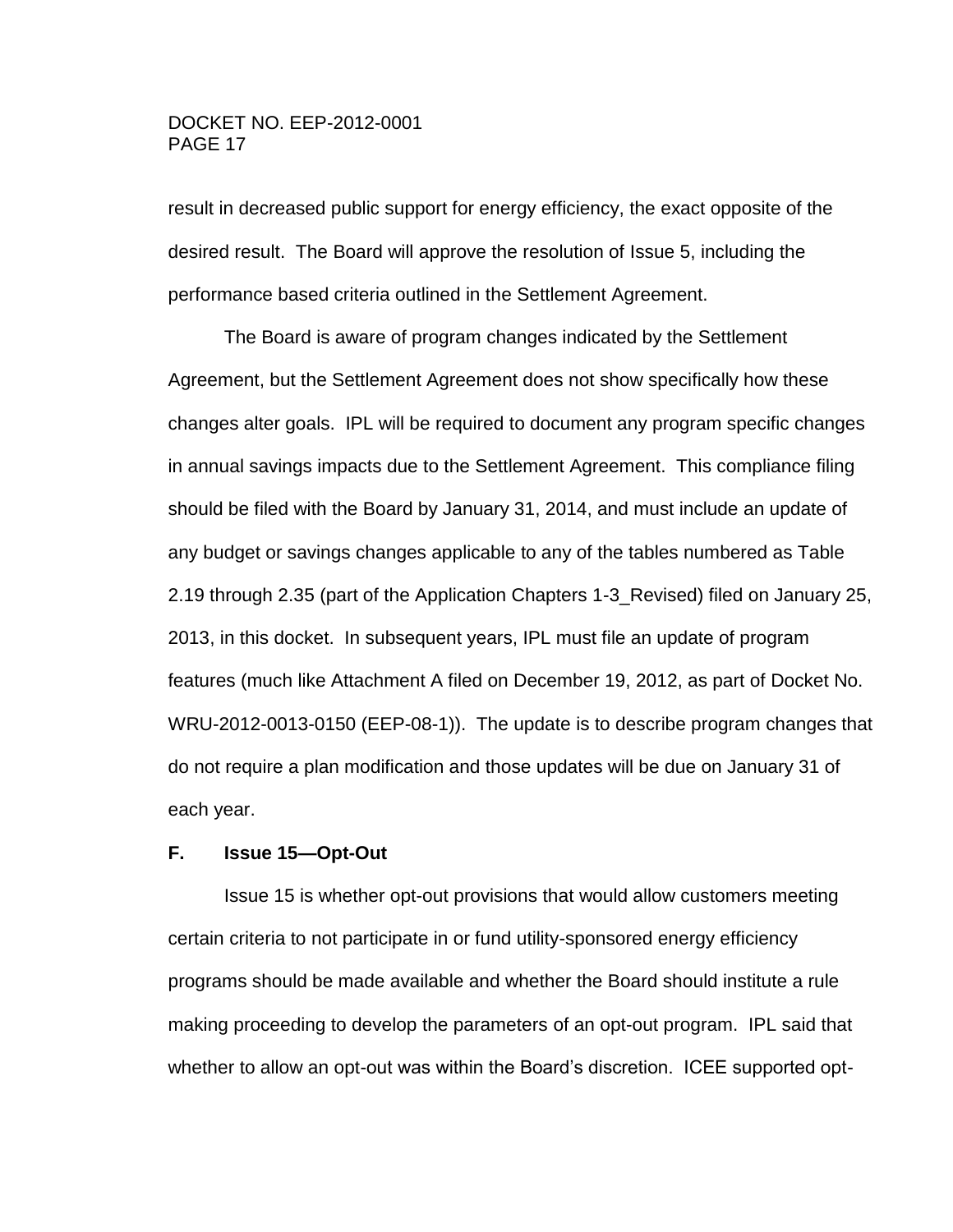result in decreased public support for energy efficiency, the exact opposite of the desired result. The Board will approve the resolution of Issue 5, including the performance based criteria outlined in the Settlement Agreement.

The Board is aware of program changes indicated by the Settlement Agreement, but the Settlement Agreement does not show specifically how these changes alter goals. IPL will be required to document any program specific changes in annual savings impacts due to the Settlement Agreement. This compliance filing should be filed with the Board by January 31, 2014, and must include an update of any budget or savings changes applicable to any of the tables numbered as Table 2.19 through 2.35 (part of the Application Chapters 1-3\_Revised) filed on January 25, 2013, in this docket. In subsequent years, IPL must file an update of program features (much like Attachment A filed on December 19, 2012, as part of Docket No. WRU-2012-0013-0150 (EEP-08-1)). The update is to describe program changes that do not require a plan modification and those updates will be due on January 31 of each year.

# <span id="page-16-0"></span>**F. Issue 15—Opt-Out**

Issue 15 is whether opt-out provisions that would allow customers meeting certain criteria to not participate in or fund utility-sponsored energy efficiency programs should be made available and whether the Board should institute a rule making proceeding to develop the parameters of an opt-out program. IPL said that whether to allow an opt-out was within the Board's discretion. ICEE supported opt-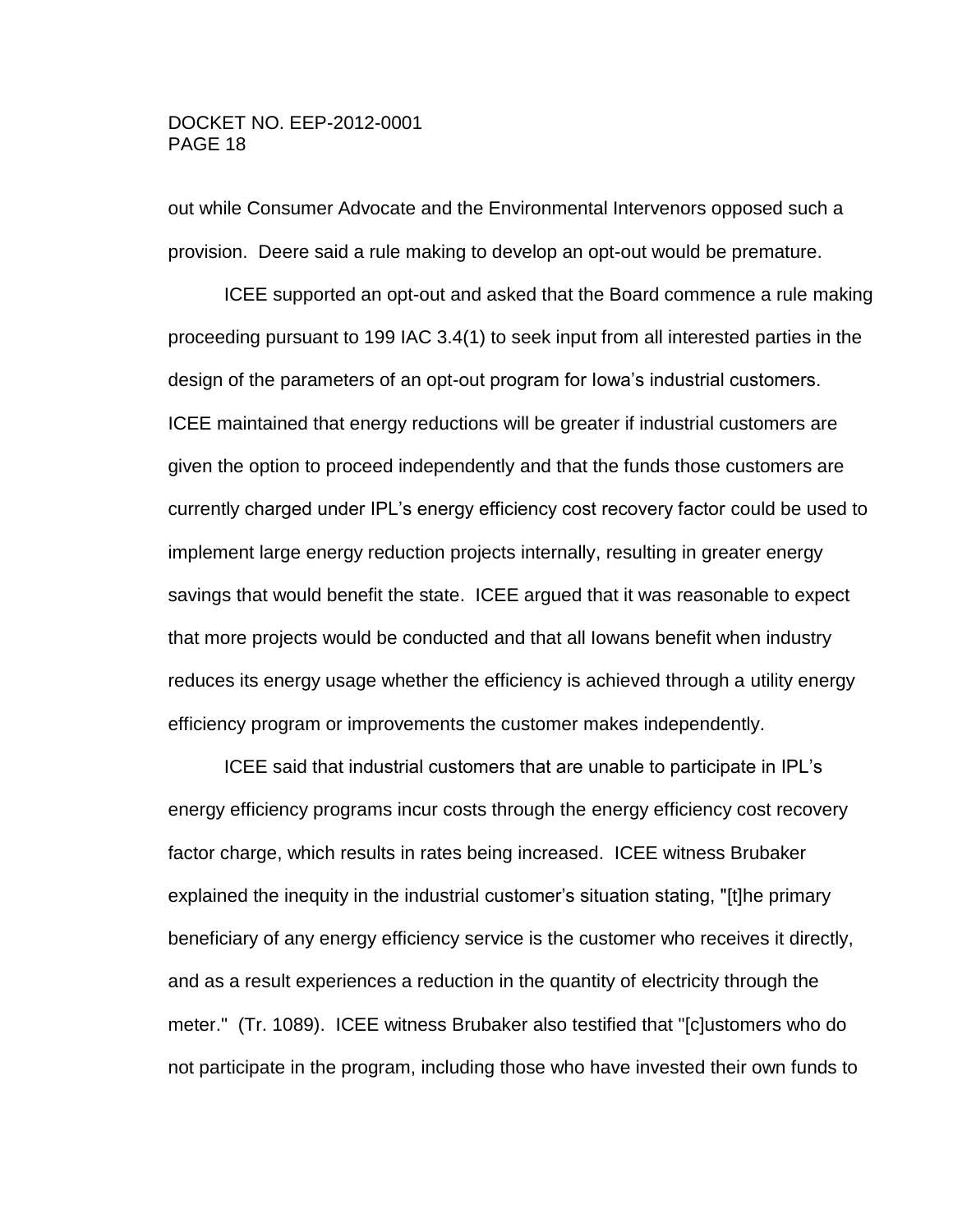out while Consumer Advocate and the Environmental Intervenors opposed such a provision. Deere said a rule making to develop an opt-out would be premature.

ICEE supported an opt-out and asked that the Board commence a rule making proceeding pursuant to 199 IAC 3.4(1) to seek input from all interested parties in the design of the parameters of an opt-out program for Iowa's industrial customers. ICEE maintained that energy reductions will be greater if industrial customers are given the option to proceed independently and that the funds those customers are currently charged under IPL's energy efficiency cost recovery factor could be used to implement large energy reduction projects internally, resulting in greater energy savings that would benefit the state. ICEE argued that it was reasonable to expect that more projects would be conducted and that all Iowans benefit when industry reduces its energy usage whether the efficiency is achieved through a utility energy efficiency program or improvements the customer makes independently.

ICEE said that industrial customers that are unable to participate in IPL's energy efficiency programs incur costs through the energy efficiency cost recovery factor charge, which results in rates being increased. ICEE witness Brubaker explained the inequity in the industrial customer's situation stating, "[t]he primary beneficiary of any energy efficiency service is the customer who receives it directly, and as a result experiences a reduction in the quantity of electricity through the meter." (Tr. 1089). ICEE witness Brubaker also testified that "[c]ustomers who do not participate in the program, including those who have invested their own funds to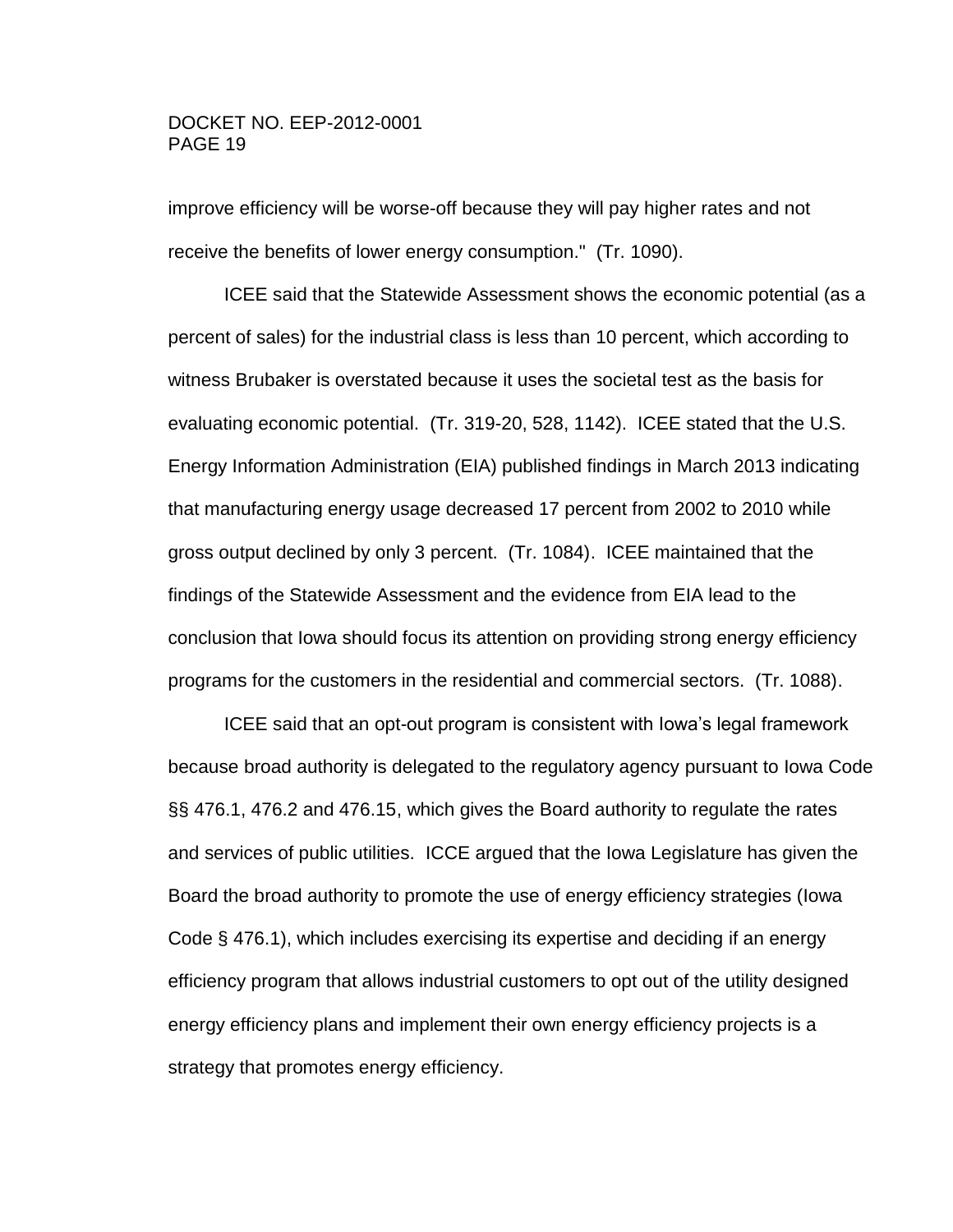improve efficiency will be worse-off because they will pay higher rates and not receive the benefits of lower energy consumption." (Tr. 1090).

ICEE said that the Statewide Assessment shows the economic potential (as a percent of sales) for the industrial class is less than 10 percent, which according to witness Brubaker is overstated because it uses the societal test as the basis for evaluating economic potential. (Tr. 319-20, 528, 1142). ICEE stated that the U.S. Energy Information Administration (EIA) published findings in March 2013 indicating that manufacturing energy usage decreased 17 percent from 2002 to 2010 while gross output declined by only 3 percent. (Tr. 1084). ICEE maintained that the findings of the Statewide Assessment and the evidence from EIA lead to the conclusion that Iowa should focus its attention on providing strong energy efficiency programs for the customers in the residential and commercial sectors. (Tr. 1088).

ICEE said that an opt-out program is consistent with Iowa's legal framework because broad authority is delegated to the regulatory agency pursuant to Iowa Code §§ 476.1, 476.2 and 476.15, which gives the Board authority to regulate the rates and services of public utilities. ICCE argued that the Iowa Legislature has given the Board the broad authority to promote the use of energy efficiency strategies (Iowa Code § 476.1), which includes exercising its expertise and deciding if an energy efficiency program that allows industrial customers to opt out of the utility designed energy efficiency plans and implement their own energy efficiency projects is a strategy that promotes energy efficiency.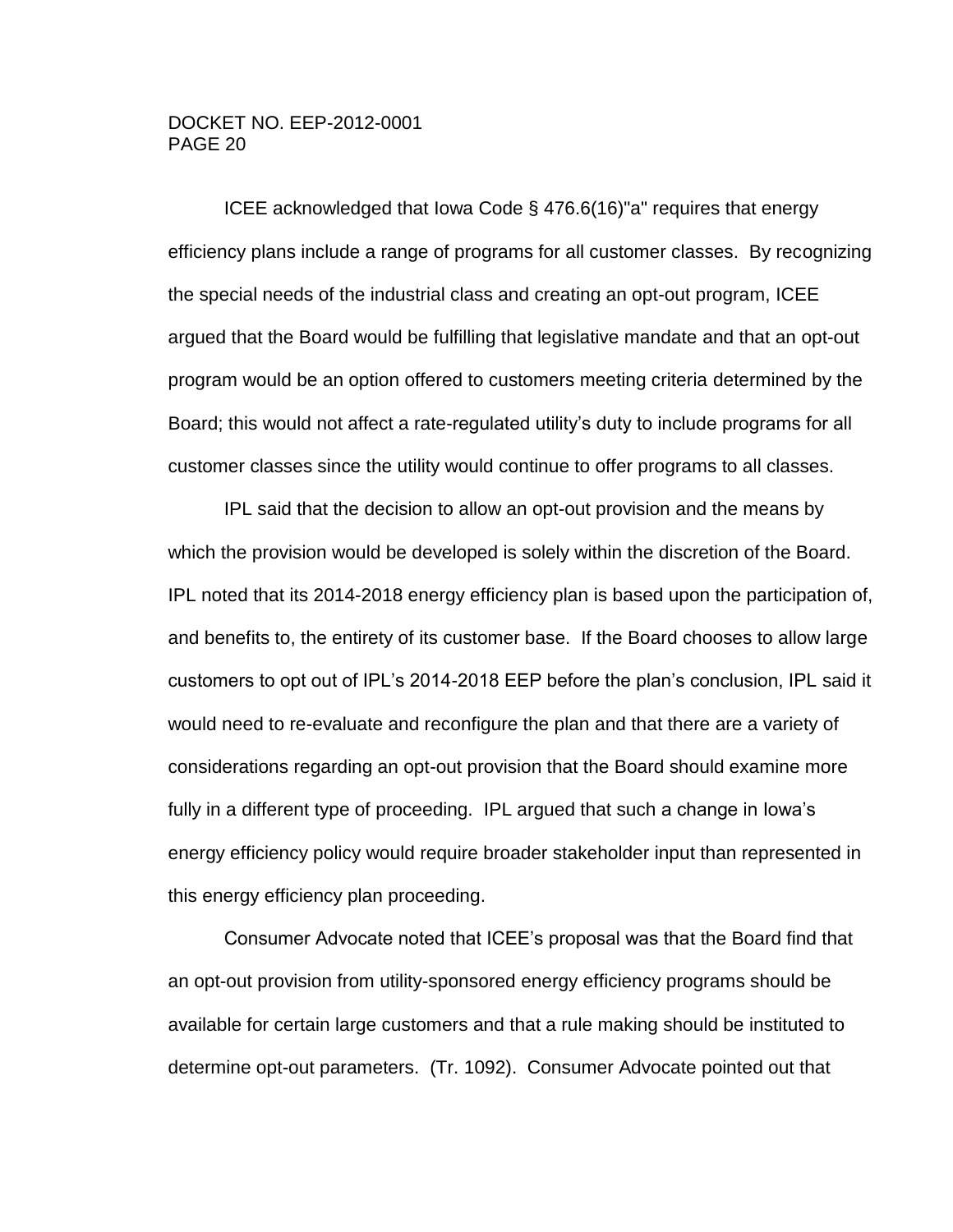ICEE acknowledged that Iowa Code § 476.6(16)"a" requires that energy efficiency plans include a range of programs for all customer classes. By recognizing the special needs of the industrial class and creating an opt-out program, ICEE argued that the Board would be fulfilling that legislative mandate and that an opt-out program would be an option offered to customers meeting criteria determined by the Board; this would not affect a rate-regulated utility's duty to include programs for all customer classes since the utility would continue to offer programs to all classes.

IPL said that the decision to allow an opt-out provision and the means by which the provision would be developed is solely within the discretion of the Board. IPL noted that its 2014-2018 energy efficiency plan is based upon the participation of, and benefits to, the entirety of its customer base. If the Board chooses to allow large customers to opt out of IPL's 2014-2018 EEP before the plan's conclusion, IPL said it would need to re-evaluate and reconfigure the plan and that there are a variety of considerations regarding an opt-out provision that the Board should examine more fully in a different type of proceeding. IPL argued that such a change in Iowa's energy efficiency policy would require broader stakeholder input than represented in this energy efficiency plan proceeding.

Consumer Advocate noted that ICEE's proposal was that the Board find that an opt-out provision from utility-sponsored energy efficiency programs should be available for certain large customers and that a rule making should be instituted to determine opt-out parameters. (Tr. 1092). Consumer Advocate pointed out that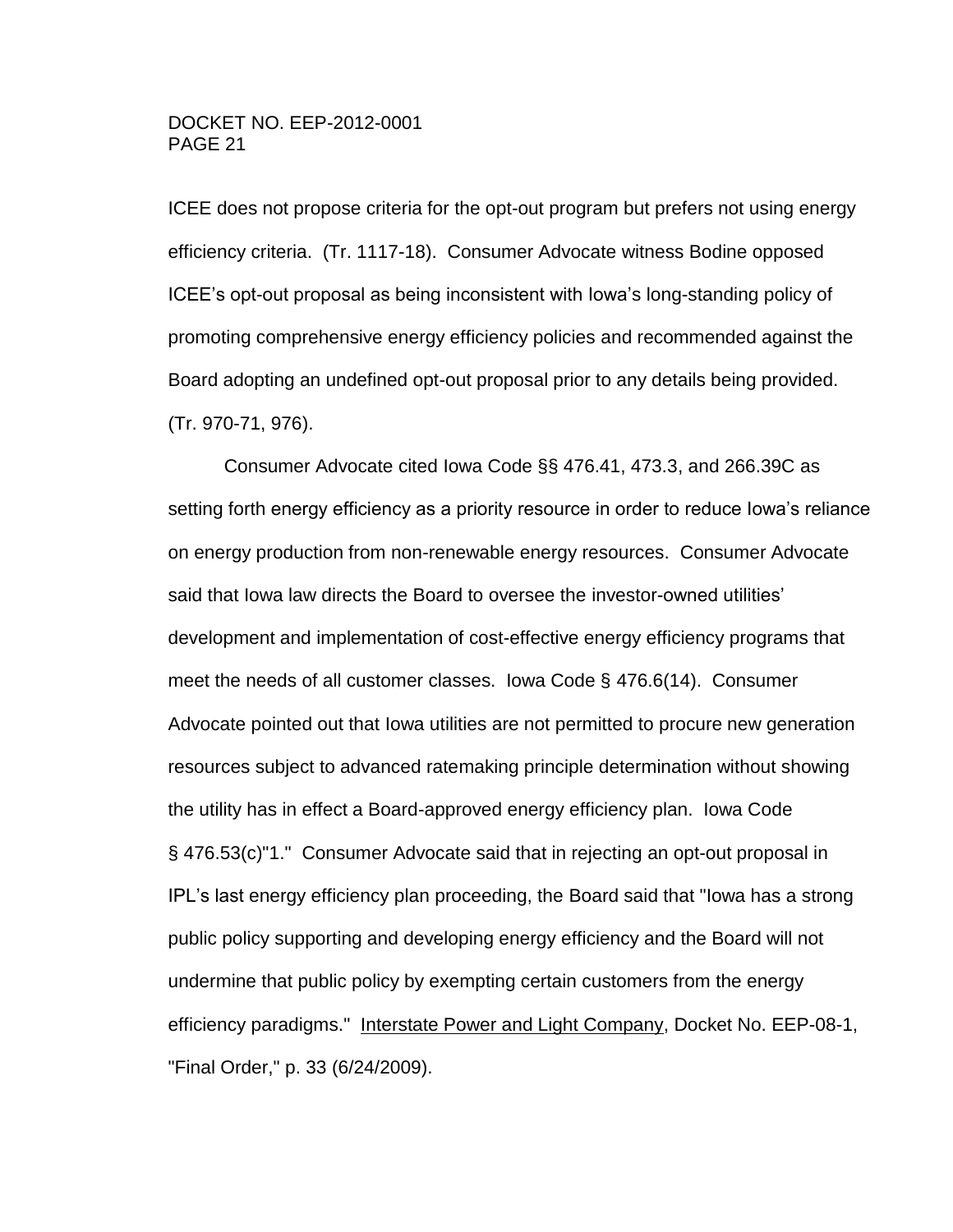ICEE does not propose criteria for the opt-out program but prefers not using energy efficiency criteria. (Tr. 1117-18). Consumer Advocate witness Bodine opposed ICEE's opt-out proposal as being inconsistent with Iowa's long-standing policy of promoting comprehensive energy efficiency policies and recommended against the Board adopting an undefined opt-out proposal prior to any details being provided. (Tr. 970-71, 976).

Consumer Advocate cited Iowa Code §§ 476.41, 473.3, and 266.39C as setting forth energy efficiency as a priority resource in order to reduce Iowa's reliance on energy production from non-renewable energy resources. Consumer Advocate said that Iowa law directs the Board to oversee the investor-owned utilities' development and implementation of cost-effective energy efficiency programs that meet the needs of all customer classes. Iowa Code § 476.6(14). Consumer Advocate pointed out that Iowa utilities are not permitted to procure new generation resources subject to advanced ratemaking principle determination without showing the utility has in effect a Board-approved energy efficiency plan. Iowa Code § 476.53(c)"1." Consumer Advocate said that in rejecting an opt-out proposal in IPL's last energy efficiency plan proceeding, the Board said that "Iowa has a strong public policy supporting and developing energy efficiency and the Board will not undermine that public policy by exempting certain customers from the energy efficiency paradigms." Interstate Power and Light Company, Docket No. EEP-08-1, "Final Order," p. 33 (6/24/2009).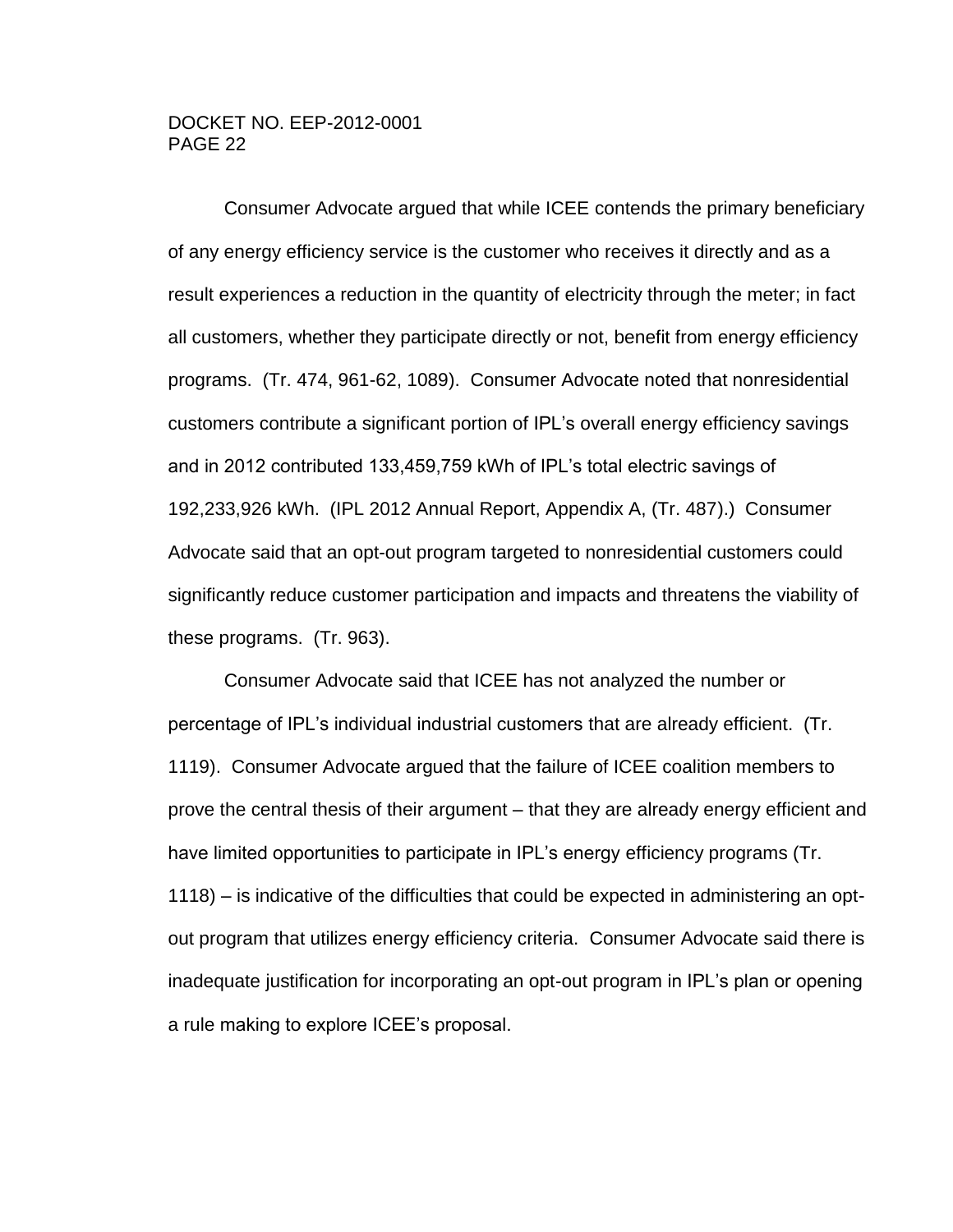Consumer Advocate argued that while ICEE contends the primary beneficiary of any energy efficiency service is the customer who receives it directly and as a result experiences a reduction in the quantity of electricity through the meter; in fact all customers, whether they participate directly or not, benefit from energy efficiency programs. (Tr. 474, 961-62, 1089). Consumer Advocate noted that nonresidential customers contribute a significant portion of IPL's overall energy efficiency savings and in 2012 contributed 133,459,759 kWh of IPL's total electric savings of 192,233,926 kWh. (IPL 2012 Annual Report, Appendix A, (Tr. 487).) Consumer Advocate said that an opt-out program targeted to nonresidential customers could significantly reduce customer participation and impacts and threatens the viability of these programs. (Tr. 963).

Consumer Advocate said that ICEE has not analyzed the number or percentage of IPL's individual industrial customers that are already efficient. (Tr. 1119). Consumer Advocate argued that the failure of ICEE coalition members to prove the central thesis of their argument – that they are already energy efficient and have limited opportunities to participate in IPL's energy efficiency programs (Tr. 1118) – is indicative of the difficulties that could be expected in administering an optout program that utilizes energy efficiency criteria. Consumer Advocate said there is inadequate justification for incorporating an opt-out program in IPL's plan or opening a rule making to explore ICEE's proposal.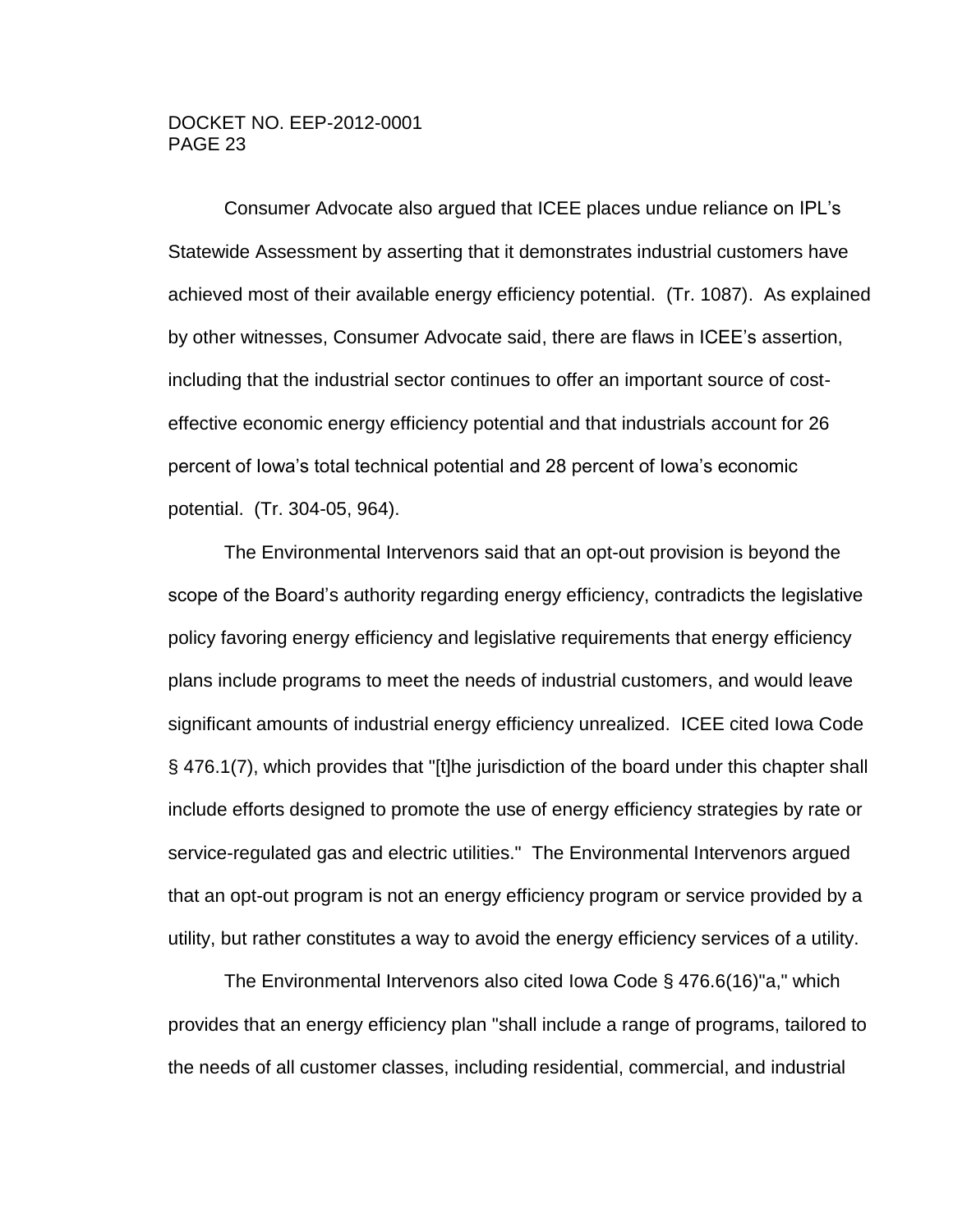Consumer Advocate also argued that ICEE places undue reliance on IPL's Statewide Assessment by asserting that it demonstrates industrial customers have achieved most of their available energy efficiency potential. (Tr. 1087). As explained by other witnesses, Consumer Advocate said, there are flaws in ICEE's assertion, including that the industrial sector continues to offer an important source of costeffective economic energy efficiency potential and that industrials account for 26 percent of Iowa's total technical potential and 28 percent of Iowa's economic potential. (Tr. 304-05, 964).

The Environmental Intervenors said that an opt-out provision is beyond the scope of the Board's authority regarding energy efficiency, contradicts the legislative policy favoring energy efficiency and legislative requirements that energy efficiency plans include programs to meet the needs of industrial customers, and would leave significant amounts of industrial energy efficiency unrealized. ICEE cited Iowa Code § 476.1(7), which provides that "[t]he jurisdiction of the board under this chapter shall include efforts designed to promote the use of energy efficiency strategies by rate or service-regulated gas and electric utilities." The Environmental Intervenors argued that an opt-out program is not an energy efficiency program or service provided by a utility, but rather constitutes a way to avoid the energy efficiency services of a utility.

The Environmental Intervenors also cited Iowa Code § 476.6(16)"a," which provides that an energy efficiency plan "shall include a range of programs, tailored to the needs of all customer classes, including residential, commercial, and industrial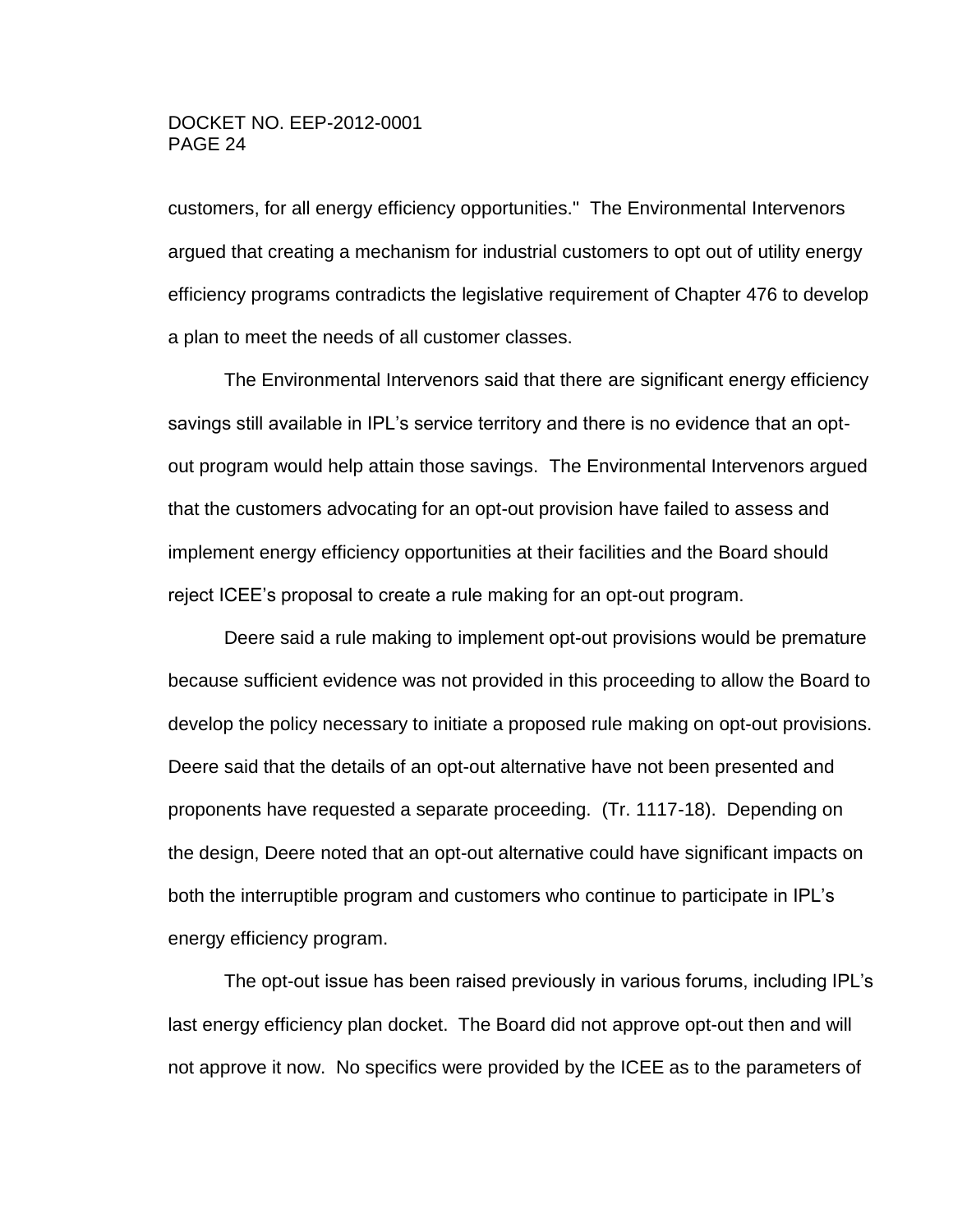customers, for all energy efficiency opportunities." The Environmental Intervenors argued that creating a mechanism for industrial customers to opt out of utility energy efficiency programs contradicts the legislative requirement of Chapter 476 to develop a plan to meet the needs of all customer classes.

The Environmental Intervenors said that there are significant energy efficiency savings still available in IPL's service territory and there is no evidence that an optout program would help attain those savings. The Environmental Intervenors argued that the customers advocating for an opt-out provision have failed to assess and implement energy efficiency opportunities at their facilities and the Board should reject ICEE's proposal to create a rule making for an opt-out program.

Deere said a rule making to implement opt-out provisions would be premature because sufficient evidence was not provided in this proceeding to allow the Board to develop the policy necessary to initiate a proposed rule making on opt-out provisions. Deere said that the details of an opt-out alternative have not been presented and proponents have requested a separate proceeding. (Tr. 1117-18). Depending on the design, Deere noted that an opt-out alternative could have significant impacts on both the interruptible program and customers who continue to participate in IPL's energy efficiency program.

The opt-out issue has been raised previously in various forums, including IPL's last energy efficiency plan docket. The Board did not approve opt-out then and will not approve it now. No specifics were provided by the ICEE as to the parameters of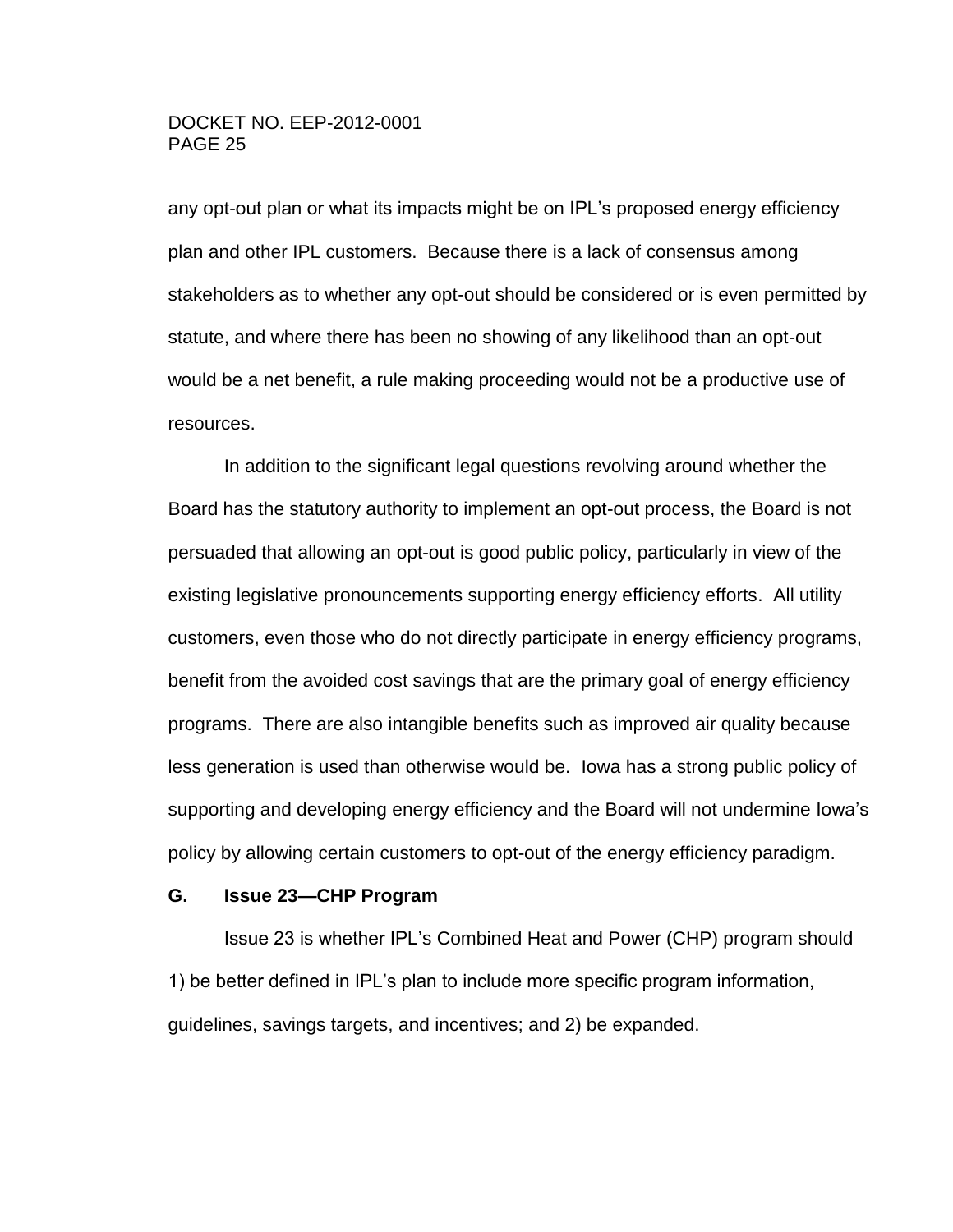any opt-out plan or what its impacts might be on IPL's proposed energy efficiency plan and other IPL customers. Because there is a lack of consensus among stakeholders as to whether any opt-out should be considered or is even permitted by statute, and where there has been no showing of any likelihood than an opt-out would be a net benefit, a rule making proceeding would not be a productive use of resources.

In addition to the significant legal questions revolving around whether the Board has the statutory authority to implement an opt-out process, the Board is not persuaded that allowing an opt-out is good public policy, particularly in view of the existing legislative pronouncements supporting energy efficiency efforts. All utility customers, even those who do not directly participate in energy efficiency programs, benefit from the avoided cost savings that are the primary goal of energy efficiency programs. There are also intangible benefits such as improved air quality because less generation is used than otherwise would be. Iowa has a strong public policy of supporting and developing energy efficiency and the Board will not undermine Iowa's policy by allowing certain customers to opt-out of the energy efficiency paradigm.

#### <span id="page-24-0"></span>**G. Issue 23—CHP Program**

Issue 23 is whether IPL's Combined Heat and Power (CHP) program should 1) be better defined in IPL's plan to include more specific program information, guidelines, savings targets, and incentives; and 2) be expanded.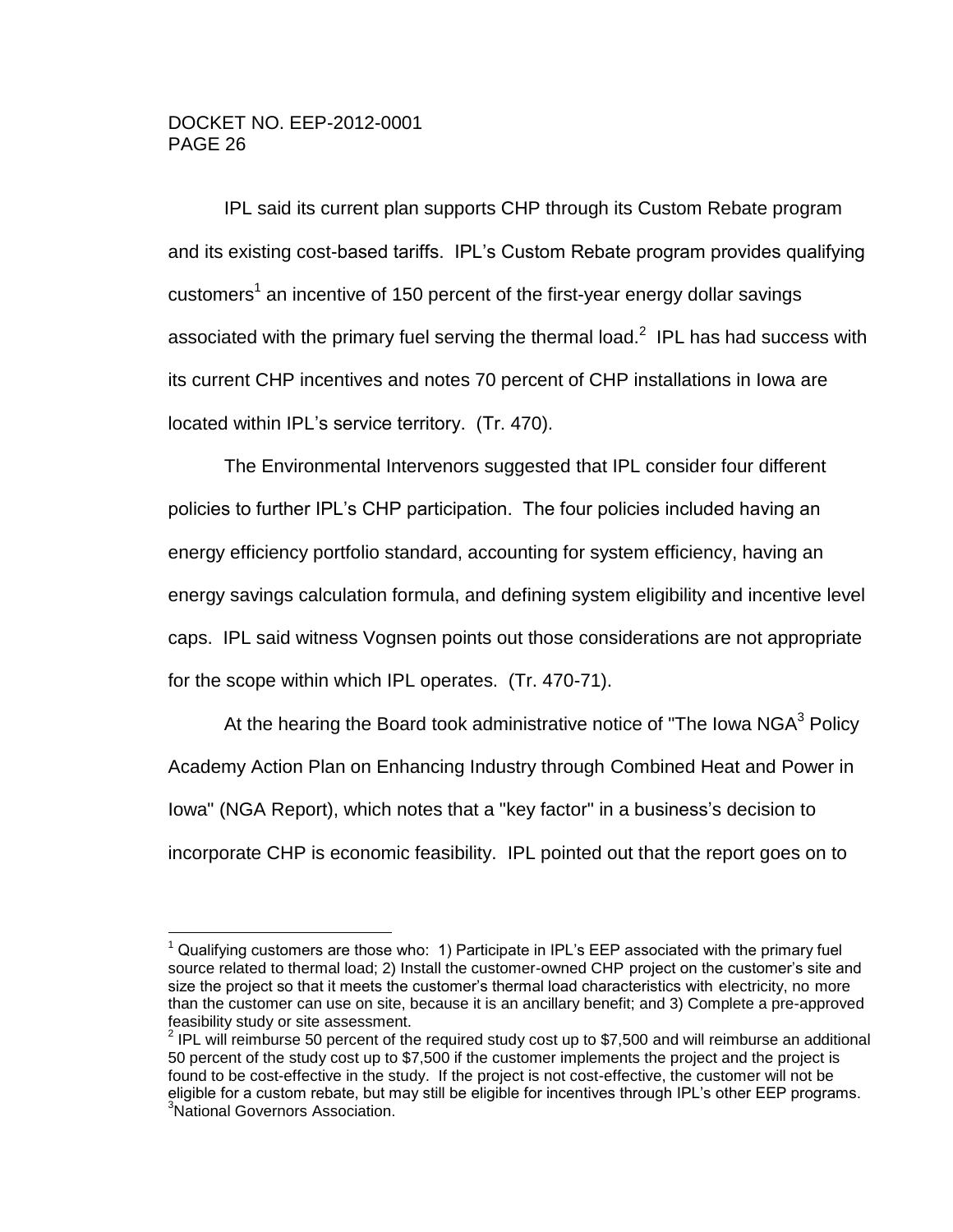$\overline{a}$ 

IPL said its current plan supports CHP through its Custom Rebate program and its existing cost-based tariffs. IPL's Custom Rebate program provides qualifying customers<sup>1</sup> an incentive of 150 percent of the first-year energy dollar savings associated with the primary fuel serving the thermal load.<sup>2</sup> IPL has had success with its current CHP incentives and notes 70 percent of CHP installations in Iowa are located within IPL's service territory. (Tr. 470).

The Environmental Intervenors suggested that IPL consider four different policies to further IPL's CHP participation. The four policies included having an energy efficiency portfolio standard, accounting for system efficiency, having an energy savings calculation formula, and defining system eligibility and incentive level caps. IPL said witness Vognsen points out those considerations are not appropriate for the scope within which IPL operates. (Tr. 470-71).

At the hearing the Board took administrative notice of "The Iowa NGA<sup>3</sup> Policy Academy Action Plan on Enhancing Industry through Combined Heat and Power in Iowa" (NGA Report), which notes that a "key factor" in a business's decision to incorporate CHP is economic feasibility. IPL pointed out that the report goes on to

 $1$  Qualifying customers are those who: 1) Participate in IPL's EEP associated with the primary fuel source related to thermal load; 2) Install the customer-owned CHP project on the customer's site and size the project so that it meets the customer's thermal load characteristics with electricity, no more than the customer can use on site, because it is an ancillary benefit; and 3) Complete a pre-approved feasibility study or site assessment.

 $2$  IPL will reimburse 50 percent of the required study cost up to \$7,500 and will reimburse an additional 50 percent of the study cost up to \$7,500 if the customer implements the project and the project is found to be cost-effective in the study. If the project is not cost-effective, the customer will not be eligible for a custom rebate, but may still be eligible for incentives through IPL's other EEP programs. <sup>3</sup>National Governors Association.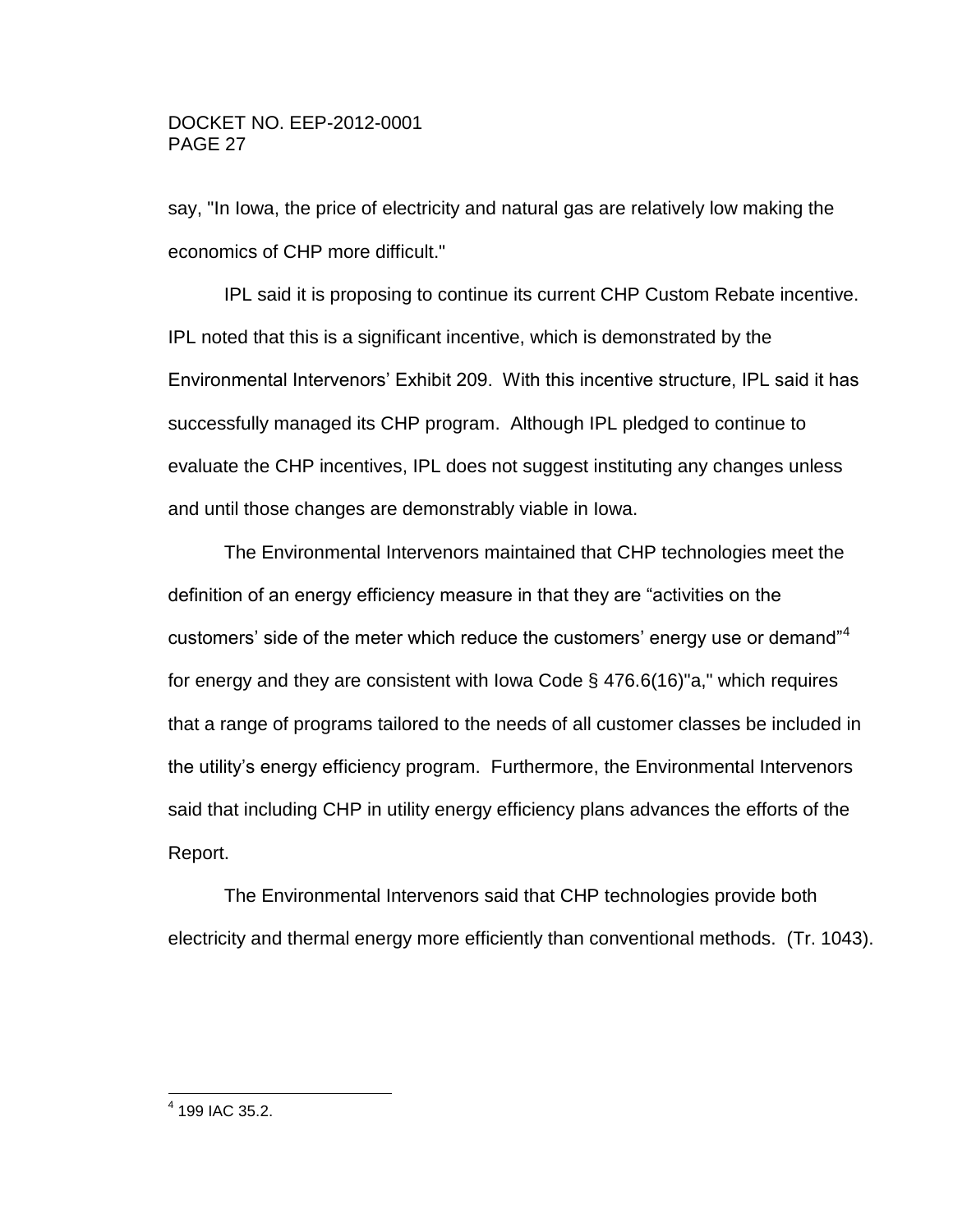say, "In Iowa, the price of electricity and natural gas are relatively low making the economics of CHP more difficult."

IPL said it is proposing to continue its current CHP Custom Rebate incentive. IPL noted that this is a significant incentive, which is demonstrated by the Environmental Intervenors' Exhibit 209. With this incentive structure, IPL said it has successfully managed its CHP program. Although IPL pledged to continue to evaluate the CHP incentives, IPL does not suggest instituting any changes unless and until those changes are demonstrably viable in Iowa.

The Environmental Intervenors maintained that CHP technologies meet the definition of an energy efficiency measure in that they are "activities on the customers' side of the meter which reduce the customers' energy use or demand<sup>"4</sup> for energy and they are consistent with Iowa Code § 476.6(16)"a," which requires that a range of programs tailored to the needs of all customer classes be included in the utility's energy efficiency program. Furthermore, the Environmental Intervenors said that including CHP in utility energy efficiency plans advances the efforts of the Report.

The Environmental Intervenors said that CHP technologies provide both electricity and thermal energy more efficiently than conventional methods. (Tr. 1043).

 4 199 IAC 35.2.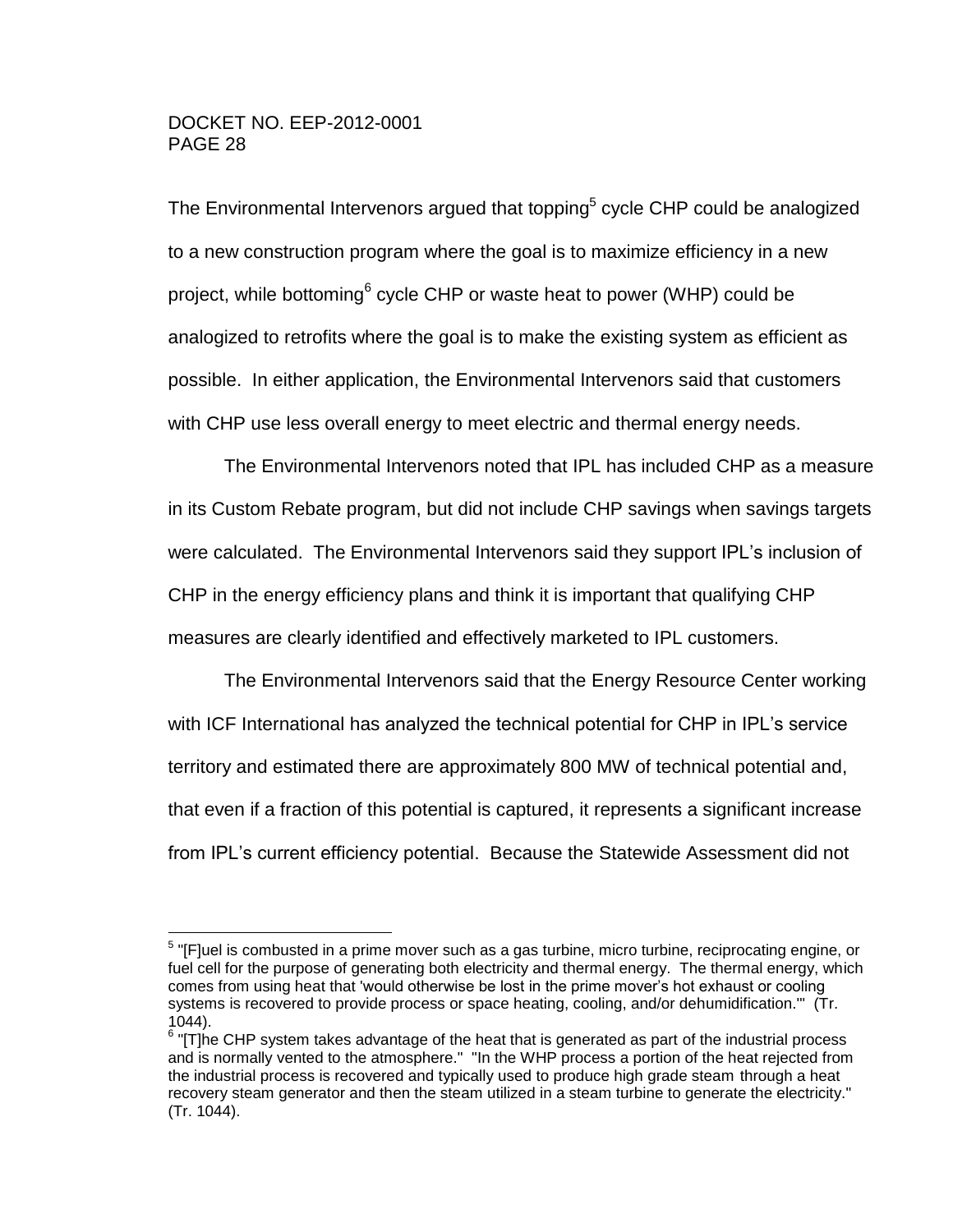$\overline{a}$ 

The Environmental Intervenors argued that topping<sup>5</sup> cycle CHP could be analogized to a new construction program where the goal is to maximize efficiency in a new project, while bottoming<sup>6</sup> cycle CHP or waste heat to power (WHP) could be analogized to retrofits where the goal is to make the existing system as efficient as possible. In either application, the Environmental Intervenors said that customers with CHP use less overall energy to meet electric and thermal energy needs.

The Environmental Intervenors noted that IPL has included CHP as a measure in its Custom Rebate program, but did not include CHP savings when savings targets were calculated. The Environmental Intervenors said they support IPL's inclusion of CHP in the energy efficiency plans and think it is important that qualifying CHP measures are clearly identified and effectively marketed to IPL customers.

The Environmental Intervenors said that the Energy Resource Center working with ICF International has analyzed the technical potential for CHP in IPL's service territory and estimated there are approximately 800 MW of technical potential and, that even if a fraction of this potential is captured, it represents a significant increase from IPL's current efficiency potential. Because the Statewide Assessment did not

 $5$  "[F]uel is combusted in a prime mover such as a gas turbine, micro turbine, reciprocating engine, or fuel cell for the purpose of generating both electricity and thermal energy. The thermal energy, which comes from using heat that 'would otherwise be lost in the prime mover's hot exhaust or cooling systems is recovered to provide process or space heating, cooling, and/or dehumidification.'" (Tr. 1044).

 $6$  "[T]he CHP system takes advantage of the heat that is generated as part of the industrial process and is normally vented to the atmosphere." "In the WHP process a portion of the heat rejected from the industrial process is recovered and typically used to produce high grade steam through a heat recovery steam generator and then the steam utilized in a steam turbine to generate the electricity." (Tr. 1044).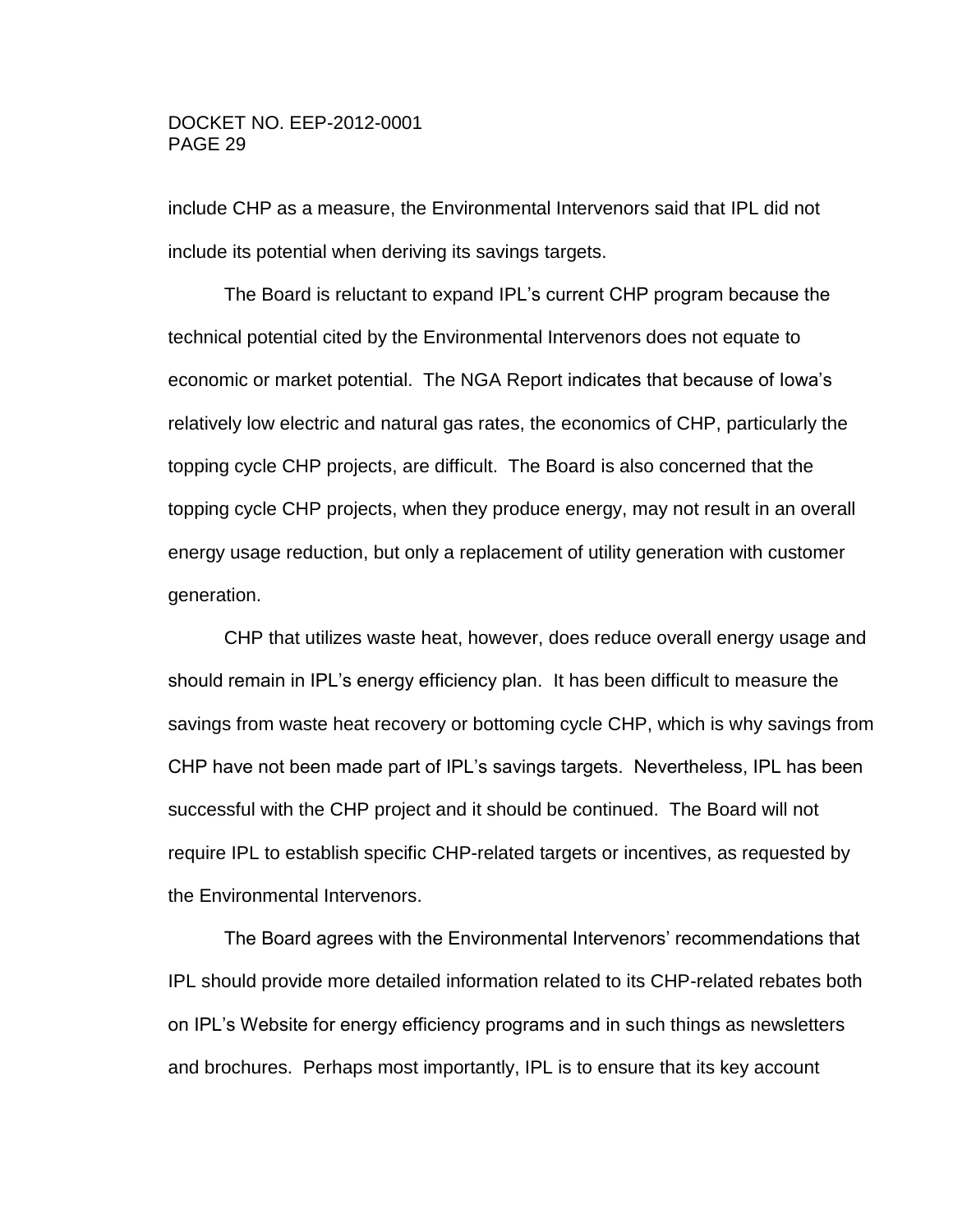include CHP as a measure, the Environmental Intervenors said that IPL did not include its potential when deriving its savings targets.

The Board is reluctant to expand IPL's current CHP program because the technical potential cited by the Environmental Intervenors does not equate to economic or market potential. The NGA Report indicates that because of Iowa's relatively low electric and natural gas rates, the economics of CHP, particularly the topping cycle CHP projects, are difficult. The Board is also concerned that the topping cycle CHP projects, when they produce energy, may not result in an overall energy usage reduction, but only a replacement of utility generation with customer generation.

CHP that utilizes waste heat, however, does reduce overall energy usage and should remain in IPL's energy efficiency plan. It has been difficult to measure the savings from waste heat recovery or bottoming cycle CHP, which is why savings from CHP have not been made part of IPL's savings targets. Nevertheless, IPL has been successful with the CHP project and it should be continued. The Board will not require IPL to establish specific CHP-related targets or incentives, as requested by the Environmental Intervenors.

The Board agrees with the Environmental Intervenors' recommendations that IPL should provide more detailed information related to its CHP-related rebates both on IPL's Website for energy efficiency programs and in such things as newsletters and brochures. Perhaps most importantly, IPL is to ensure that its key account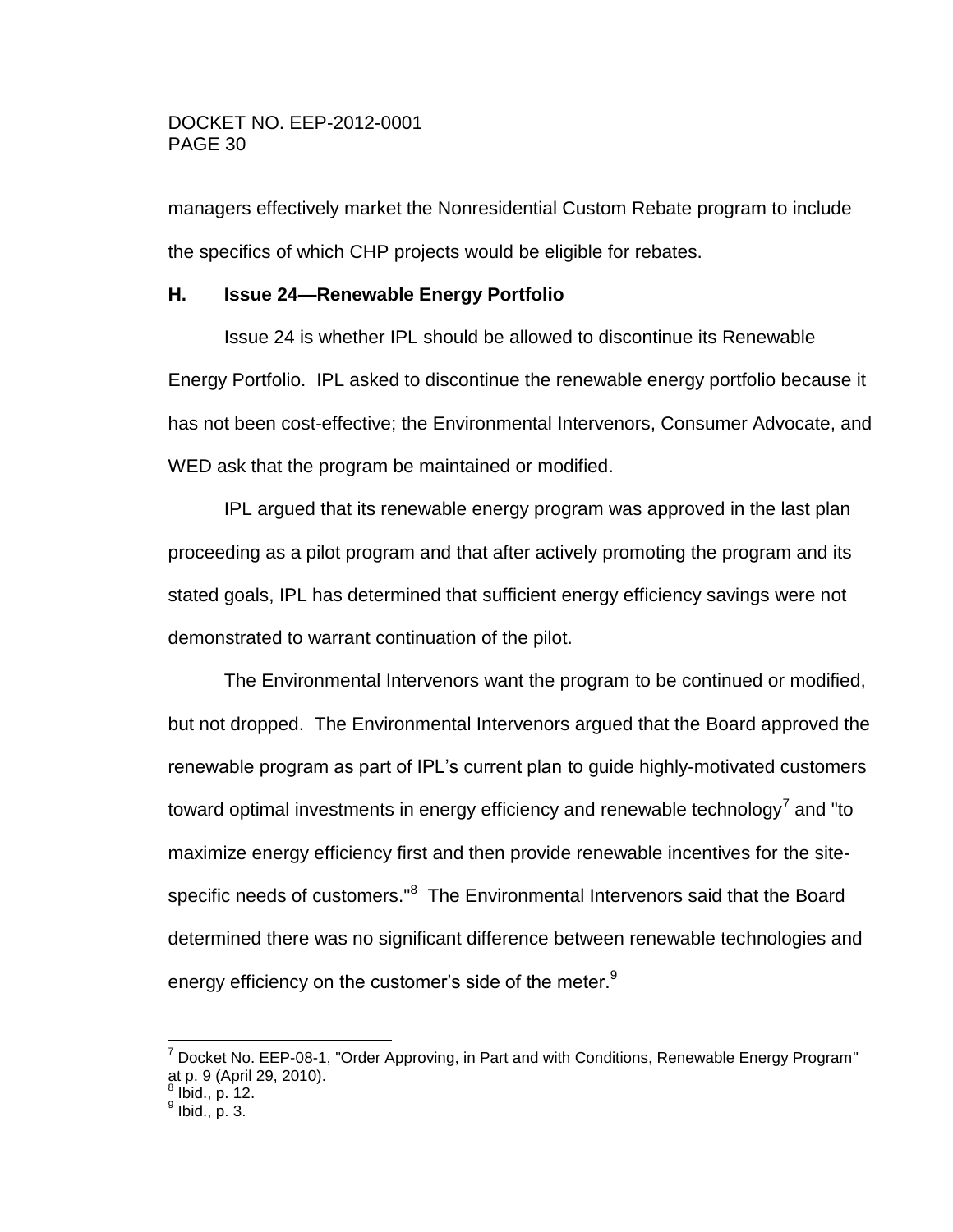managers effectively market the Nonresidential Custom Rebate program to include the specifics of which CHP projects would be eligible for rebates.

# <span id="page-29-0"></span>**H. Issue 24—Renewable Energy Portfolio**

Issue 24 is whether IPL should be allowed to discontinue its Renewable Energy Portfolio. IPL asked to discontinue the renewable energy portfolio because it has not been cost-effective; the Environmental Intervenors, Consumer Advocate, and WED ask that the program be maintained or modified.

IPL argued that its renewable energy program was approved in the last plan proceeding as a pilot program and that after actively promoting the program and its stated goals, IPL has determined that sufficient energy efficiency savings were not demonstrated to warrant continuation of the pilot.

The Environmental Intervenors want the program to be continued or modified, but not dropped. The Environmental Intervenors argued that the Board approved the renewable program as part of IPL's current plan to guide highly-motivated customers toward optimal investments in energy efficiency and renewable technology<sup>7</sup> and "to maximize energy efficiency first and then provide renewable incentives for the sitespecific needs of customers."<sup>8</sup> The Environmental Intervenors said that the Board determined there was no significant difference between renewable technologies and energy efficiency on the customer's side of the meter.<sup>9</sup>

 $\overline{a}$ 

 $7$  Docket No. EEP-08-1, "Order Approving, in Part and with Conditions, Renewable Energy Program" at p. 9 (April 29, 2010).<br><sup>8</sup> Ibid., p. 12.<br><sup>9</sup> Ibid., p. 3.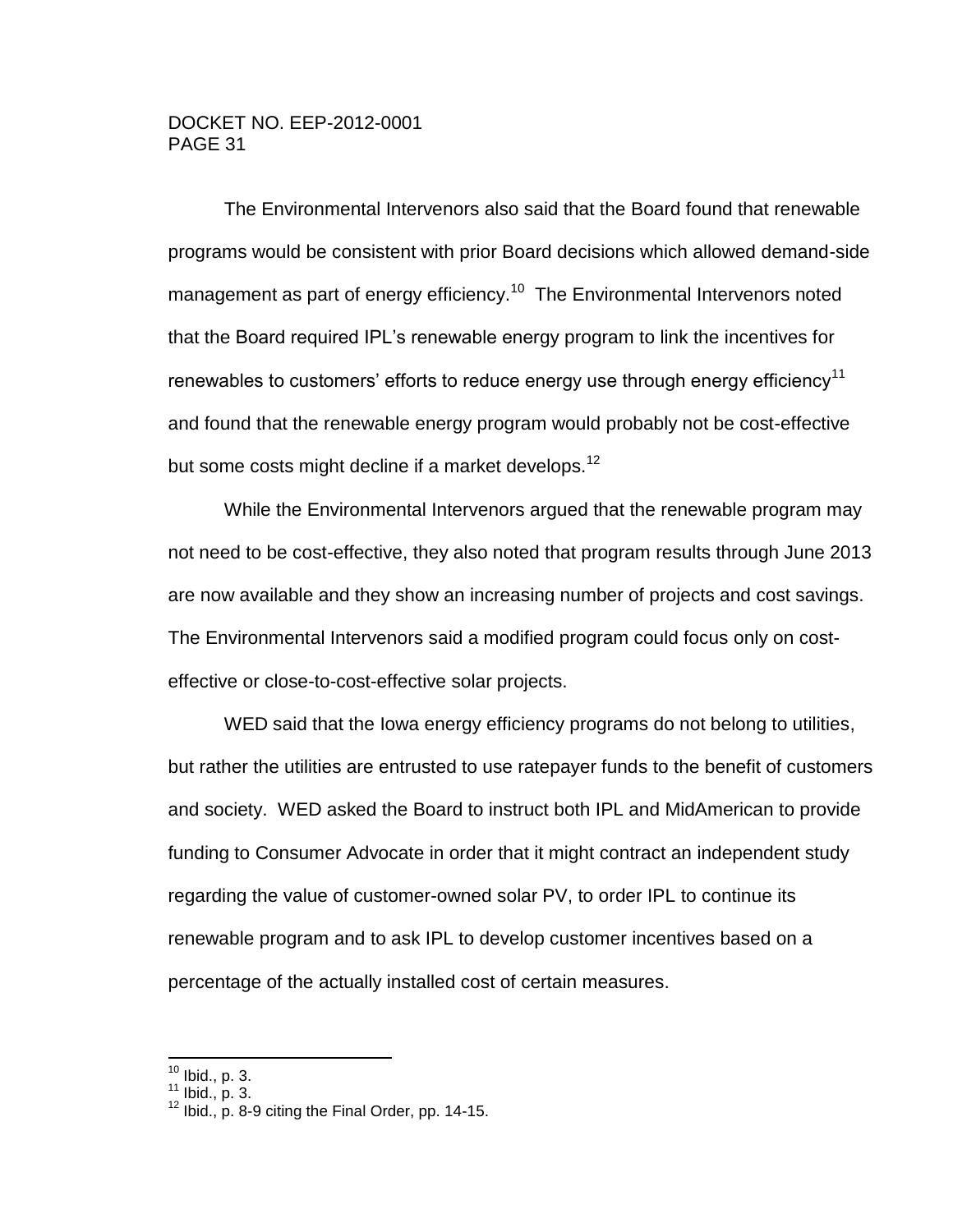The Environmental Intervenors also said that the Board found that renewable programs would be consistent with prior Board decisions which allowed demand-side management as part of energy efficiency.<sup>10</sup> The Environmental Intervenors noted that the Board required IPL's renewable energy program to link the incentives for renewables to customers' efforts to reduce energy use through energy efficiency<sup>11</sup> and found that the renewable energy program would probably not be cost-effective but some costs might decline if a market develops.<sup>12</sup>

While the Environmental Intervenors argued that the renewable program may not need to be cost-effective, they also noted that program results through June 2013 are now available and they show an increasing number of projects and cost savings. The Environmental Intervenors said a modified program could focus only on costeffective or close-to-cost-effective solar projects.

WED said that the Iowa energy efficiency programs do not belong to utilities, but rather the utilities are entrusted to use ratepayer funds to the benefit of customers and society. WED asked the Board to instruct both IPL and MidAmerican to provide funding to Consumer Advocate in order that it might contract an independent study regarding the value of customer-owned solar PV, to order IPL to continue its renewable program and to ask IPL to develop customer incentives based on a percentage of the actually installed cost of certain measures.

 $10$  Ibid., p. 3.

 $\overline{a}$ 

 $11$  Ibid., p. 3.

 $12$  Ibid., p. 8-9 citing the Final Order, pp. 14-15.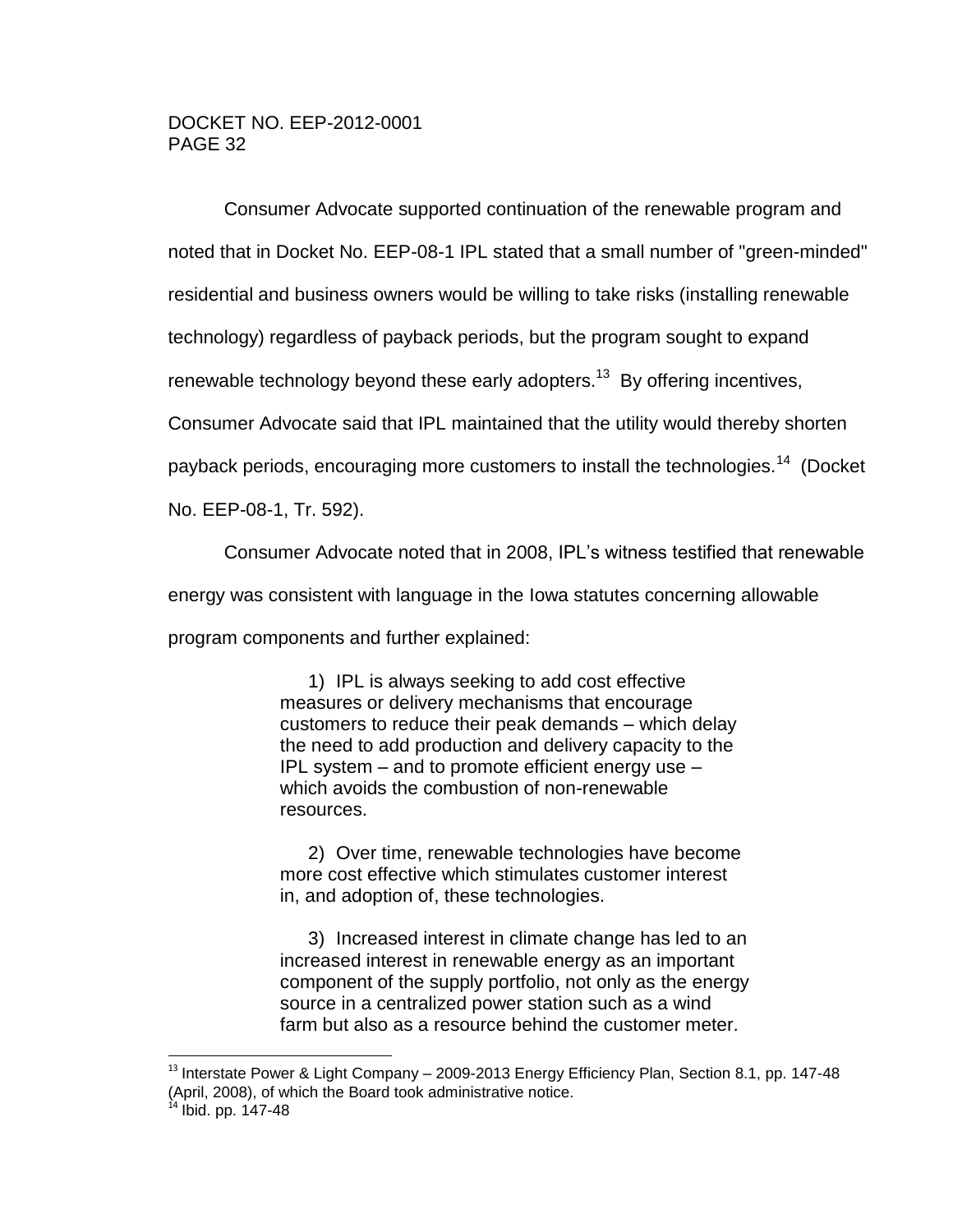Consumer Advocate supported continuation of the renewable program and noted that in Docket No. EEP-08-1 IPL stated that a small number of "green-minded" residential and business owners would be willing to take risks (installing renewable technology) regardless of payback periods, but the program sought to expand renewable technology beyond these early adopters.<sup>13</sup> By offering incentives, Consumer Advocate said that IPL maintained that the utility would thereby shorten payback periods, encouraging more customers to install the technologies.<sup>14</sup> (Docket No. EEP-08-1, Tr. 592).

Consumer Advocate noted that in 2008, IPL's witness testified that renewable

energy was consistent with language in the Iowa statutes concerning allowable

program components and further explained:

 $\overline{a}$ 

1) IPL is always seeking to add cost effective measures or delivery mechanisms that encourage customers to reduce their peak demands – which delay the need to add production and delivery capacity to the IPL system – and to promote efficient energy use – which avoids the combustion of non-renewable resources.

2) Over time, renewable technologies have become more cost effective which stimulates customer interest in, and adoption of, these technologies.

3) Increased interest in climate change has led to an increased interest in renewable energy as an important component of the supply portfolio, not only as the energy source in a centralized power station such as a wind farm but also as a resource behind the customer meter.

 $^{13}$  Interstate Power & Light Company – 2009-2013 Energy Efficiency Plan, Section 8.1, pp. 147-48 (April, 2008), of which the Board took administrative notice.  $14$  Ibid. pp. 147-48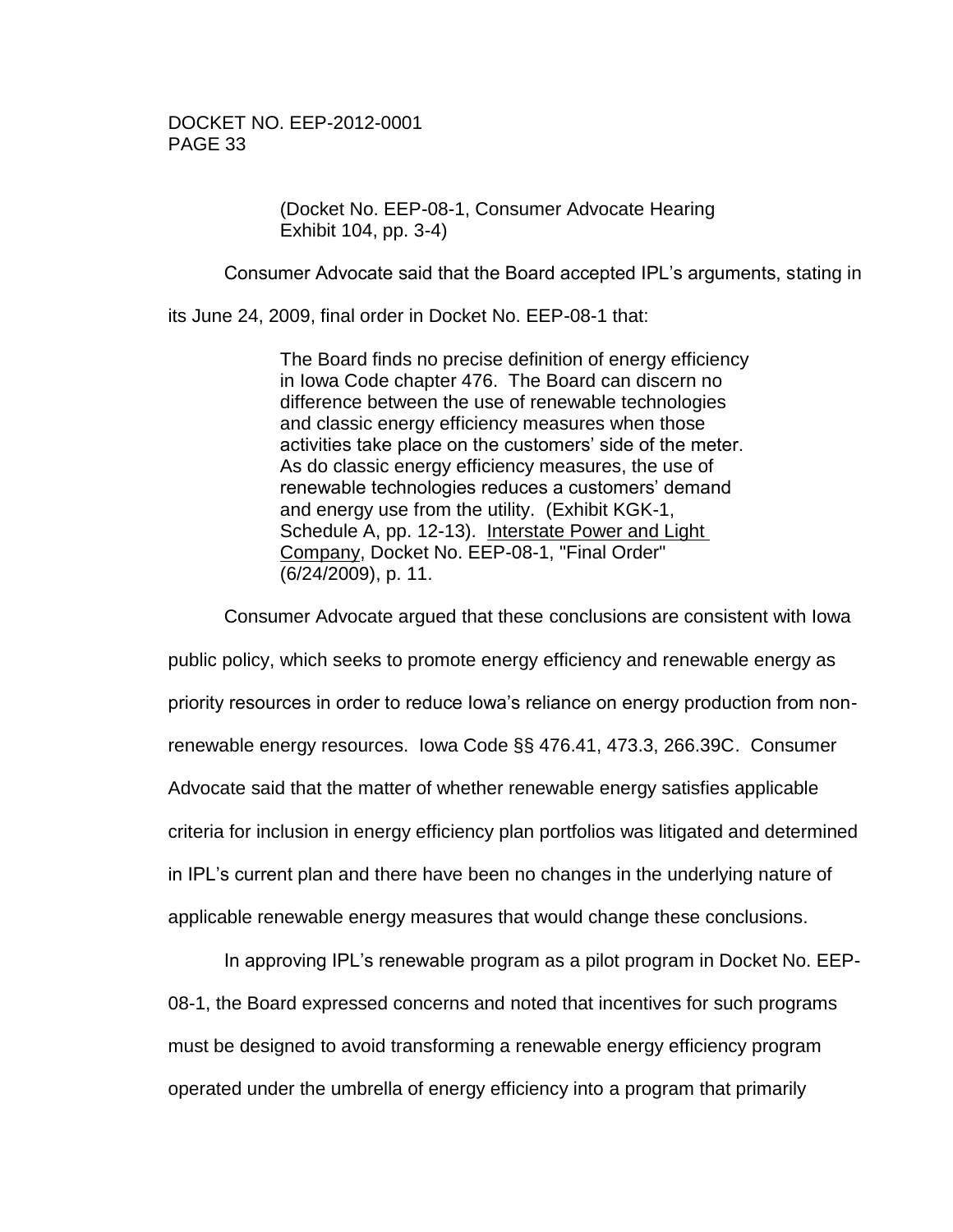(Docket No. EEP-08-1, Consumer Advocate Hearing Exhibit 104, pp. 3-4)

Consumer Advocate said that the Board accepted IPL's arguments, stating in

its June 24, 2009, final order in Docket No. EEP-08-1 that:

The Board finds no precise definition of energy efficiency in Iowa Code chapter 476. The Board can discern no difference between the use of renewable technologies and classic energy efficiency measures when those activities take place on the customers' side of the meter. As do classic energy efficiency measures, the use of renewable technologies reduces a customers' demand and energy use from the utility. (Exhibit KGK-1, Schedule A, pp. 12-13). Interstate Power and Light Company, Docket No. EEP-08-1, "Final Order" (6/24/2009), p. 11.

Consumer Advocate argued that these conclusions are consistent with Iowa public policy, which seeks to promote energy efficiency and renewable energy as priority resources in order to reduce Iowa's reliance on energy production from nonrenewable energy resources. Iowa Code §§ 476.41, 473.3, 266.39C. Consumer Advocate said that the matter of whether renewable energy satisfies applicable criteria for inclusion in energy efficiency plan portfolios was litigated and determined in IPL's current plan and there have been no changes in the underlying nature of applicable renewable energy measures that would change these conclusions.

In approving IPL's renewable program as a pilot program in Docket No. EEP-08-1, the Board expressed concerns and noted that incentives for such programs must be designed to avoid transforming a renewable energy efficiency program operated under the umbrella of energy efficiency into a program that primarily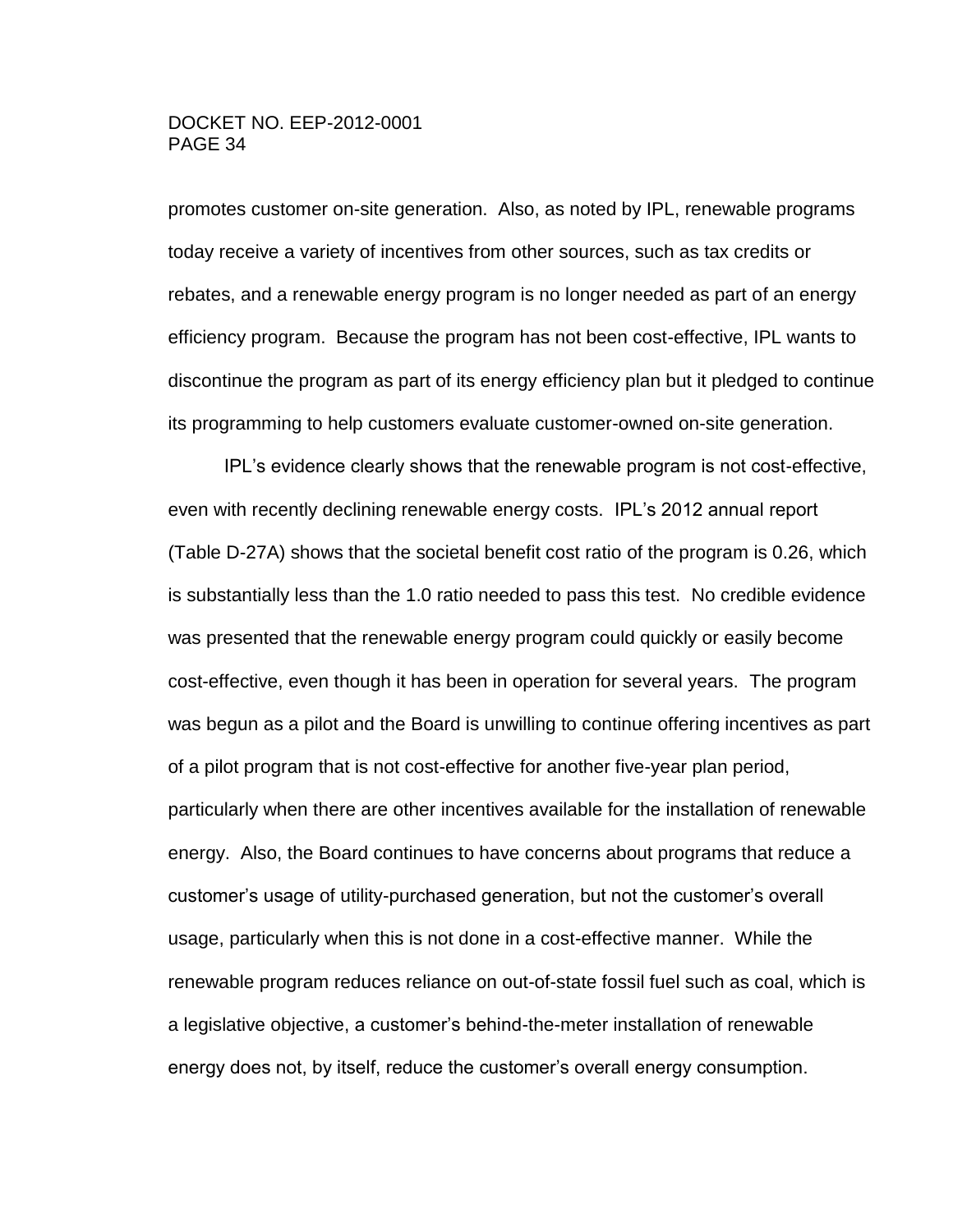promotes customer on-site generation. Also, as noted by IPL, renewable programs today receive a variety of incentives from other sources, such as tax credits or rebates, and a renewable energy program is no longer needed as part of an energy efficiency program. Because the program has not been cost-effective, IPL wants to discontinue the program as part of its energy efficiency plan but it pledged to continue its programming to help customers evaluate customer-owned on-site generation.

IPL's evidence clearly shows that the renewable program is not cost-effective, even with recently declining renewable energy costs. IPL's 2012 annual report (Table D-27A) shows that the societal benefit cost ratio of the program is 0.26, which is substantially less than the 1.0 ratio needed to pass this test. No credible evidence was presented that the renewable energy program could quickly or easily become cost-effective, even though it has been in operation for several years. The program was begun as a pilot and the Board is unwilling to continue offering incentives as part of a pilot program that is not cost-effective for another five-year plan period, particularly when there are other incentives available for the installation of renewable energy. Also, the Board continues to have concerns about programs that reduce a customer's usage of utility-purchased generation, but not the customer's overall usage, particularly when this is not done in a cost-effective manner. While the renewable program reduces reliance on out-of-state fossil fuel such as coal, which is a legislative objective, a customer's behind-the-meter installation of renewable energy does not, by itself, reduce the customer's overall energy consumption.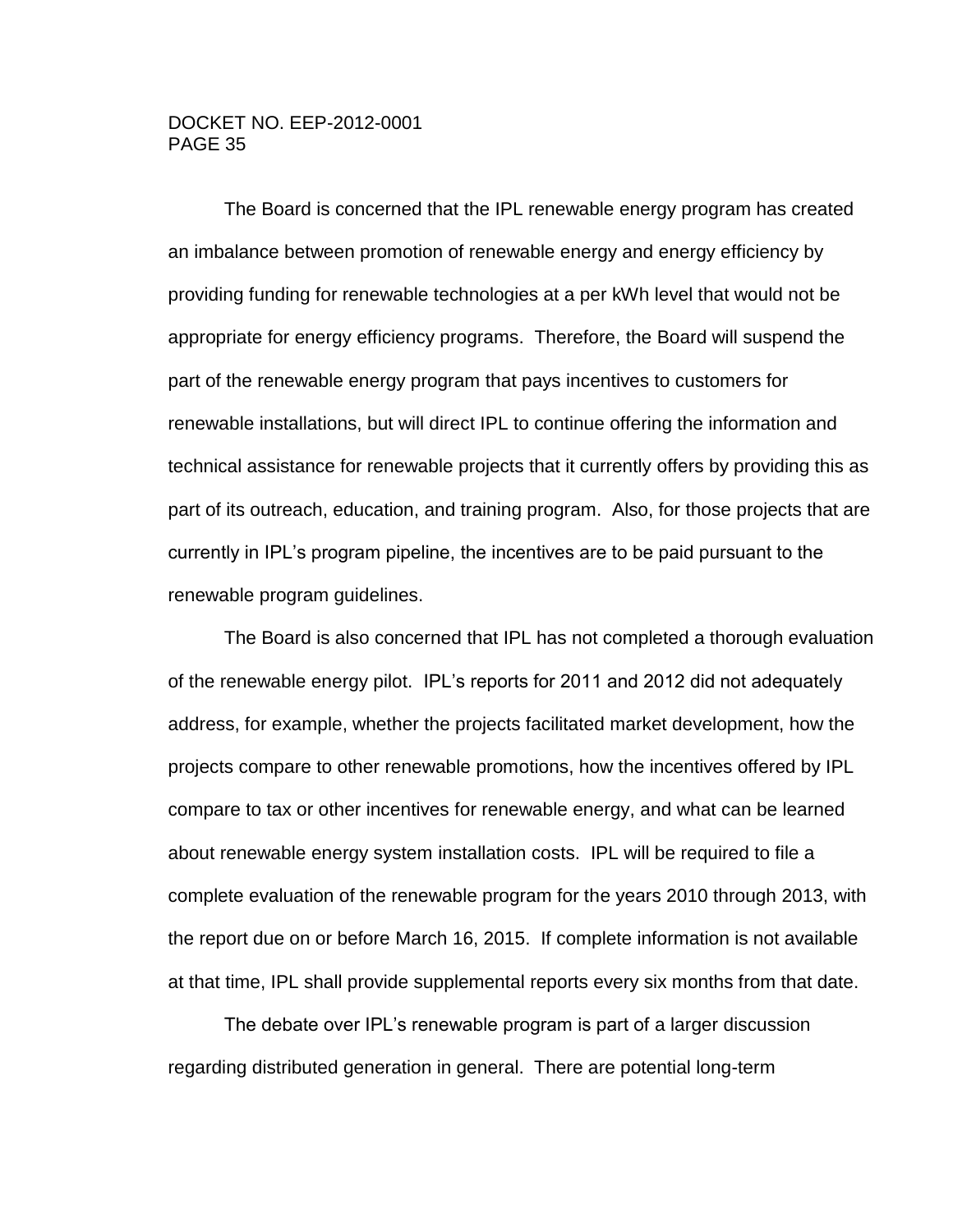The Board is concerned that the IPL renewable energy program has created an imbalance between promotion of renewable energy and energy efficiency by providing funding for renewable technologies at a per kWh level that would not be appropriate for energy efficiency programs. Therefore, the Board will suspend the part of the renewable energy program that pays incentives to customers for renewable installations, but will direct IPL to continue offering the information and technical assistance for renewable projects that it currently offers by providing this as part of its outreach, education, and training program. Also, for those projects that are currently in IPL's program pipeline, the incentives are to be paid pursuant to the renewable program guidelines.

The Board is also concerned that IPL has not completed a thorough evaluation of the renewable energy pilot. IPL's reports for 2011 and 2012 did not adequately address, for example, whether the projects facilitated market development, how the projects compare to other renewable promotions, how the incentives offered by IPL compare to tax or other incentives for renewable energy, and what can be learned about renewable energy system installation costs. IPL will be required to file a complete evaluation of the renewable program for the years 2010 through 2013, with the report due on or before March 16, 2015. If complete information is not available at that time, IPL shall provide supplemental reports every six months from that date.

The debate over IPL's renewable program is part of a larger discussion regarding distributed generation in general. There are potential long-term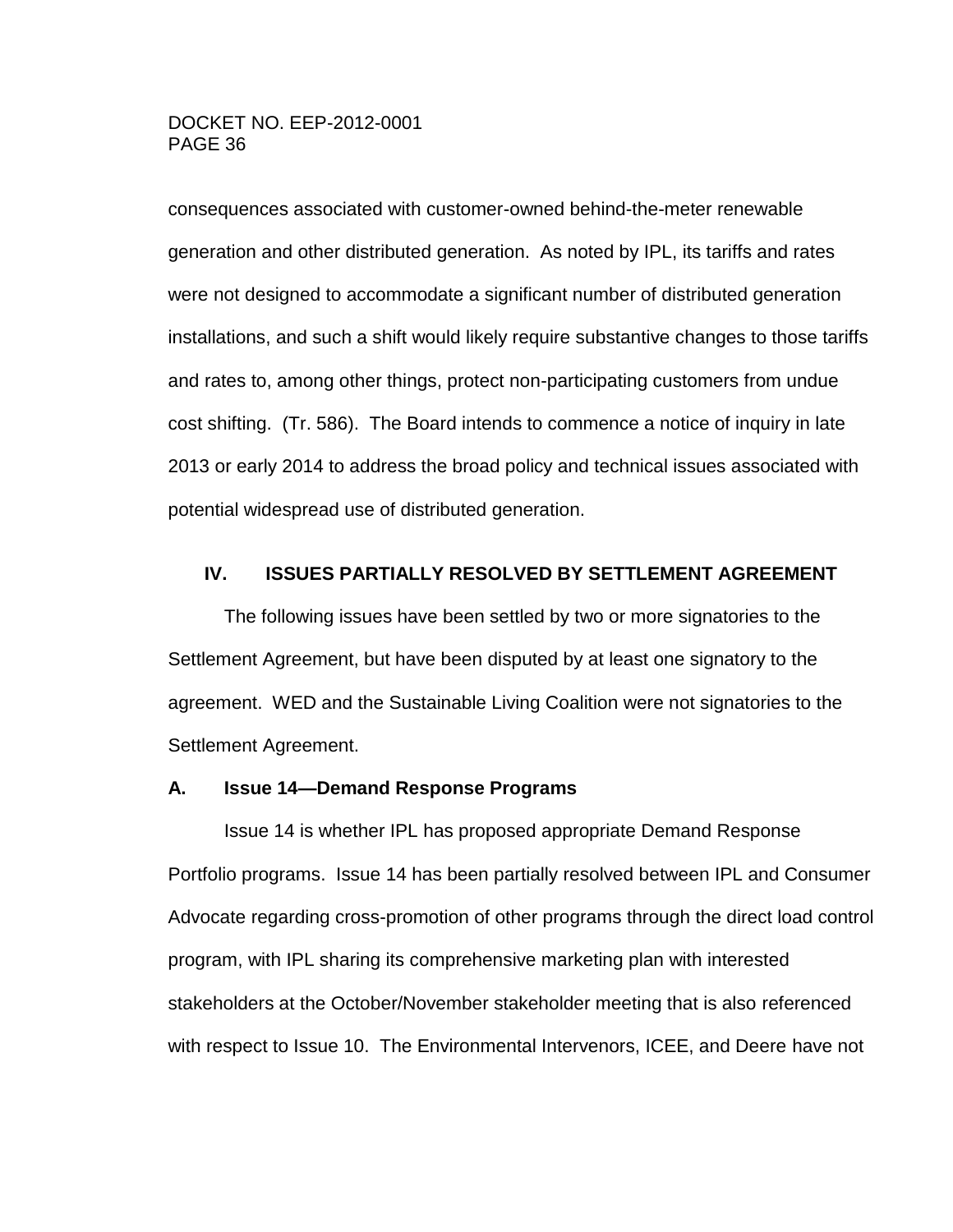consequences associated with customer-owned behind-the-meter renewable generation and other distributed generation. As noted by IPL, its tariffs and rates were not designed to accommodate a significant number of distributed generation installations, and such a shift would likely require substantive changes to those tariffs and rates to, among other things, protect non-participating customers from undue cost shifting. (Tr. 586). The Board intends to commence a notice of inquiry in late 2013 or early 2014 to address the broad policy and technical issues associated with potential widespread use of distributed generation.

### <span id="page-35-0"></span>**IV. ISSUES PARTIALLY RESOLVED BY SETTLEMENT AGREEMENT**

The following issues have been settled by two or more signatories to the Settlement Agreement, but have been disputed by at least one signatory to the agreement. WED and the Sustainable Living Coalition were not signatories to the Settlement Agreement.

#### <span id="page-35-1"></span>**A. Issue 14—Demand Response Programs**

Issue 14 is whether IPL has proposed appropriate Demand Response Portfolio programs. Issue 14 has been partially resolved between IPL and Consumer Advocate regarding cross-promotion of other programs through the direct load control program, with IPL sharing its comprehensive marketing plan with interested stakeholders at the October/November stakeholder meeting that is also referenced with respect to Issue 10. The Environmental Intervenors, ICEE, and Deere have not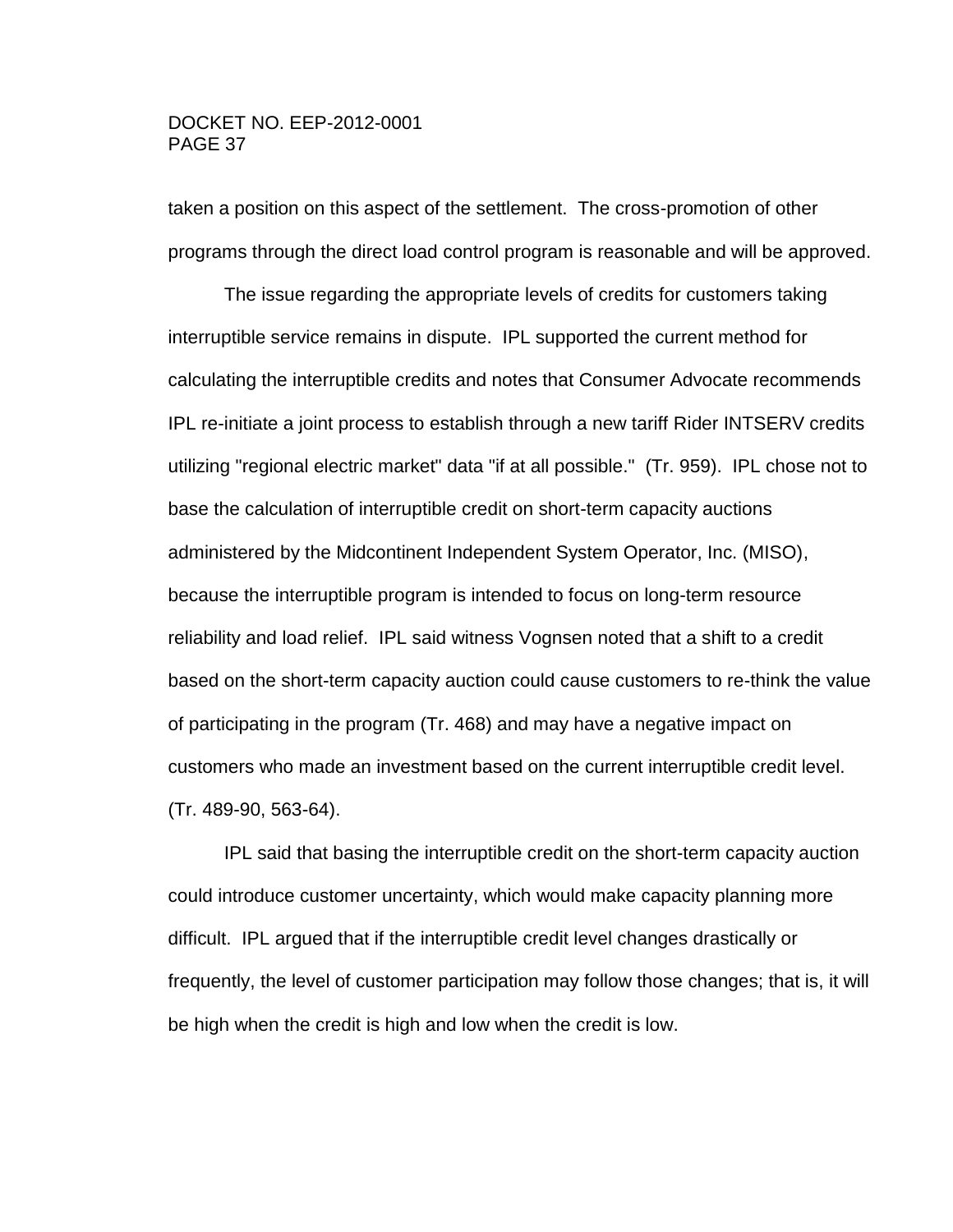taken a position on this aspect of the settlement. The cross-promotion of other programs through the direct load control program is reasonable and will be approved.

The issue regarding the appropriate levels of credits for customers taking interruptible service remains in dispute. IPL supported the current method for calculating the interruptible credits and notes that Consumer Advocate recommends IPL re-initiate a joint process to establish through a new tariff Rider INTSERV credits utilizing "regional electric market" data "if at all possible." (Tr. 959). IPL chose not to base the calculation of interruptible credit on short-term capacity auctions administered by the Midcontinent Independent System Operator, Inc. (MISO), because the interruptible program is intended to focus on long-term resource reliability and load relief. IPL said witness Vognsen noted that a shift to a credit based on the short-term capacity auction could cause customers to re-think the value of participating in the program (Tr. 468) and may have a negative impact on customers who made an investment based on the current interruptible credit level. (Tr. 489-90, 563-64).

IPL said that basing the interruptible credit on the short-term capacity auction could introduce customer uncertainty, which would make capacity planning more difficult. IPL argued that if the interruptible credit level changes drastically or frequently, the level of customer participation may follow those changes; that is, it will be high when the credit is high and low when the credit is low.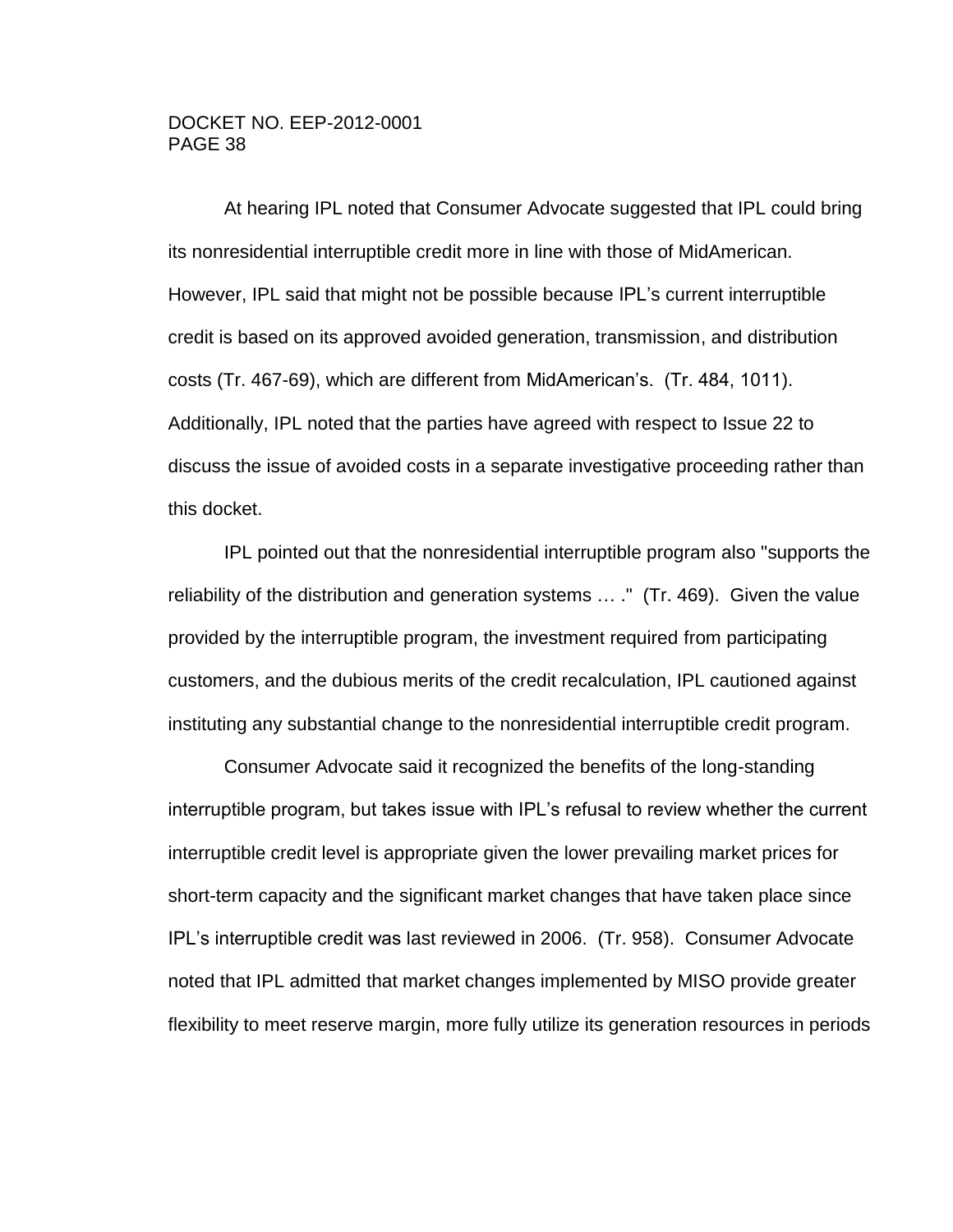At hearing IPL noted that Consumer Advocate suggested that IPL could bring its nonresidential interruptible credit more in line with those of MidAmerican. However, IPL said that might not be possible because IPL's current interruptible credit is based on its approved avoided generation, transmission, and distribution costs (Tr. 467-69), which are different from MidAmerican's. (Tr. 484, 1011). Additionally, IPL noted that the parties have agreed with respect to Issue 22 to discuss the issue of avoided costs in a separate investigative proceeding rather than this docket.

IPL pointed out that the nonresidential interruptible program also "supports the reliability of the distribution and generation systems … ." (Tr. 469). Given the value provided by the interruptible program, the investment required from participating customers, and the dubious merits of the credit recalculation, IPL cautioned against instituting any substantial change to the nonresidential interruptible credit program.

Consumer Advocate said it recognized the benefits of the long-standing interruptible program, but takes issue with IPL's refusal to review whether the current interruptible credit level is appropriate given the lower prevailing market prices for short-term capacity and the significant market changes that have taken place since IPL's interruptible credit was last reviewed in 2006. (Tr. 958). Consumer Advocate noted that IPL admitted that market changes implemented by MISO provide greater flexibility to meet reserve margin, more fully utilize its generation resources in periods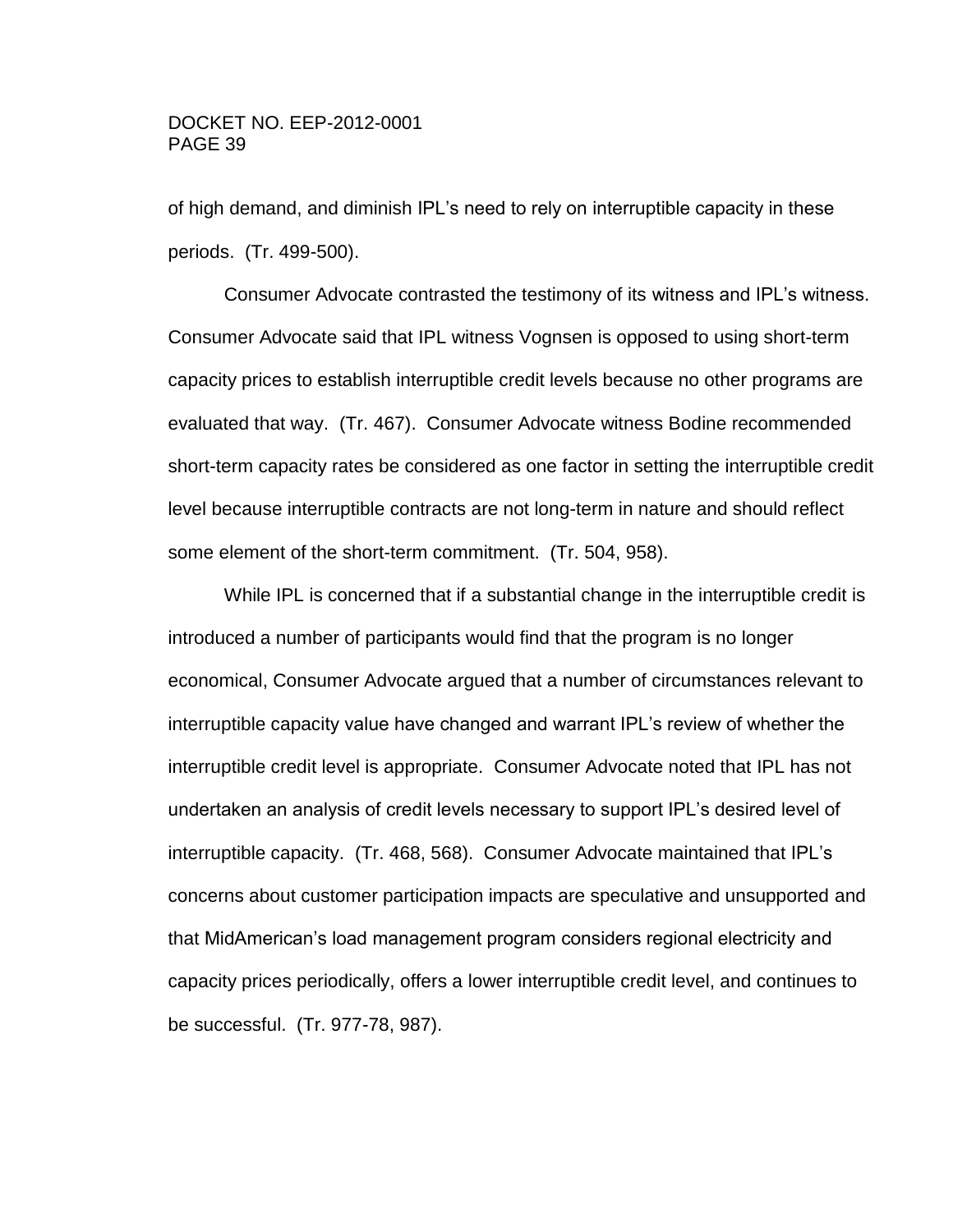of high demand, and diminish IPL's need to rely on interruptible capacity in these periods. (Tr. 499-500).

Consumer Advocate contrasted the testimony of its witness and IPL's witness. Consumer Advocate said that IPL witness Vognsen is opposed to using short-term capacity prices to establish interruptible credit levels because no other programs are evaluated that way. (Tr. 467). Consumer Advocate witness Bodine recommended short-term capacity rates be considered as one factor in setting the interruptible credit level because interruptible contracts are not long-term in nature and should reflect some element of the short-term commitment. (Tr. 504, 958).

While IPL is concerned that if a substantial change in the interruptible credit is introduced a number of participants would find that the program is no longer economical, Consumer Advocate argued that a number of circumstances relevant to interruptible capacity value have changed and warrant IPL's review of whether the interruptible credit level is appropriate. Consumer Advocate noted that IPL has not undertaken an analysis of credit levels necessary to support IPL's desired level of interruptible capacity. (Tr. 468, 568). Consumer Advocate maintained that IPL's concerns about customer participation impacts are speculative and unsupported and that MidAmerican's load management program considers regional electricity and capacity prices periodically, offers a lower interruptible credit level, and continues to be successful. (Tr. 977-78, 987).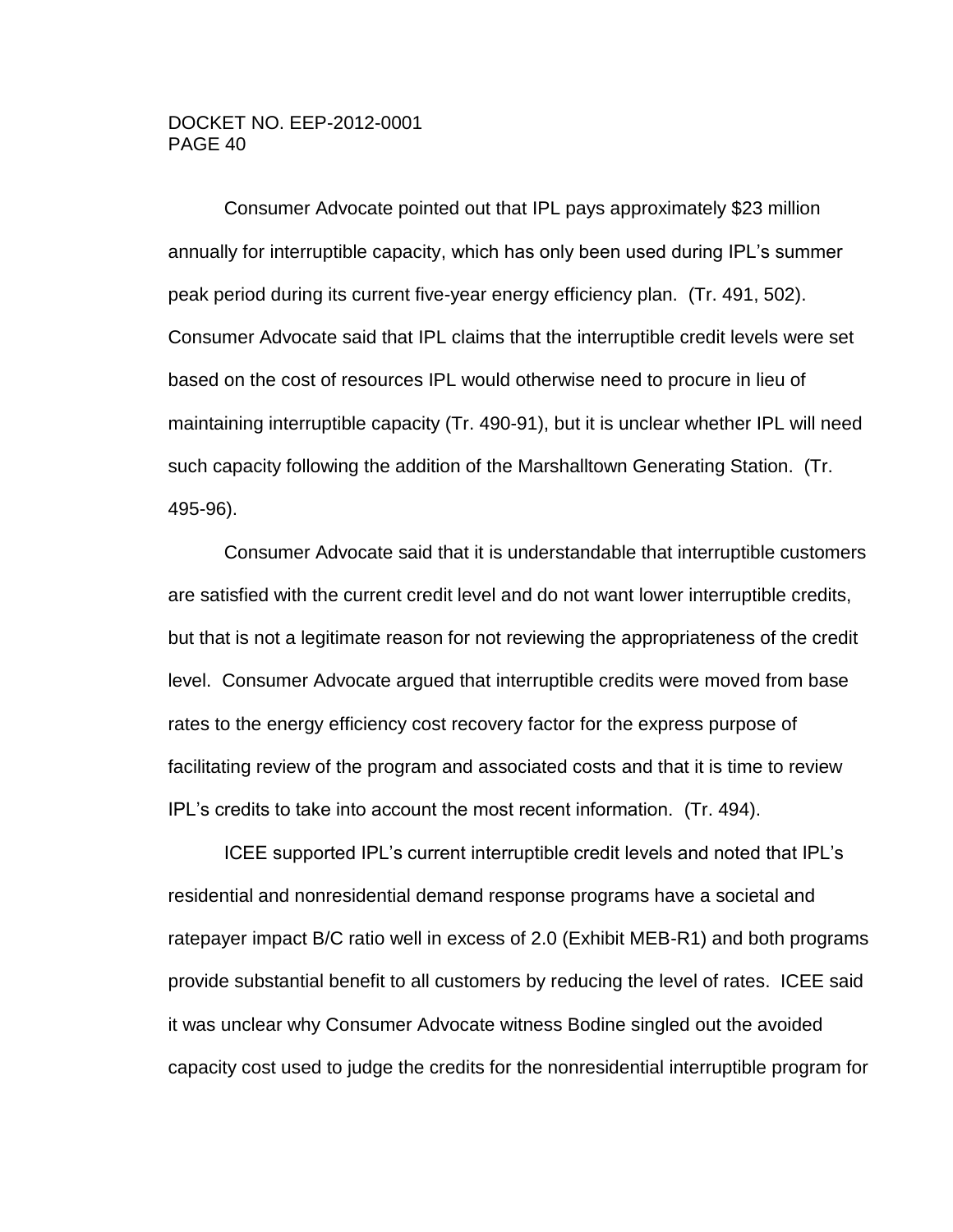Consumer Advocate pointed out that IPL pays approximately \$23 million annually for interruptible capacity, which has only been used during IPL's summer peak period during its current five-year energy efficiency plan. (Tr. 491, 502). Consumer Advocate said that IPL claims that the interruptible credit levels were set based on the cost of resources IPL would otherwise need to procure in lieu of maintaining interruptible capacity (Tr. 490-91), but it is unclear whether IPL will need such capacity following the addition of the Marshalltown Generating Station. (Tr. 495-96).

Consumer Advocate said that it is understandable that interruptible customers are satisfied with the current credit level and do not want lower interruptible credits, but that is not a legitimate reason for not reviewing the appropriateness of the credit level. Consumer Advocate argued that interruptible credits were moved from base rates to the energy efficiency cost recovery factor for the express purpose of facilitating review of the program and associated costs and that it is time to review IPL's credits to take into account the most recent information. (Tr. 494).

ICEE supported IPL's current interruptible credit levels and noted that IPL's residential and nonresidential demand response programs have a societal and ratepayer impact B/C ratio well in excess of 2.0 (Exhibit MEB-R1) and both programs provide substantial benefit to all customers by reducing the level of rates. ICEE said it was unclear why Consumer Advocate witness Bodine singled out the avoided capacity cost used to judge the credits for the nonresidential interruptible program for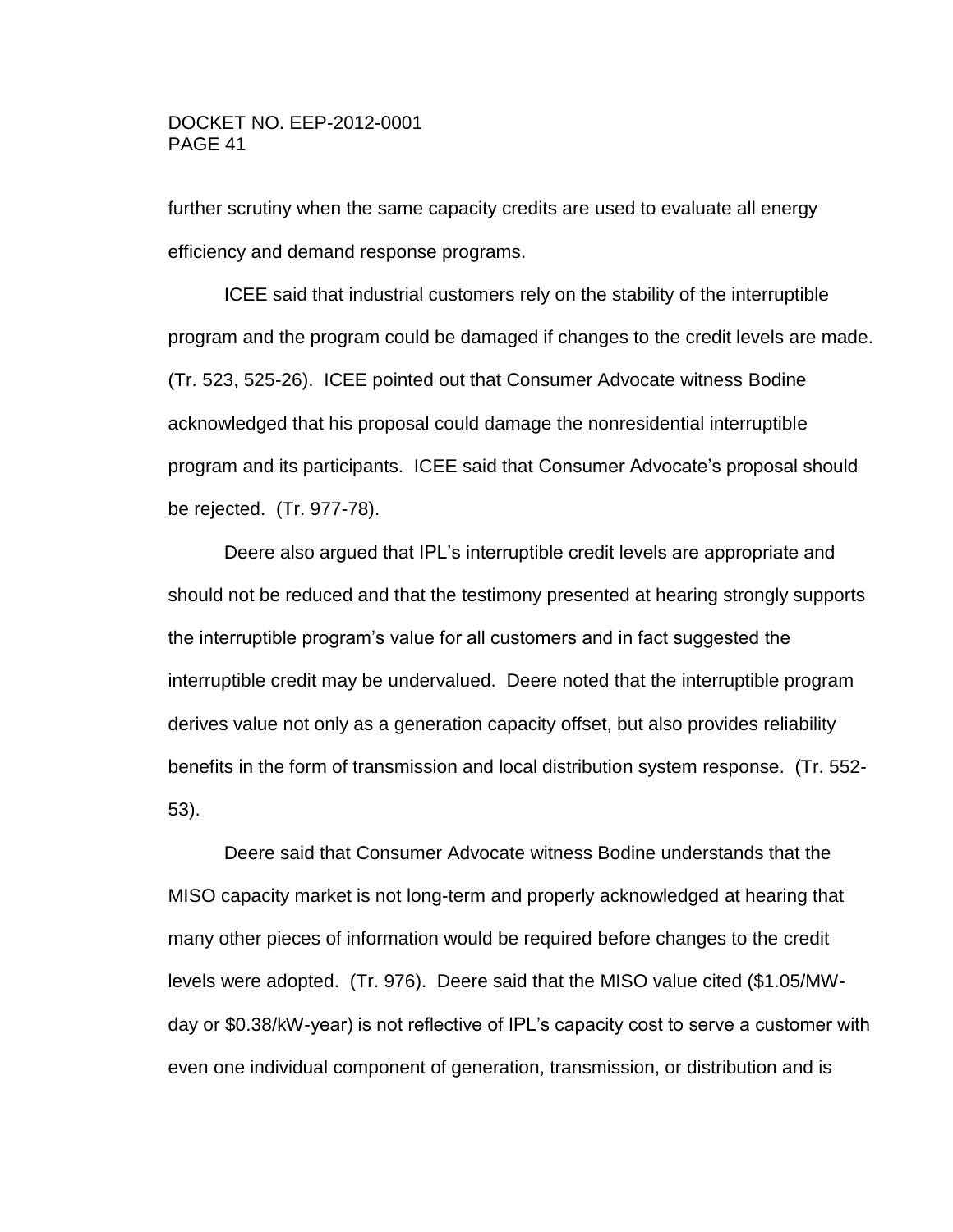further scrutiny when the same capacity credits are used to evaluate all energy efficiency and demand response programs.

ICEE said that industrial customers rely on the stability of the interruptible program and the program could be damaged if changes to the credit levels are made. (Tr. 523, 525-26). ICEE pointed out that Consumer Advocate witness Bodine acknowledged that his proposal could damage the nonresidential interruptible program and its participants. ICEE said that Consumer Advocate's proposal should be rejected. (Tr. 977-78).

Deere also argued that IPL's interruptible credit levels are appropriate and should not be reduced and that the testimony presented at hearing strongly supports the interruptible program's value for all customers and in fact suggested the interruptible credit may be undervalued. Deere noted that the interruptible program derives value not only as a generation capacity offset, but also provides reliability benefits in the form of transmission and local distribution system response. (Tr. 552- 53).

Deere said that Consumer Advocate witness Bodine understands that the MISO capacity market is not long-term and properly acknowledged at hearing that many other pieces of information would be required before changes to the credit levels were adopted. (Tr. 976). Deere said that the MISO value cited (\$1.05/MWday or \$0.38/kW-year) is not reflective of IPL's capacity cost to serve a customer with even one individual component of generation, transmission, or distribution and is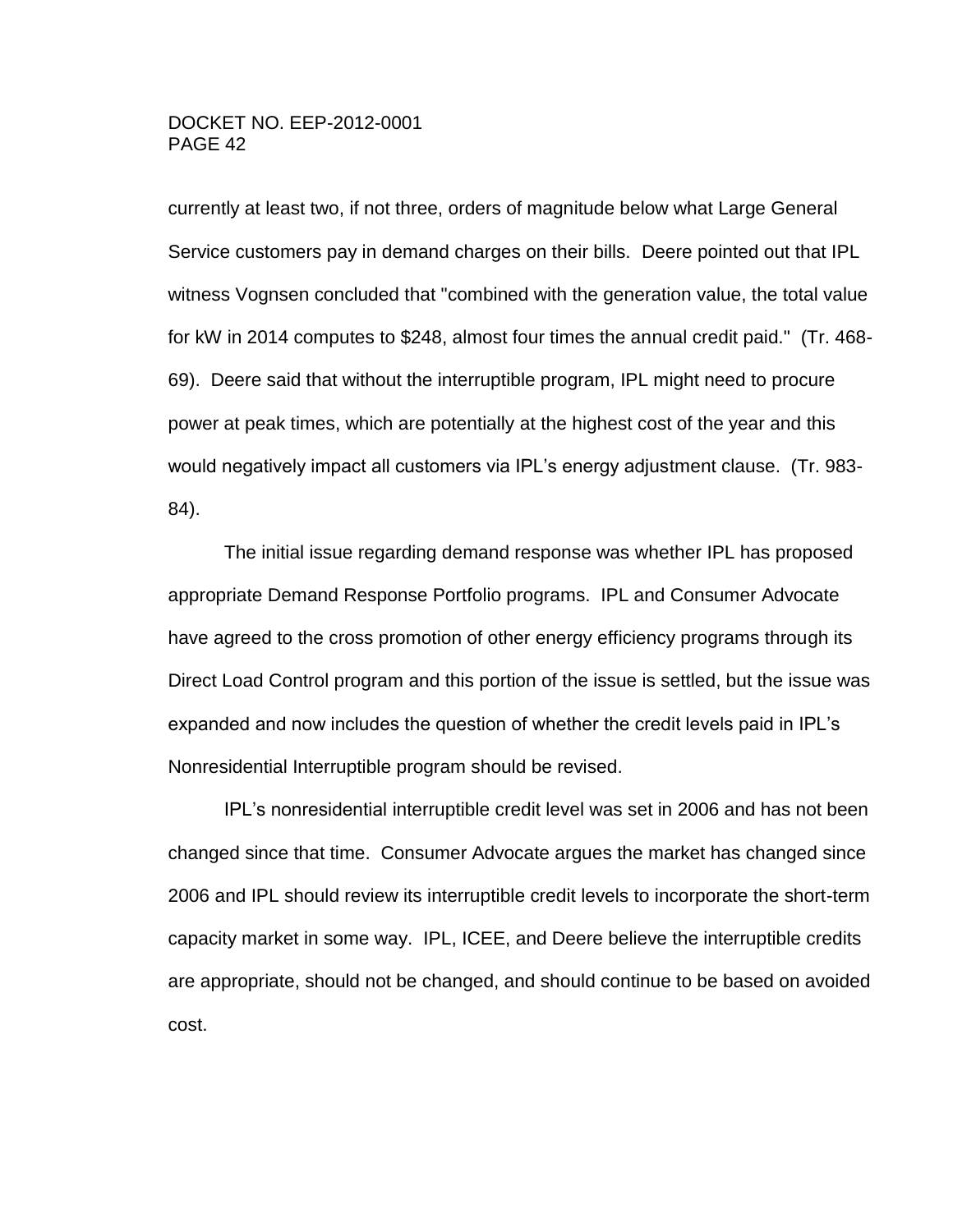currently at least two, if not three, orders of magnitude below what Large General Service customers pay in demand charges on their bills. Deere pointed out that IPL witness Vognsen concluded that "combined with the generation value, the total value for kW in 2014 computes to \$248, almost four times the annual credit paid." (Tr. 468- 69). Deere said that without the interruptible program, IPL might need to procure power at peak times, which are potentially at the highest cost of the year and this would negatively impact all customers via IPL's energy adjustment clause. (Tr. 983- 84).

The initial issue regarding demand response was whether IPL has proposed appropriate Demand Response Portfolio programs. IPL and Consumer Advocate have agreed to the cross promotion of other energy efficiency programs through its Direct Load Control program and this portion of the issue is settled, but the issue was expanded and now includes the question of whether the credit levels paid in IPL's Nonresidential Interruptible program should be revised.

IPL's nonresidential interruptible credit level was set in 2006 and has not been changed since that time. Consumer Advocate argues the market has changed since 2006 and IPL should review its interruptible credit levels to incorporate the short-term capacity market in some way. IPL, ICEE, and Deere believe the interruptible credits are appropriate, should not be changed, and should continue to be based on avoided cost.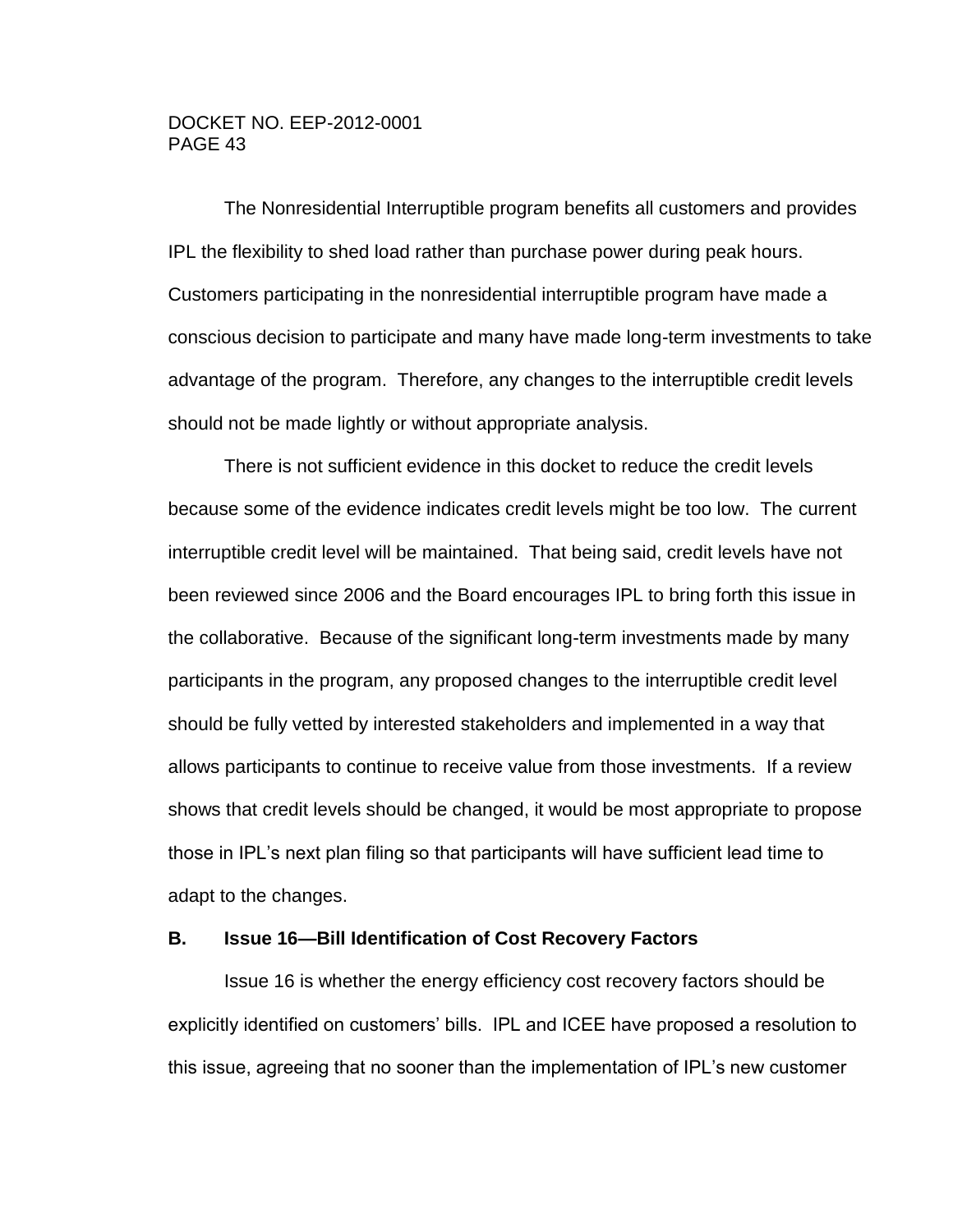The Nonresidential Interruptible program benefits all customers and provides IPL the flexibility to shed load rather than purchase power during peak hours. Customers participating in the nonresidential interruptible program have made a conscious decision to participate and many have made long-term investments to take advantage of the program. Therefore, any changes to the interruptible credit levels should not be made lightly or without appropriate analysis.

There is not sufficient evidence in this docket to reduce the credit levels because some of the evidence indicates credit levels might be too low. The current interruptible credit level will be maintained. That being said, credit levels have not been reviewed since 2006 and the Board encourages IPL to bring forth this issue in the collaborative. Because of the significant long-term investments made by many participants in the program, any proposed changes to the interruptible credit level should be fully vetted by interested stakeholders and implemented in a way that allows participants to continue to receive value from those investments. If a review shows that credit levels should be changed, it would be most appropriate to propose those in IPL's next plan filing so that participants will have sufficient lead time to adapt to the changes.

#### **B. Issue 16—Bill Identification of Cost Recovery Factors**

Issue 16 is whether the energy efficiency cost recovery factors should be explicitly identified on customers' bills. IPL and ICEE have proposed a resolution to this issue, agreeing that no sooner than the implementation of IPL's new customer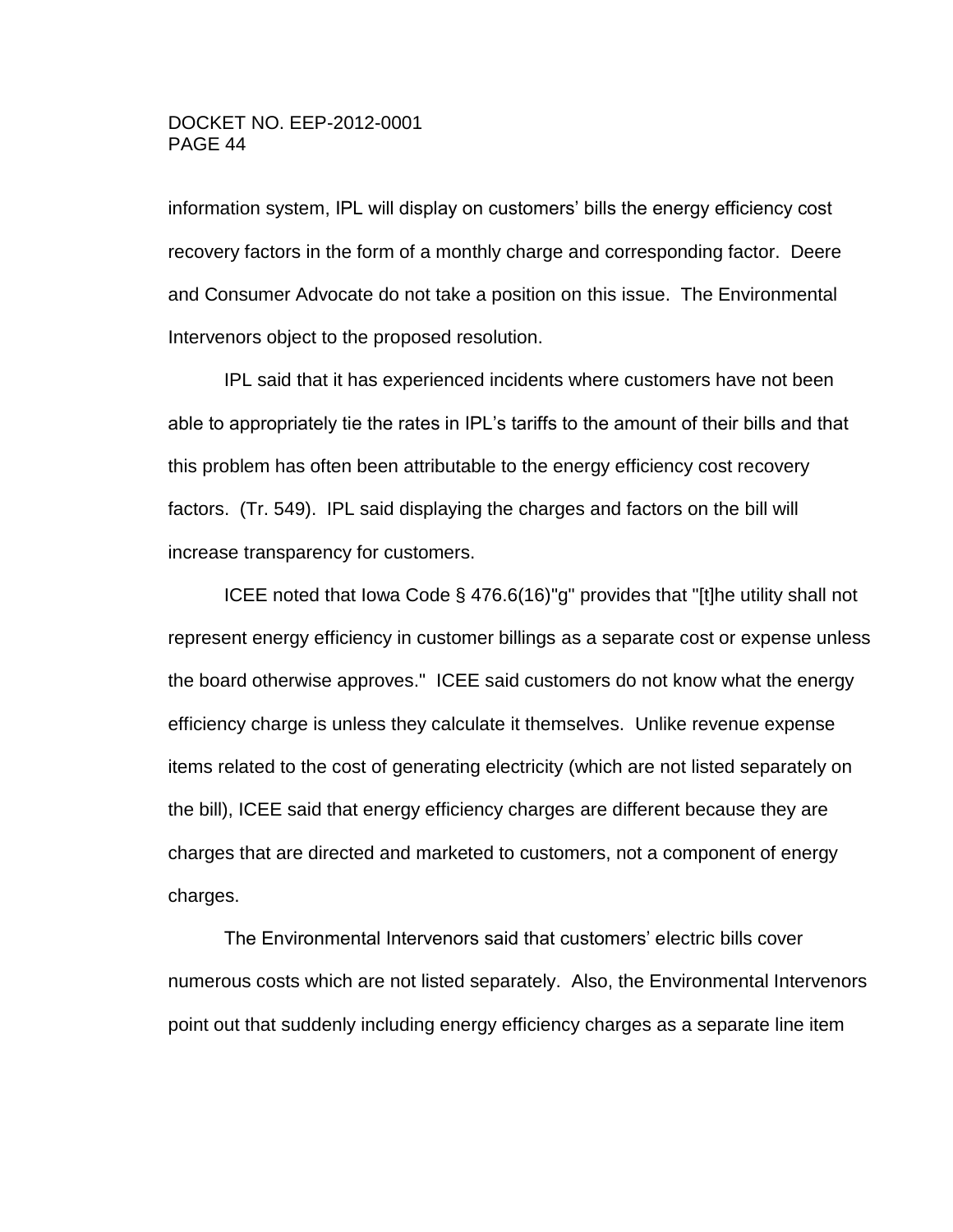information system, IPL will display on customers' bills the energy efficiency cost recovery factors in the form of a monthly charge and corresponding factor. Deere and Consumer Advocate do not take a position on this issue. The Environmental Intervenors object to the proposed resolution.

IPL said that it has experienced incidents where customers have not been able to appropriately tie the rates in IPL's tariffs to the amount of their bills and that this problem has often been attributable to the energy efficiency cost recovery factors. (Tr. 549). IPL said displaying the charges and factors on the bill will increase transparency for customers.

ICEE noted that Iowa Code § 476.6(16)"g" provides that "[t]he utility shall not represent energy efficiency in customer billings as a separate cost or expense unless the board otherwise approves." ICEE said customers do not know what the energy efficiency charge is unless they calculate it themselves. Unlike revenue expense items related to the cost of generating electricity (which are not listed separately on the bill), ICEE said that energy efficiency charges are different because they are charges that are directed and marketed to customers, not a component of energy charges.

The Environmental Intervenors said that customers' electric bills cover numerous costs which are not listed separately. Also, the Environmental Intervenors point out that suddenly including energy efficiency charges as a separate line item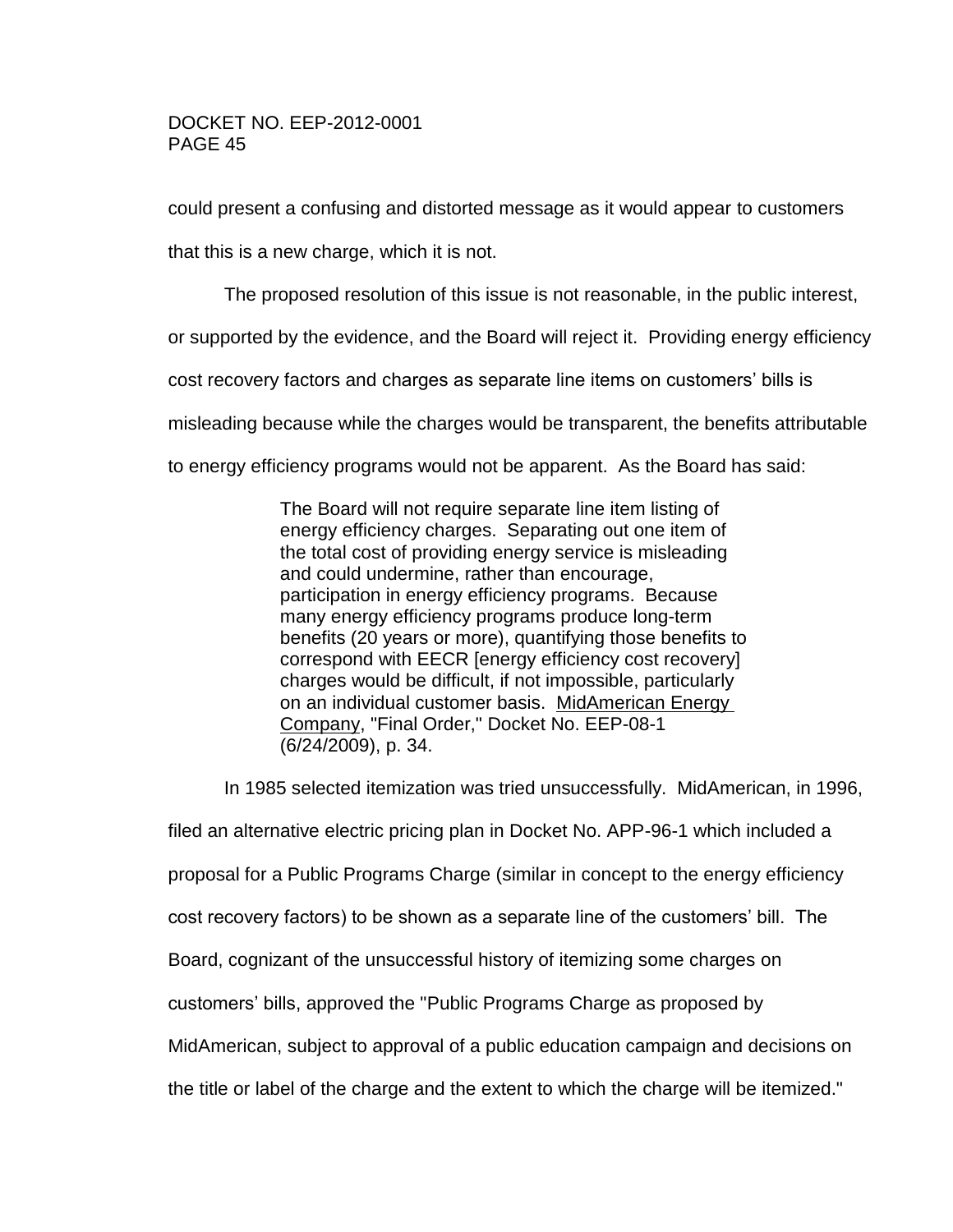could present a confusing and distorted message as it would appear to customers

that this is a new charge, which it is not.

The proposed resolution of this issue is not reasonable, in the public interest,

or supported by the evidence, and the Board will reject it. Providing energy efficiency

cost recovery factors and charges as separate line items on customers' bills is

misleading because while the charges would be transparent, the benefits attributable

to energy efficiency programs would not be apparent. As the Board has said:

The Board will not require separate line item listing of energy efficiency charges. Separating out one item of the total cost of providing energy service is misleading and could undermine, rather than encourage, participation in energy efficiency programs. Because many energy efficiency programs produce long-term benefits (20 years or more), quantifying those benefits to correspond with EECR [energy efficiency cost recovery] charges would be difficult, if not impossible, particularly on an individual customer basis. MidAmerican Energy Company, "Final Order," Docket No. EEP-08-1 (6/24/2009), p. 34.

In 1985 selected itemization was tried unsuccessfully. MidAmerican, in 1996, filed an alternative electric pricing plan in Docket No. APP-96-1 which included a proposal for a Public Programs Charge (similar in concept to the energy efficiency cost recovery factors) to be shown as a separate line of the customers' bill. The Board, cognizant of the unsuccessful history of itemizing some charges on customers' bills, approved the "Public Programs Charge as proposed by MidAmerican, subject to approval of a public education campaign and decisions on

the title or label of the charge and the extent to which the charge will be itemized."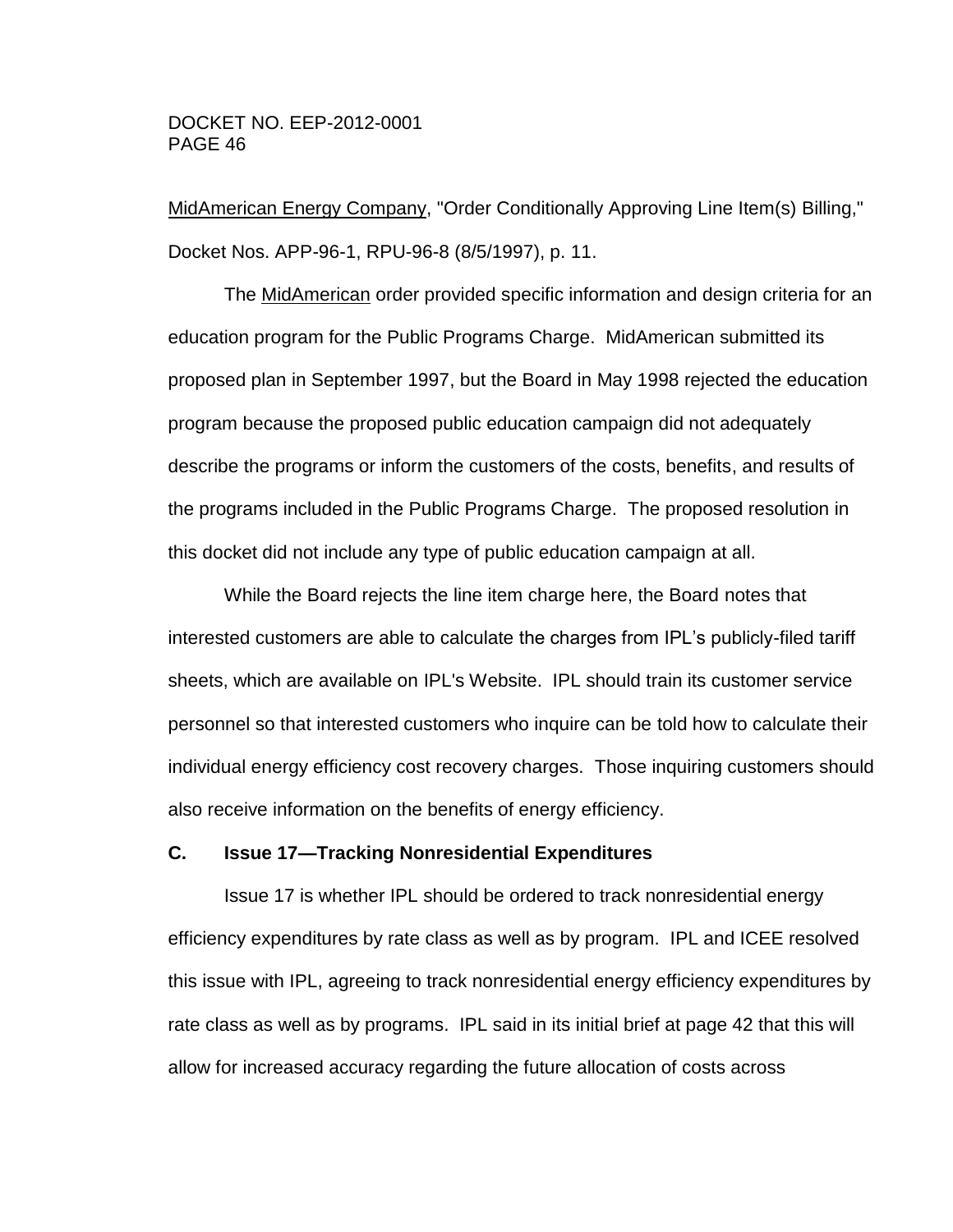MidAmerican Energy Company, "Order Conditionally Approving Line Item(s) Billing," Docket Nos. APP-96-1, RPU-96-8 (8/5/1997), p. 11.

The MidAmerican order provided specific information and design criteria for an education program for the Public Programs Charge. MidAmerican submitted its proposed plan in September 1997, but the Board in May 1998 rejected the education program because the proposed public education campaign did not adequately describe the programs or inform the customers of the costs, benefits, and results of the programs included in the Public Programs Charge. The proposed resolution in this docket did not include any type of public education campaign at all.

While the Board rejects the line item charge here, the Board notes that interested customers are able to calculate the charges from IPL's publicly-filed tariff sheets, which are available on IPL's Website. IPL should train its customer service personnel so that interested customers who inquire can be told how to calculate their individual energy efficiency cost recovery charges. Those inquiring customers should also receive information on the benefits of energy efficiency.

## **C. Issue 17—Tracking Nonresidential Expenditures**

Issue 17 is whether IPL should be ordered to track nonresidential energy efficiency expenditures by rate class as well as by program. IPL and ICEE resolved this issue with IPL, agreeing to track nonresidential energy efficiency expenditures by rate class as well as by programs. IPL said in its initial brief at page 42 that this will allow for increased accuracy regarding the future allocation of costs across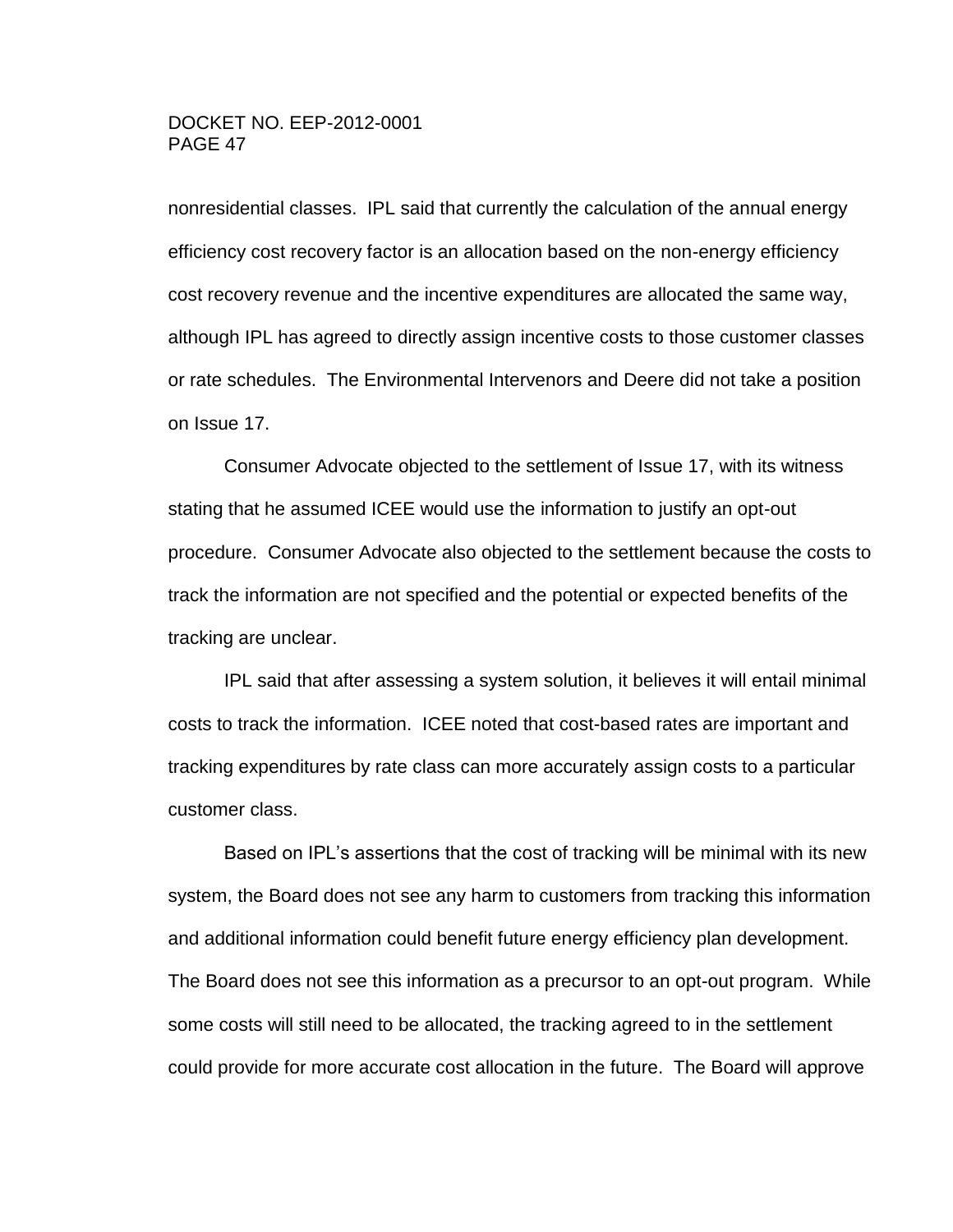nonresidential classes. IPL said that currently the calculation of the annual energy efficiency cost recovery factor is an allocation based on the non-energy efficiency cost recovery revenue and the incentive expenditures are allocated the same way, although IPL has agreed to directly assign incentive costs to those customer classes or rate schedules. The Environmental Intervenors and Deere did not take a position on Issue 17.

Consumer Advocate objected to the settlement of Issue 17, with its witness stating that he assumed ICEE would use the information to justify an opt-out procedure. Consumer Advocate also objected to the settlement because the costs to track the information are not specified and the potential or expected benefits of the tracking are unclear.

IPL said that after assessing a system solution, it believes it will entail minimal costs to track the information. ICEE noted that cost-based rates are important and tracking expenditures by rate class can more accurately assign costs to a particular customer class.

Based on IPL's assertions that the cost of tracking will be minimal with its new system, the Board does not see any harm to customers from tracking this information and additional information could benefit future energy efficiency plan development. The Board does not see this information as a precursor to an opt-out program. While some costs will still need to be allocated, the tracking agreed to in the settlement could provide for more accurate cost allocation in the future. The Board will approve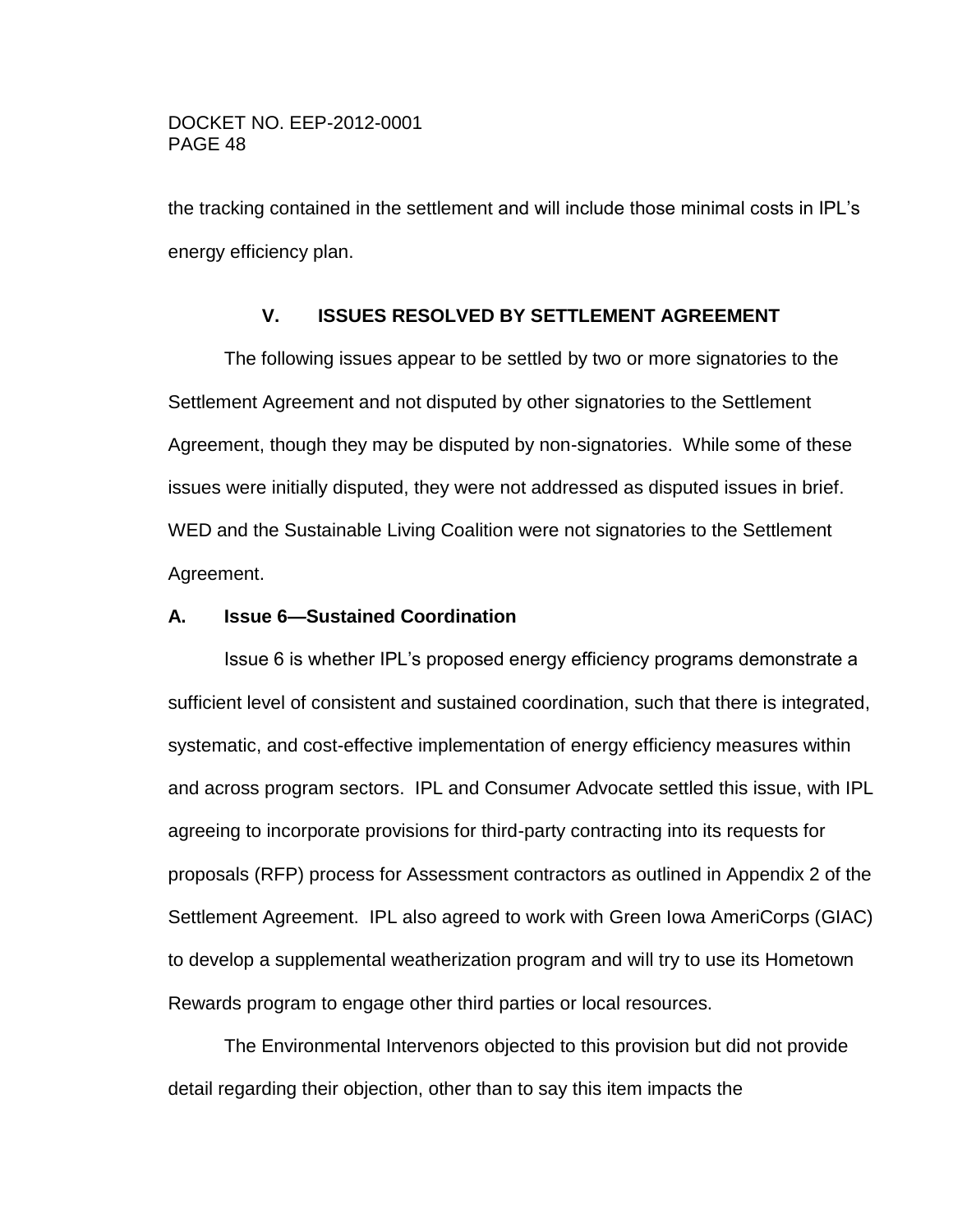the tracking contained in the settlement and will include those minimal costs in IPL's energy efficiency plan.

# **V. ISSUES RESOLVED BY SETTLEMENT AGREEMENT**

The following issues appear to be settled by two or more signatories to the Settlement Agreement and not disputed by other signatories to the Settlement Agreement, though they may be disputed by non-signatories. While some of these issues were initially disputed, they were not addressed as disputed issues in brief. WED and the Sustainable Living Coalition were not signatories to the Settlement Agreement.

# **A. Issue 6—Sustained Coordination**

Issue 6 is whether IPL's proposed energy efficiency programs demonstrate a sufficient level of consistent and sustained coordination, such that there is integrated, systematic, and cost-effective implementation of energy efficiency measures within and across program sectors. IPL and Consumer Advocate settled this issue, with IPL agreeing to incorporate provisions for third-party contracting into its requests for proposals (RFP) process for Assessment contractors as outlined in Appendix 2 of the Settlement Agreement. IPL also agreed to work with Green Iowa AmeriCorps (GIAC) to develop a supplemental weatherization program and will try to use its Hometown Rewards program to engage other third parties or local resources.

The Environmental Intervenors objected to this provision but did not provide detail regarding their objection, other than to say this item impacts the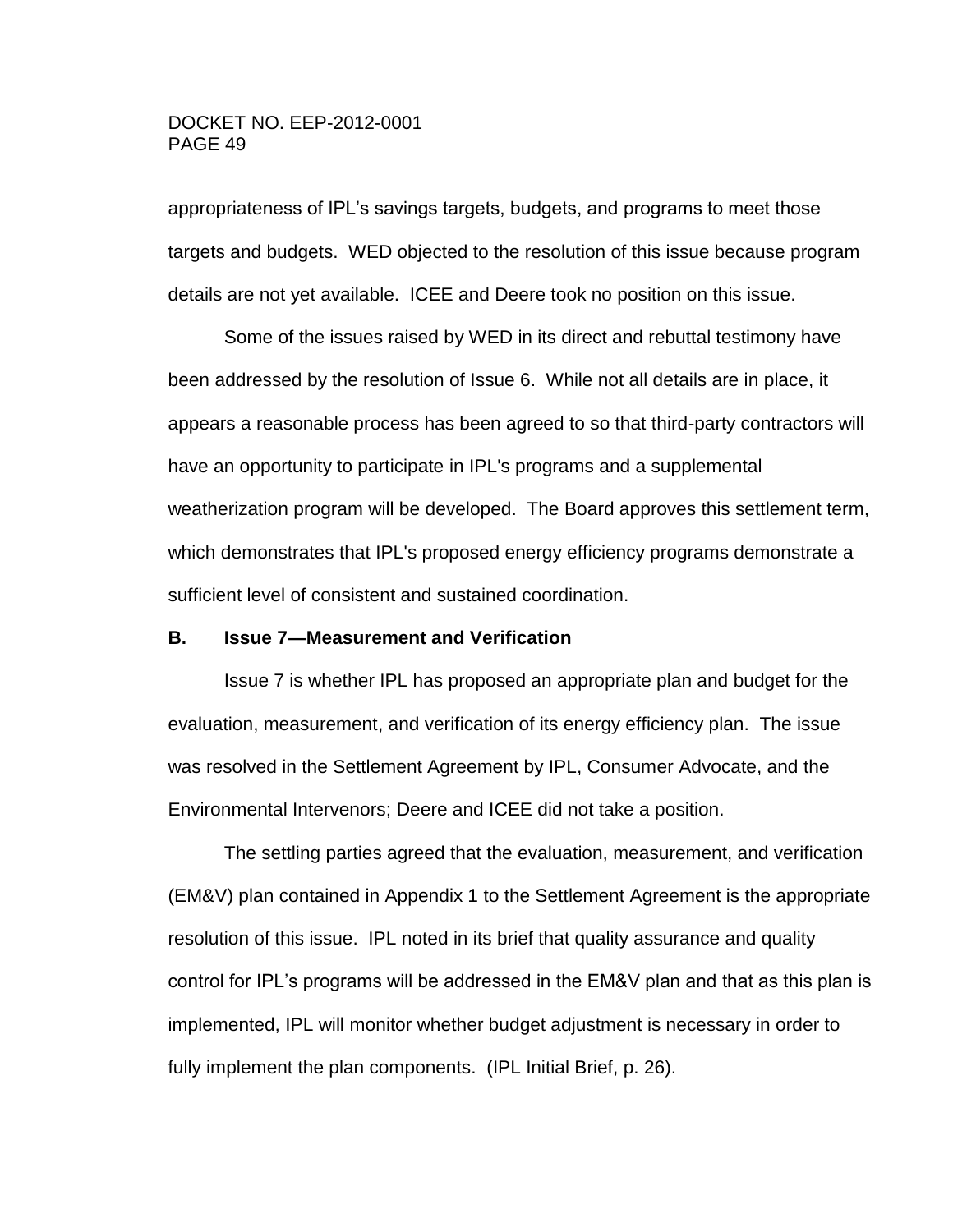appropriateness of IPL's savings targets, budgets, and programs to meet those targets and budgets. WED objected to the resolution of this issue because program details are not yet available. ICEE and Deere took no position on this issue.

Some of the issues raised by WED in its direct and rebuttal testimony have been addressed by the resolution of Issue 6. While not all details are in place, it appears a reasonable process has been agreed to so that third-party contractors will have an opportunity to participate in IPL's programs and a supplemental weatherization program will be developed. The Board approves this settlement term, which demonstrates that IPL's proposed energy efficiency programs demonstrate a sufficient level of consistent and sustained coordination.

#### **B. Issue 7—Measurement and Verification**

Issue 7 is whether IPL has proposed an appropriate plan and budget for the evaluation, measurement, and verification of its energy efficiency plan. The issue was resolved in the Settlement Agreement by IPL, Consumer Advocate, and the Environmental Intervenors; Deere and ICEE did not take a position.

The settling parties agreed that the evaluation, measurement, and verification (EM&V) plan contained in Appendix 1 to the Settlement Agreement is the appropriate resolution of this issue. IPL noted in its brief that quality assurance and quality control for IPL's programs will be addressed in the EM&V plan and that as this plan is implemented, IPL will monitor whether budget adjustment is necessary in order to fully implement the plan components. (IPL Initial Brief, p. 26).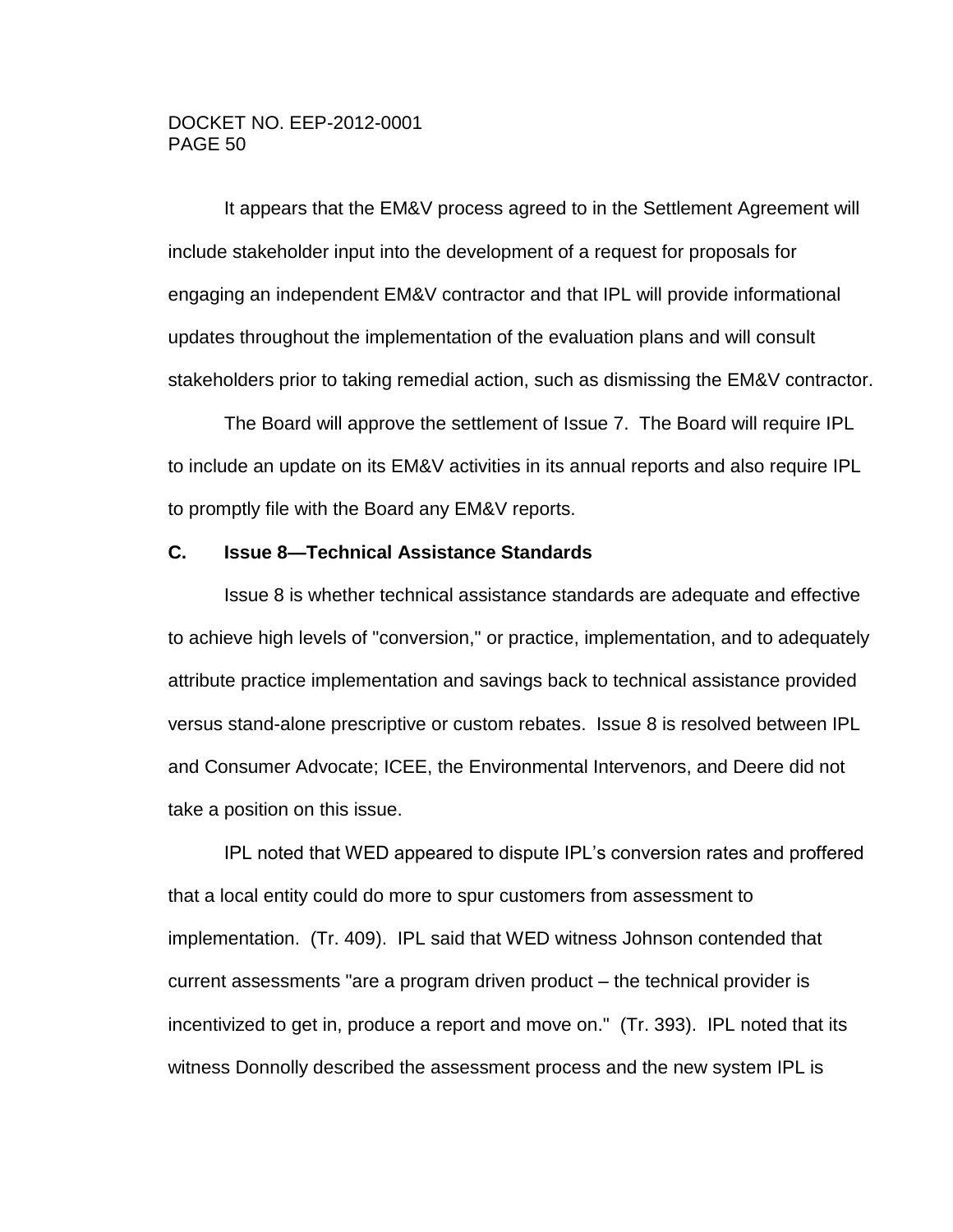It appears that the EM&V process agreed to in the Settlement Agreement will include stakeholder input into the development of a request for proposals for engaging an independent EM&V contractor and that IPL will provide informational updates throughout the implementation of the evaluation plans and will consult stakeholders prior to taking remedial action, such as dismissing the EM&V contractor.

The Board will approve the settlement of Issue 7. The Board will require IPL to include an update on its EM&V activities in its annual reports and also require IPL to promptly file with the Board any EM&V reports.

# **C. Issue 8—Technical Assistance Standards**

Issue 8 is whether technical assistance standards are adequate and effective to achieve high levels of "conversion," or practice, implementation, and to adequately attribute practice implementation and savings back to technical assistance provided versus stand-alone prescriptive or custom rebates. Issue 8 is resolved between IPL and Consumer Advocate; ICEE, the Environmental Intervenors, and Deere did not take a position on this issue.

IPL noted that WED appeared to dispute IPL's conversion rates and proffered that a local entity could do more to spur customers from assessment to implementation. (Tr. 409). IPL said that WED witness Johnson contended that current assessments "are a program driven product – the technical provider is incentivized to get in, produce a report and move on." (Tr. 393). IPL noted that its witness Donnolly described the assessment process and the new system IPL is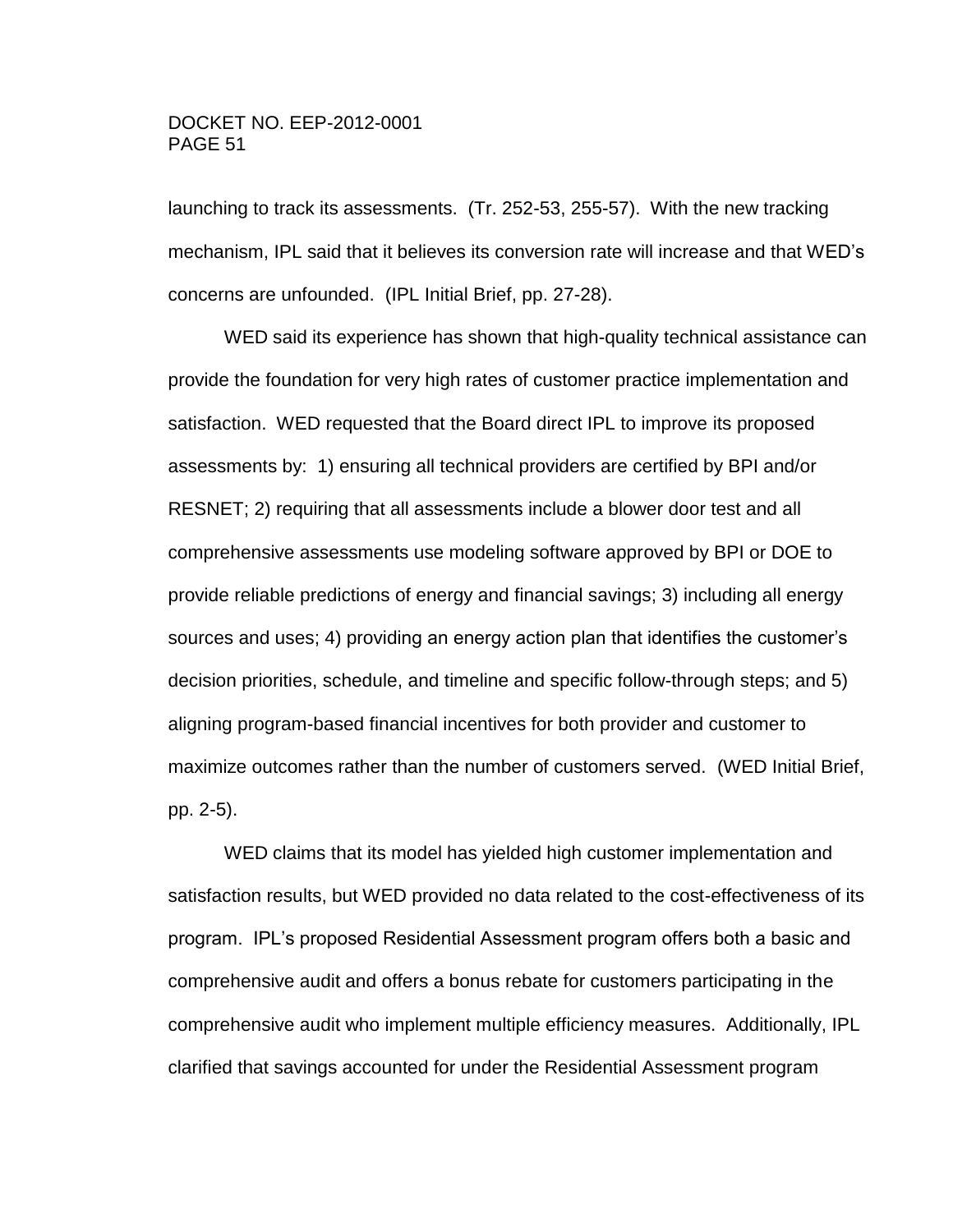launching to track its assessments. (Tr. 252-53, 255-57). With the new tracking mechanism, IPL said that it believes its conversion rate will increase and that WED's concerns are unfounded. (IPL Initial Brief, pp. 27-28).

WED said its experience has shown that high-quality technical assistance can provide the foundation for very high rates of customer practice implementation and satisfaction. WED requested that the Board direct IPL to improve its proposed assessments by: 1) ensuring all technical providers are certified by BPI and/or RESNET; 2) requiring that all assessments include a blower door test and all comprehensive assessments use modeling software approved by BPI or DOE to provide reliable predictions of energy and financial savings; 3) including all energy sources and uses; 4) providing an energy action plan that identifies the customer's decision priorities, schedule, and timeline and specific follow-through steps; and 5) aligning program-based financial incentives for both provider and customer to maximize outcomes rather than the number of customers served. (WED Initial Brief, pp. 2-5).

WED claims that its model has yielded high customer implementation and satisfaction results, but WED provided no data related to the cost-effectiveness of its program. IPL's proposed Residential Assessment program offers both a basic and comprehensive audit and offers a bonus rebate for customers participating in the comprehensive audit who implement multiple efficiency measures. Additionally, IPL clarified that savings accounted for under the Residential Assessment program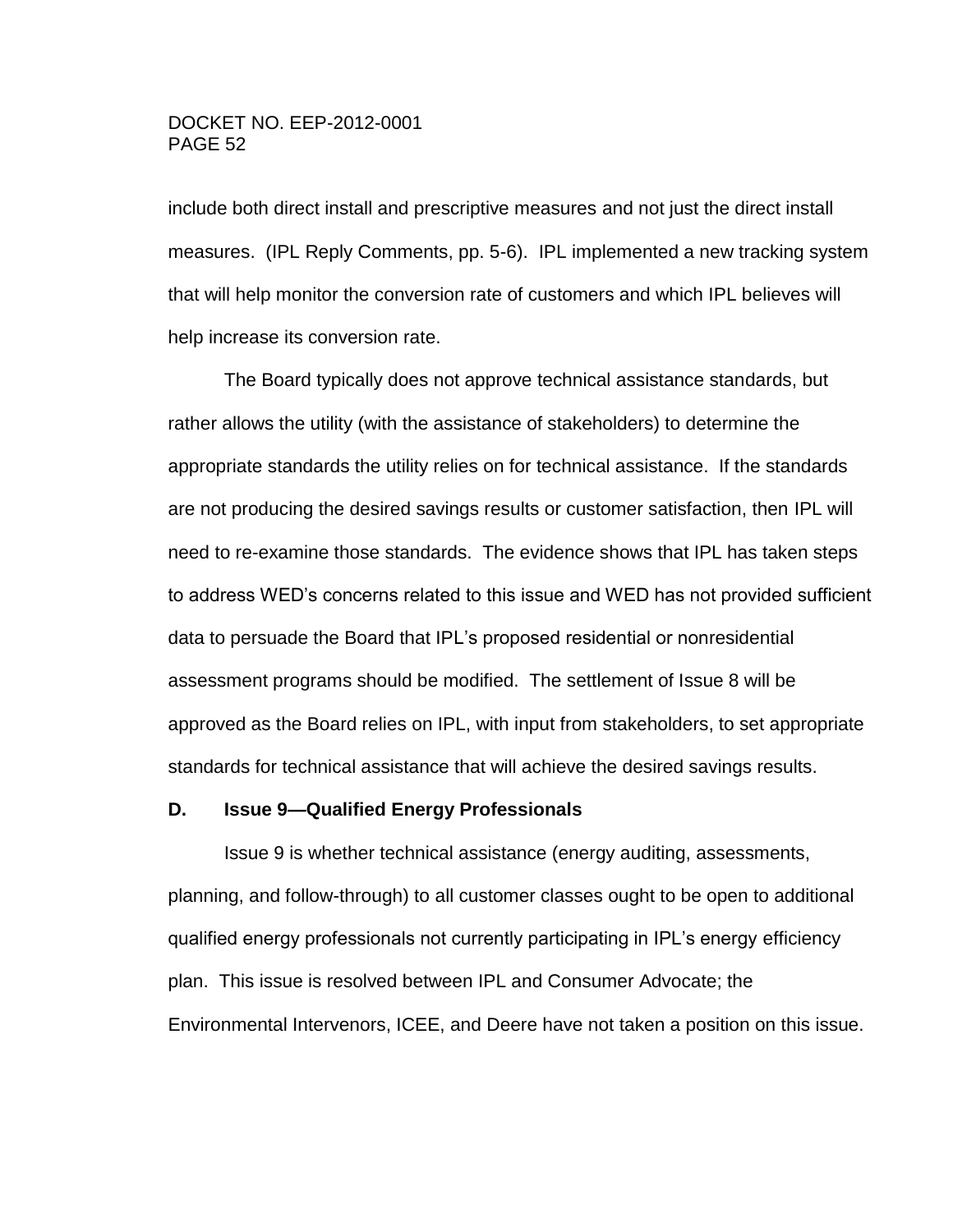include both direct install and prescriptive measures and not just the direct install measures. (IPL Reply Comments, pp. 5-6). IPL implemented a new tracking system that will help monitor the conversion rate of customers and which IPL believes will help increase its conversion rate.

The Board typically does not approve technical assistance standards, but rather allows the utility (with the assistance of stakeholders) to determine the appropriate standards the utility relies on for technical assistance. If the standards are not producing the desired savings results or customer satisfaction, then IPL will need to re-examine those standards. The evidence shows that IPL has taken steps to address WED's concerns related to this issue and WED has not provided sufficient data to persuade the Board that IPL's proposed residential or nonresidential assessment programs should be modified. The settlement of Issue 8 will be approved as the Board relies on IPL, with input from stakeholders, to set appropriate standards for technical assistance that will achieve the desired savings results.

#### **D. Issue 9—Qualified Energy Professionals**

Issue 9 is whether technical assistance (energy auditing, assessments, planning, and follow-through) to all customer classes ought to be open to additional qualified energy professionals not currently participating in IPL's energy efficiency plan. This issue is resolved between IPL and Consumer Advocate; the Environmental Intervenors, ICEE, and Deere have not taken a position on this issue.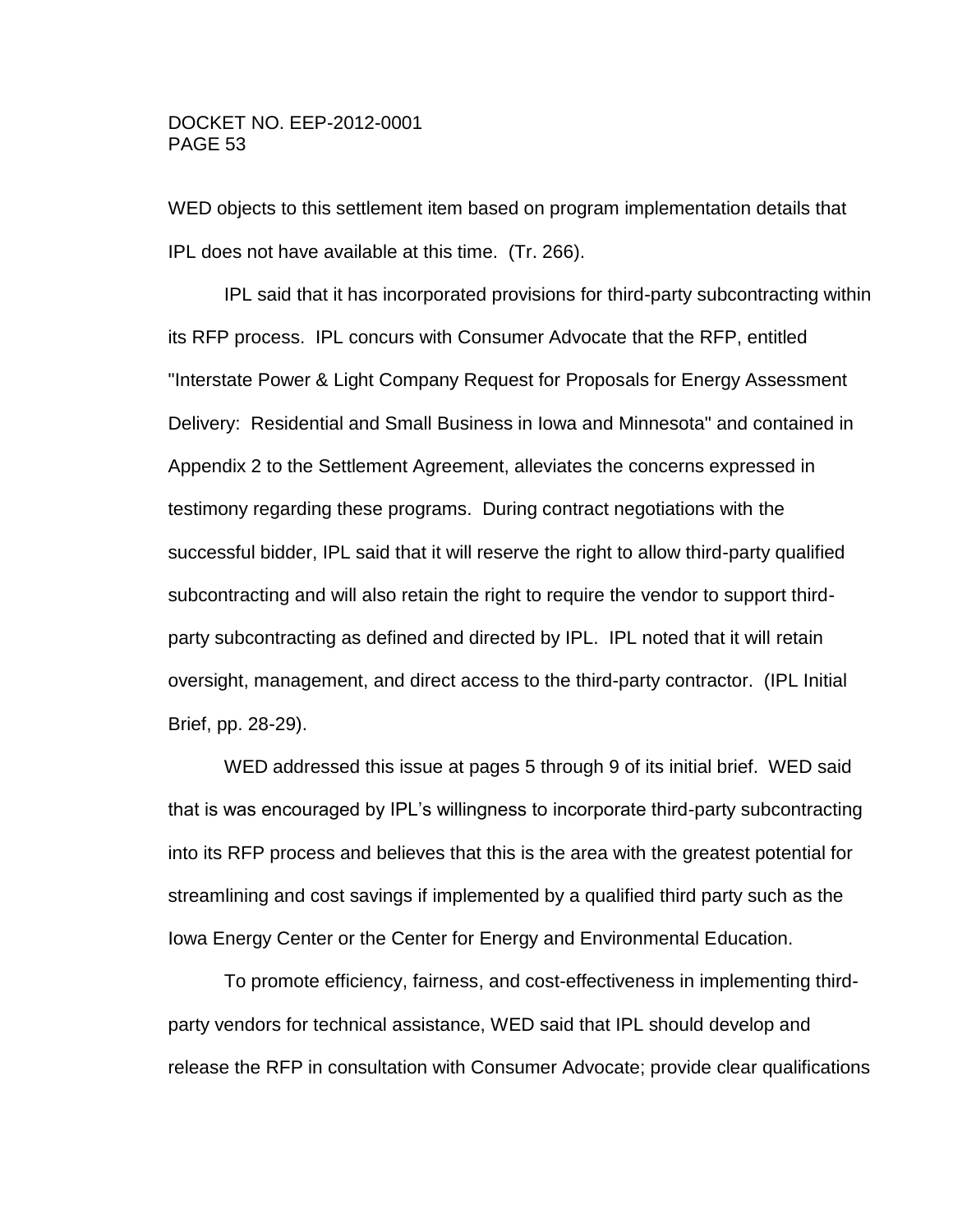WED objects to this settlement item based on program implementation details that IPL does not have available at this time. (Tr. 266).

IPL said that it has incorporated provisions for third-party subcontracting within its RFP process. IPL concurs with Consumer Advocate that the RFP, entitled "Interstate Power & Light Company Request for Proposals for Energy Assessment Delivery: Residential and Small Business in Iowa and Minnesota" and contained in Appendix 2 to the Settlement Agreement, alleviates the concerns expressed in testimony regarding these programs. During contract negotiations with the successful bidder, IPL said that it will reserve the right to allow third-party qualified subcontracting and will also retain the right to require the vendor to support thirdparty subcontracting as defined and directed by IPL. IPL noted that it will retain oversight, management, and direct access to the third-party contractor. (IPL Initial Brief, pp. 28-29).

WED addressed this issue at pages 5 through 9 of its initial brief. WED said that is was encouraged by IPL's willingness to incorporate third-party subcontracting into its RFP process and believes that this is the area with the greatest potential for streamlining and cost savings if implemented by a qualified third party such as the Iowa Energy Center or the Center for Energy and Environmental Education.

To promote efficiency, fairness, and cost-effectiveness in implementing thirdparty vendors for technical assistance, WED said that IPL should develop and release the RFP in consultation with Consumer Advocate; provide clear qualifications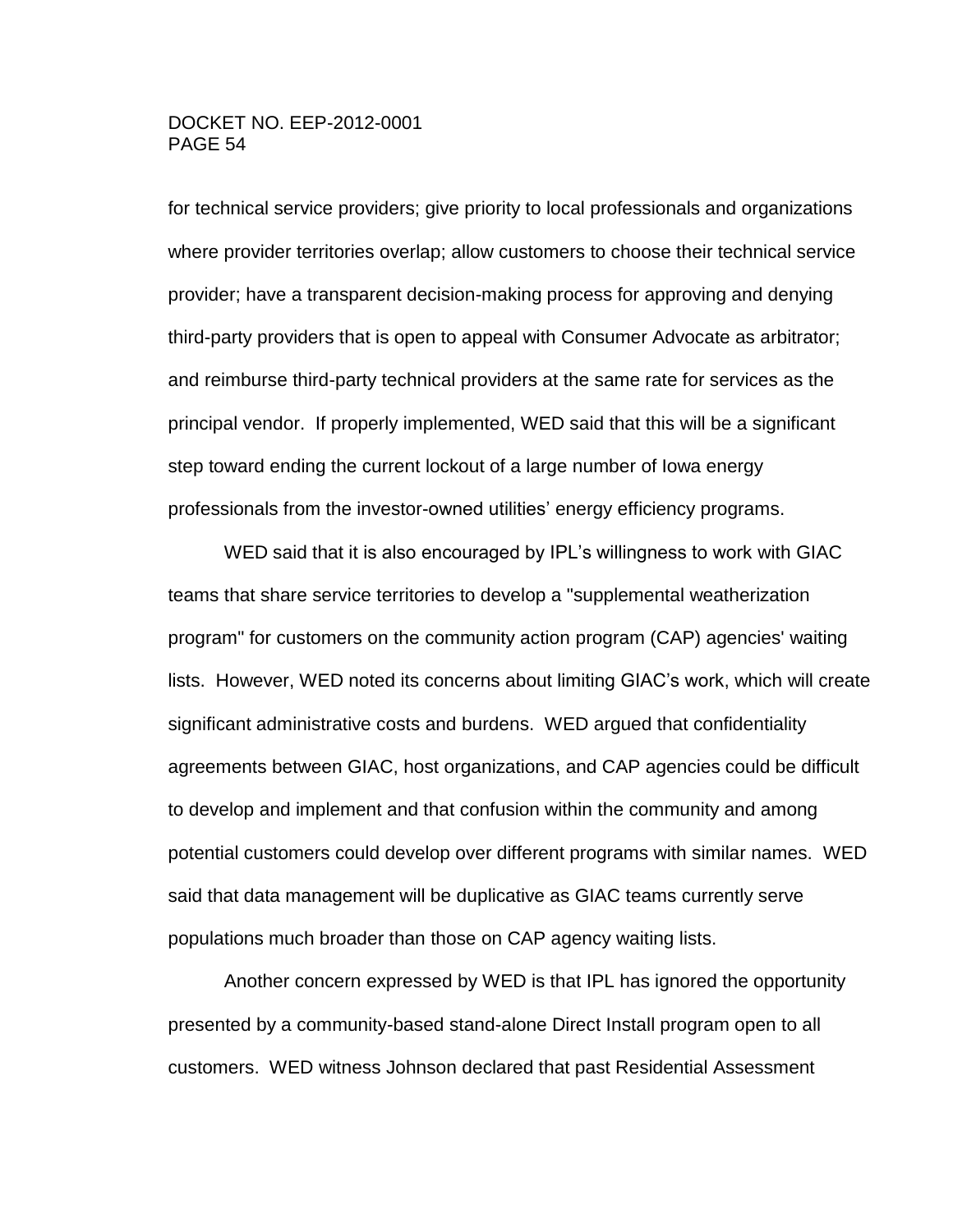for technical service providers; give priority to local professionals and organizations where provider territories overlap; allow customers to choose their technical service provider; have a transparent decision-making process for approving and denying third-party providers that is open to appeal with Consumer Advocate as arbitrator; and reimburse third-party technical providers at the same rate for services as the principal vendor. If properly implemented, WED said that this will be a significant step toward ending the current lockout of a large number of Iowa energy professionals from the investor-owned utilities' energy efficiency programs.

WED said that it is also encouraged by IPL's willingness to work with GIAC teams that share service territories to develop a "supplemental weatherization program" for customers on the community action program (CAP) agencies' waiting lists. However, WED noted its concerns about limiting GIAC's work, which will create significant administrative costs and burdens. WED argued that confidentiality agreements between GIAC, host organizations, and CAP agencies could be difficult to develop and implement and that confusion within the community and among potential customers could develop over different programs with similar names. WED said that data management will be duplicative as GIAC teams currently serve populations much broader than those on CAP agency waiting lists.

Another concern expressed by WED is that IPL has ignored the opportunity presented by a community-based stand-alone Direct Install program open to all customers. WED witness Johnson declared that past Residential Assessment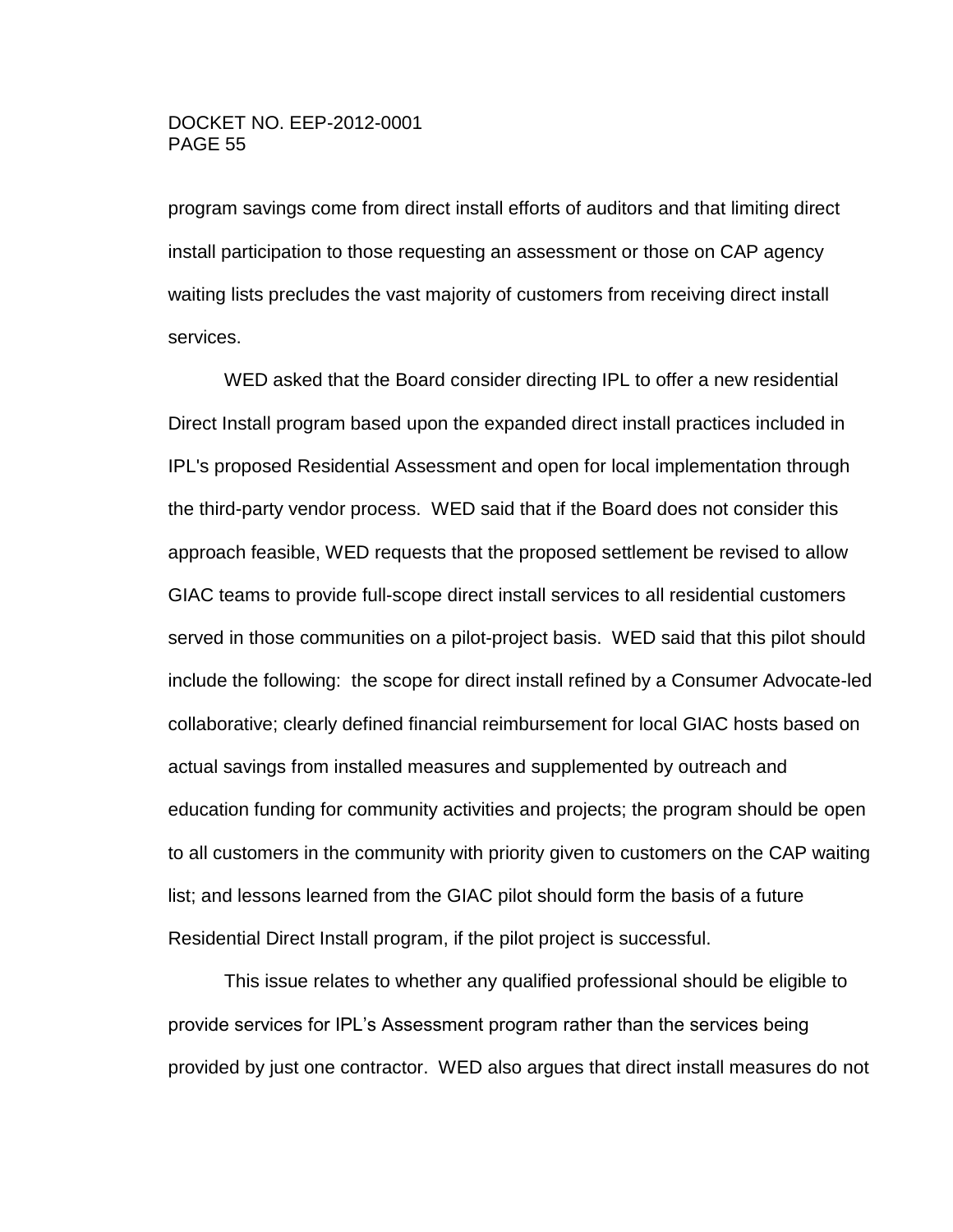program savings come from direct install efforts of auditors and that limiting direct install participation to those requesting an assessment or those on CAP agency waiting lists precludes the vast majority of customers from receiving direct install services.

WED asked that the Board consider directing IPL to offer a new residential Direct Install program based upon the expanded direct install practices included in IPL's proposed Residential Assessment and open for local implementation through the third-party vendor process. WED said that if the Board does not consider this approach feasible, WED requests that the proposed settlement be revised to allow GIAC teams to provide full-scope direct install services to all residential customers served in those communities on a pilot-project basis. WED said that this pilot should include the following: the scope for direct install refined by a Consumer Advocate-led collaborative; clearly defined financial reimbursement for local GIAC hosts based on actual savings from installed measures and supplemented by outreach and education funding for community activities and projects; the program should be open to all customers in the community with priority given to customers on the CAP waiting list; and lessons learned from the GIAC pilot should form the basis of a future Residential Direct Install program, if the pilot project is successful.

This issue relates to whether any qualified professional should be eligible to provide services for IPL's Assessment program rather than the services being provided by just one contractor. WED also argues that direct install measures do not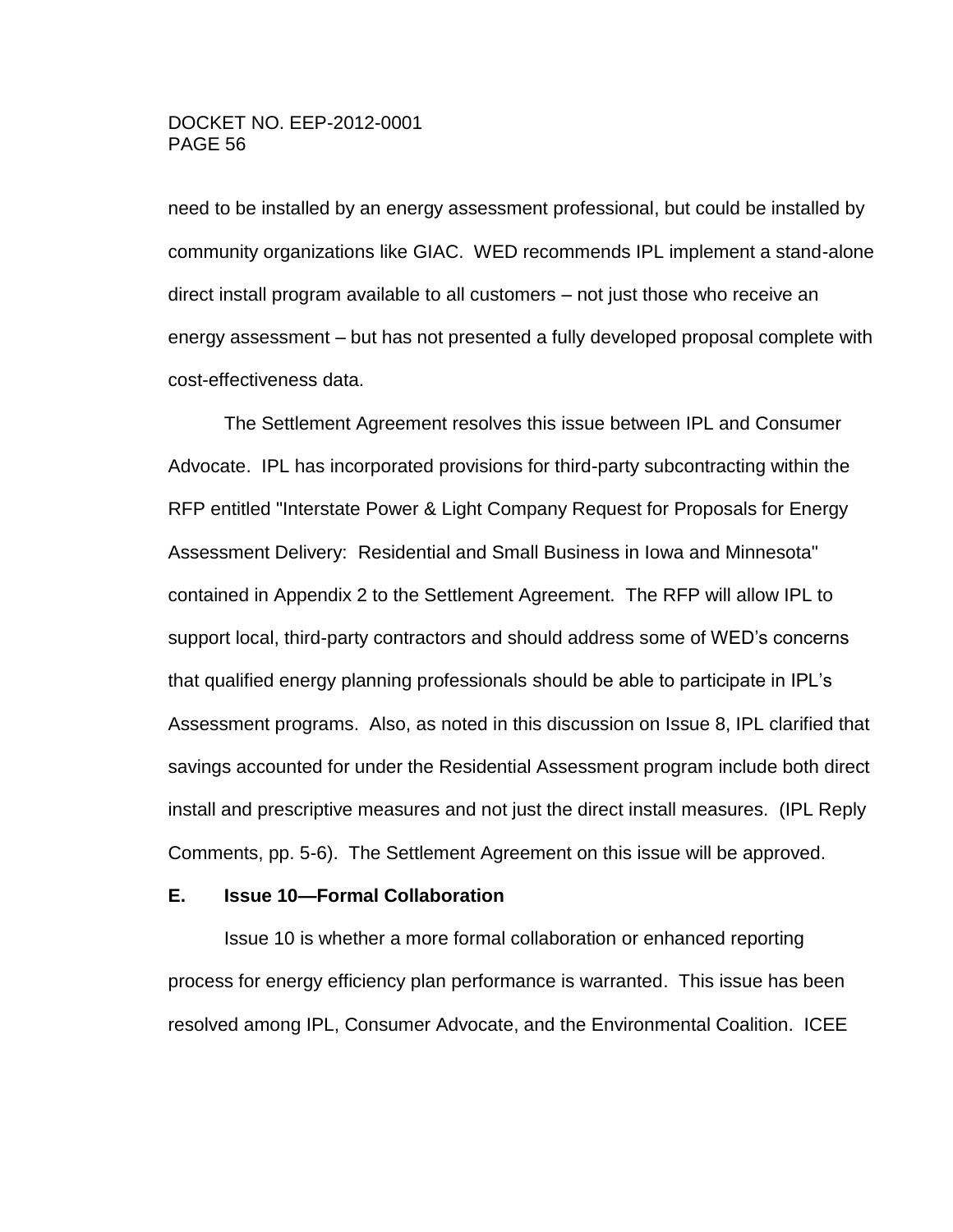need to be installed by an energy assessment professional, but could be installed by community organizations like GIAC. WED recommends IPL implement a stand-alone direct install program available to all customers – not just those who receive an energy assessment – but has not presented a fully developed proposal complete with cost-effectiveness data.

The Settlement Agreement resolves this issue between IPL and Consumer Advocate. IPL has incorporated provisions for third-party subcontracting within the RFP entitled "Interstate Power & Light Company Request for Proposals for Energy Assessment Delivery: Residential and Small Business in Iowa and Minnesota" contained in Appendix 2 to the Settlement Agreement. The RFP will allow IPL to support local, third-party contractors and should address some of WED's concerns that qualified energy planning professionals should be able to participate in IPL's Assessment programs. Also, as noted in this discussion on Issue 8, IPL clarified that savings accounted for under the Residential Assessment program include both direct install and prescriptive measures and not just the direct install measures. (IPL Reply Comments, pp. 5-6). The Settlement Agreement on this issue will be approved.

#### **E. Issue 10—Formal Collaboration**

Issue 10 is whether a more formal collaboration or enhanced reporting process for energy efficiency plan performance is warranted. This issue has been resolved among IPL, Consumer Advocate, and the Environmental Coalition. ICEE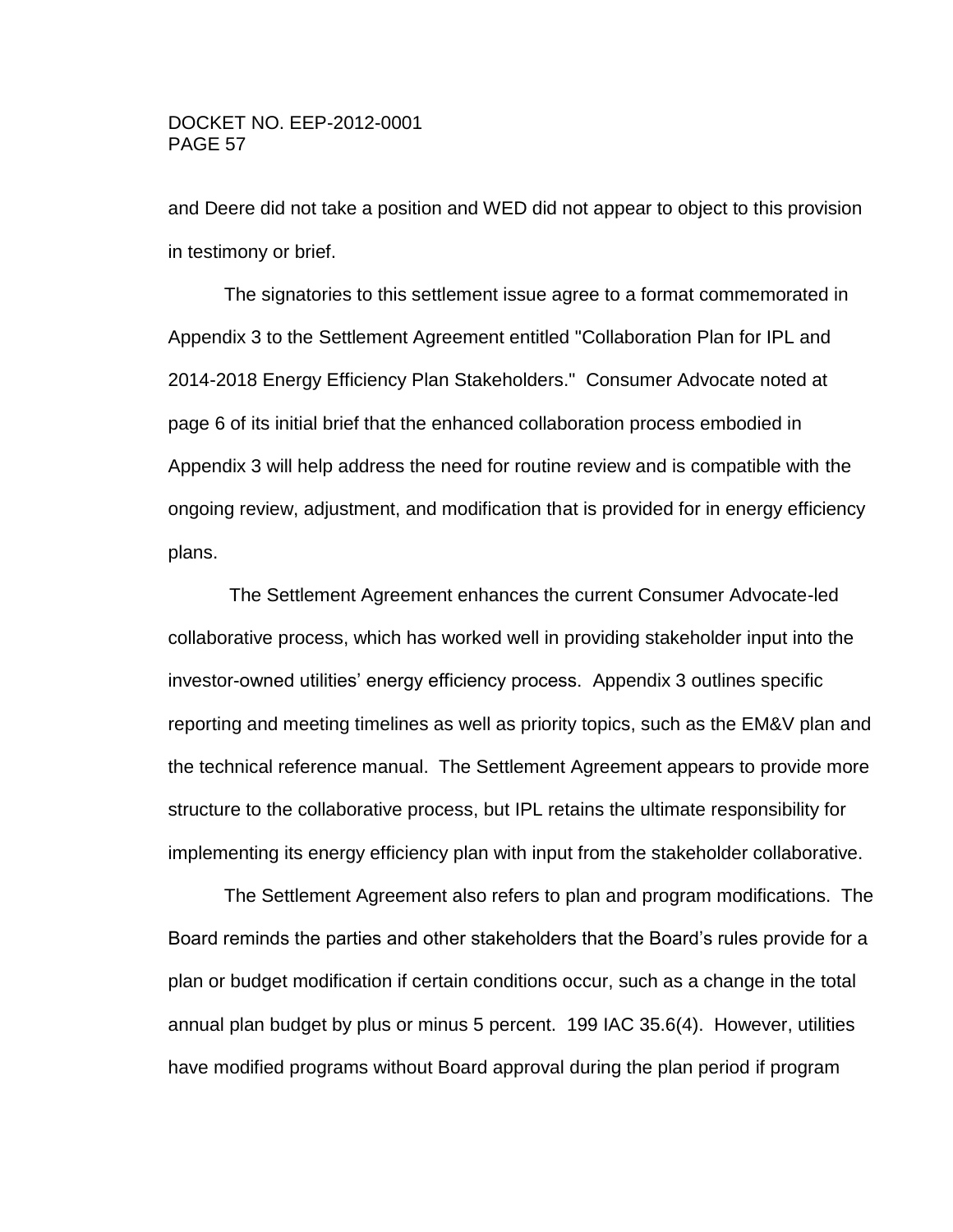and Deere did not take a position and WED did not appear to object to this provision in testimony or brief.

The signatories to this settlement issue agree to a format commemorated in Appendix 3 to the Settlement Agreement entitled "Collaboration Plan for IPL and 2014-2018 Energy Efficiency Plan Stakeholders." Consumer Advocate noted at page 6 of its initial brief that the enhanced collaboration process embodied in Appendix 3 will help address the need for routine review and is compatible with the ongoing review, adjustment, and modification that is provided for in energy efficiency plans.

The Settlement Agreement enhances the current Consumer Advocate-led collaborative process, which has worked well in providing stakeholder input into the investor-owned utilities' energy efficiency process. Appendix 3 outlines specific reporting and meeting timelines as well as priority topics, such as the EM&V plan and the technical reference manual. The Settlement Agreement appears to provide more structure to the collaborative process, but IPL retains the ultimate responsibility for implementing its energy efficiency plan with input from the stakeholder collaborative.

The Settlement Agreement also refers to plan and program modifications. The Board reminds the parties and other stakeholders that the Board's rules provide for a plan or budget modification if certain conditions occur, such as a change in the total annual plan budget by plus or minus 5 percent. 199 IAC 35.6(4). However, utilities have modified programs without Board approval during the plan period if program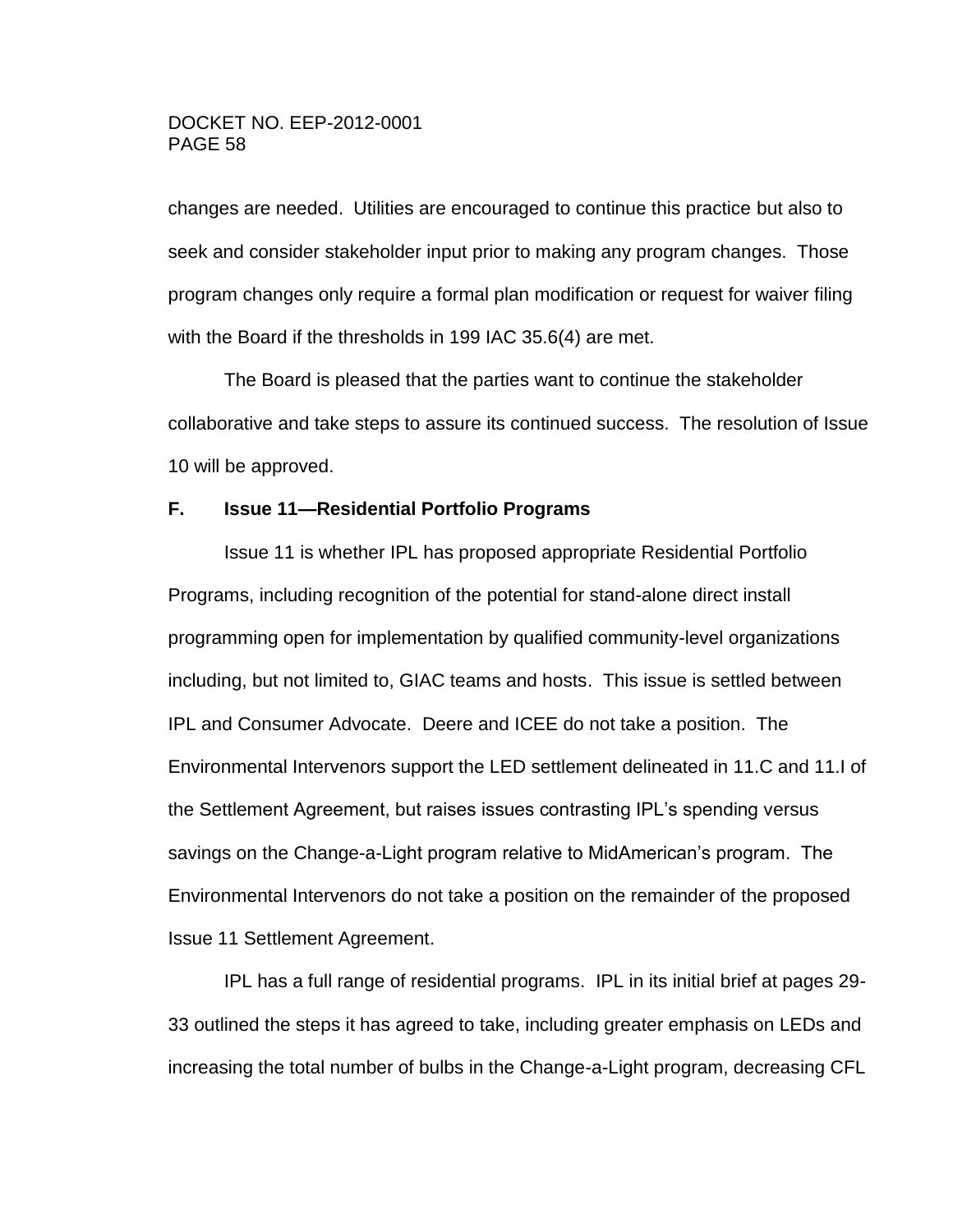changes are needed. Utilities are encouraged to continue this practice but also to seek and consider stakeholder input prior to making any program changes. Those program changes only require a formal plan modification or request for waiver filing with the Board if the thresholds in 199 IAC 35.6(4) are met.

The Board is pleased that the parties want to continue the stakeholder collaborative and take steps to assure its continued success. The resolution of Issue 10 will be approved.

# **F. Issue 11—Residential Portfolio Programs**

Issue 11 is whether IPL has proposed appropriate Residential Portfolio Programs, including recognition of the potential for stand-alone direct install programming open for implementation by qualified community-level organizations including, but not limited to, GIAC teams and hosts. This issue is settled between IPL and Consumer Advocate. Deere and ICEE do not take a position. The Environmental Intervenors support the LED settlement delineated in 11.C and 11.I of the Settlement Agreement, but raises issues contrasting IPL's spending versus savings on the Change-a-Light program relative to MidAmerican's program. The Environmental Intervenors do not take a position on the remainder of the proposed Issue 11 Settlement Agreement.

IPL has a full range of residential programs. IPL in its initial brief at pages 29- 33 outlined the steps it has agreed to take, including greater emphasis on LEDs and increasing the total number of bulbs in the Change-a-Light program, decreasing CFL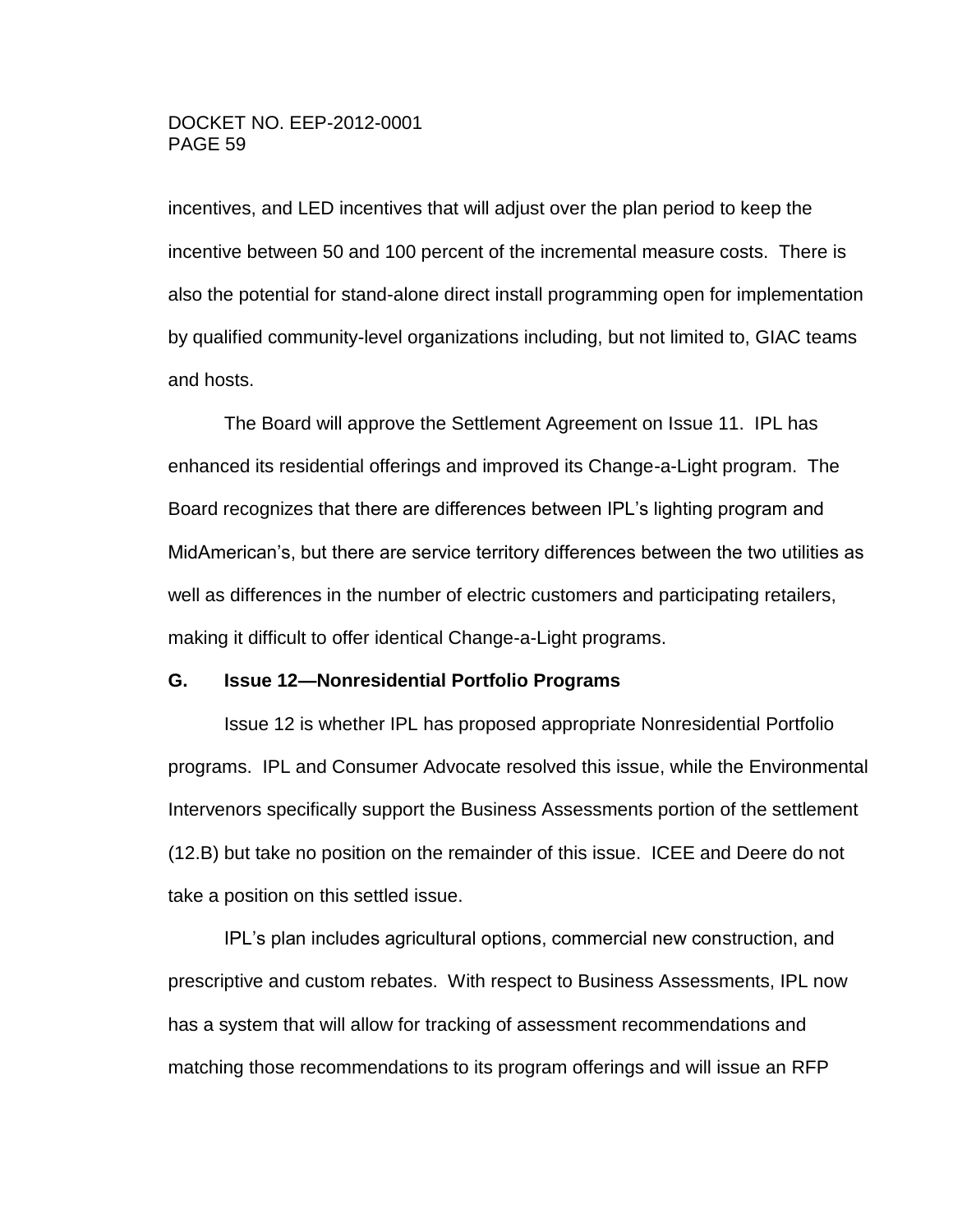incentives, and LED incentives that will adjust over the plan period to keep the incentive between 50 and 100 percent of the incremental measure costs. There is also the potential for stand-alone direct install programming open for implementation by qualified community-level organizations including, but not limited to, GIAC teams and hosts.

The Board will approve the Settlement Agreement on Issue 11. IPL has enhanced its residential offerings and improved its Change-a-Light program. The Board recognizes that there are differences between IPL's lighting program and MidAmerican's, but there are service territory differences between the two utilities as well as differences in the number of electric customers and participating retailers, making it difficult to offer identical Change-a-Light programs.

#### **G. Issue 12—Nonresidential Portfolio Programs**

Issue 12 is whether IPL has proposed appropriate Nonresidential Portfolio programs. IPL and Consumer Advocate resolved this issue, while the Environmental Intervenors specifically support the Business Assessments portion of the settlement (12.B) but take no position on the remainder of this issue. ICEE and Deere do not take a position on this settled issue.

IPL's plan includes agricultural options, commercial new construction, and prescriptive and custom rebates. With respect to Business Assessments, IPL now has a system that will allow for tracking of assessment recommendations and matching those recommendations to its program offerings and will issue an RFP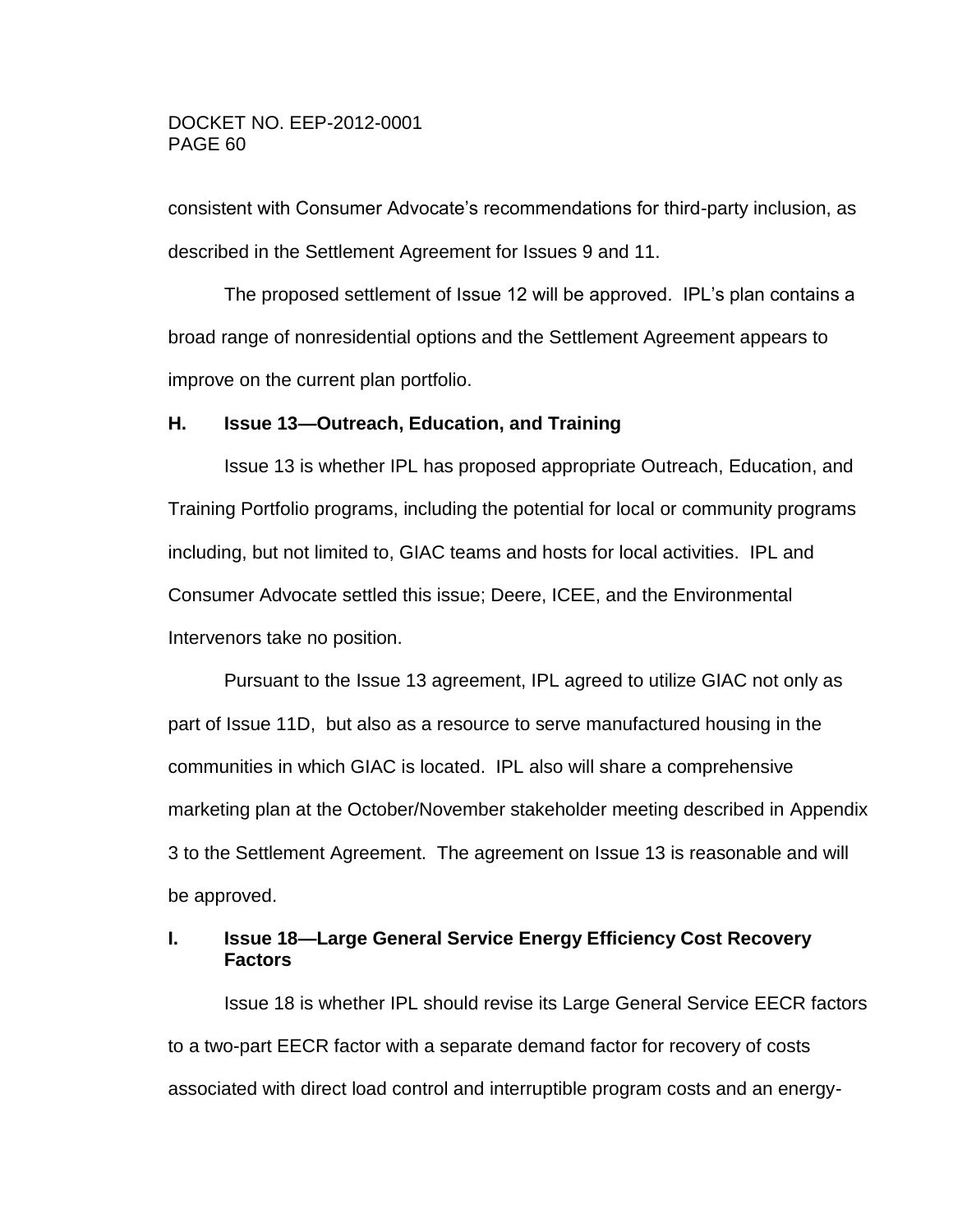consistent with Consumer Advocate's recommendations for third-party inclusion, as described in the Settlement Agreement for Issues 9 and 11.

The proposed settlement of Issue 12 will be approved. IPL's plan contains a broad range of nonresidential options and the Settlement Agreement appears to improve on the current plan portfolio.

# **H. Issue 13—Outreach, Education, and Training**

Issue 13 is whether IPL has proposed appropriate Outreach, Education, and Training Portfolio programs, including the potential for local or community programs including, but not limited to, GIAC teams and hosts for local activities. IPL and Consumer Advocate settled this issue; Deere, ICEE, and the Environmental Intervenors take no position.

Pursuant to the Issue 13 agreement, IPL agreed to utilize GIAC not only as part of Issue 11D, but also as a resource to serve manufactured housing in the communities in which GIAC is located. IPL also will share a comprehensive marketing plan at the October/November stakeholder meeting described in Appendix 3 to the Settlement Agreement. The agreement on Issue 13 is reasonable and will be approved.

# **I. Issue 18—Large General Service Energy Efficiency Cost Recovery Factors**

Issue 18 is whether IPL should revise its Large General Service EECR factors to a two-part EECR factor with a separate demand factor for recovery of costs associated with direct load control and interruptible program costs and an energy-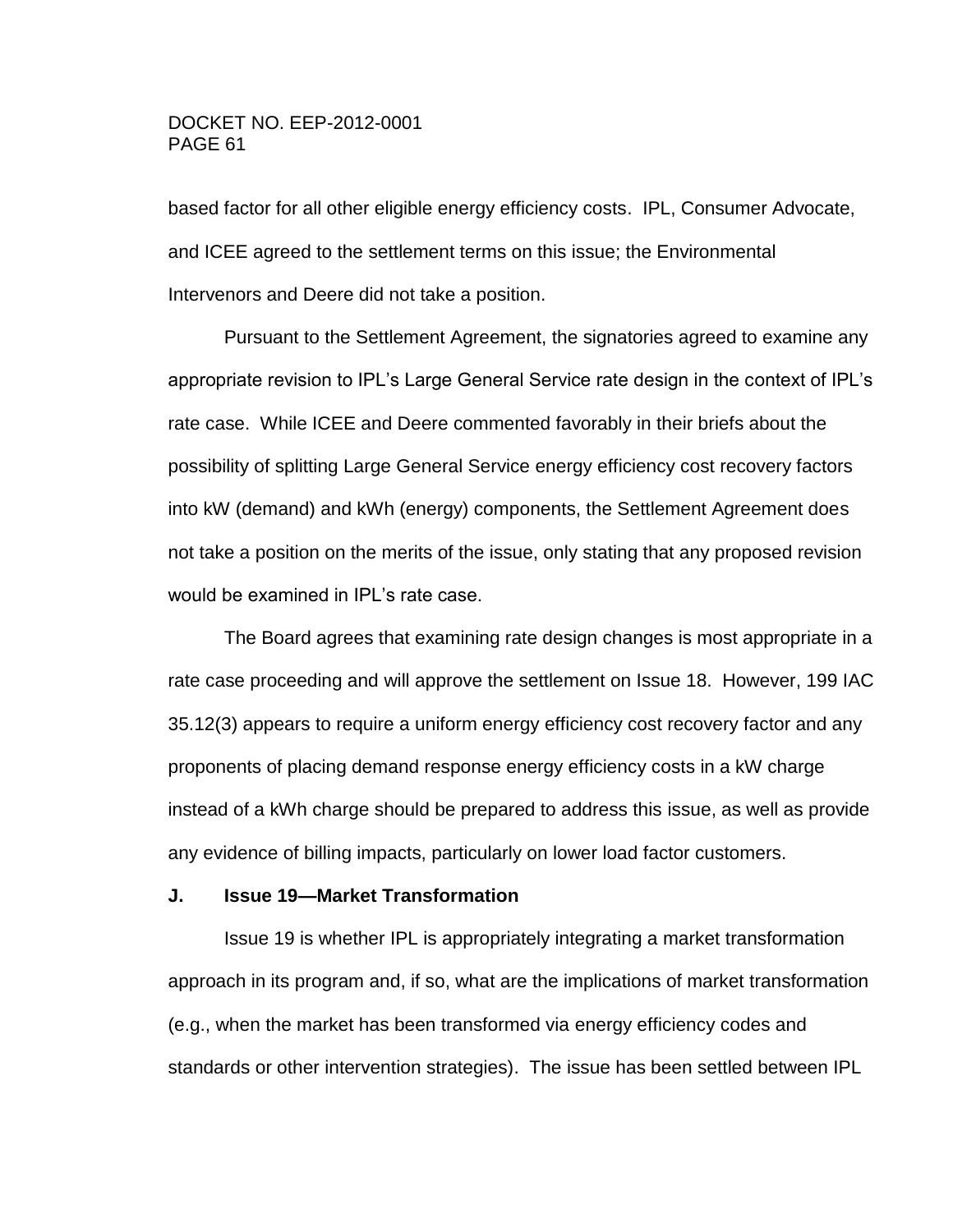based factor for all other eligible energy efficiency costs. IPL, Consumer Advocate, and ICEE agreed to the settlement terms on this issue; the Environmental Intervenors and Deere did not take a position.

Pursuant to the Settlement Agreement, the signatories agreed to examine any appropriate revision to IPL's Large General Service rate design in the context of IPL's rate case. While ICEE and Deere commented favorably in their briefs about the possibility of splitting Large General Service energy efficiency cost recovery factors into kW (demand) and kWh (energy) components, the Settlement Agreement does not take a position on the merits of the issue, only stating that any proposed revision would be examined in IPL's rate case.

The Board agrees that examining rate design changes is most appropriate in a rate case proceeding and will approve the settlement on Issue 18. However, 199 IAC 35.12(3) appears to require a uniform energy efficiency cost recovery factor and any proponents of placing demand response energy efficiency costs in a kW charge instead of a kWh charge should be prepared to address this issue, as well as provide any evidence of billing impacts, particularly on lower load factor customers.

# **J. Issue 19—Market Transformation**

Issue 19 is whether IPL is appropriately integrating a market transformation approach in its program and, if so, what are the implications of market transformation (e.g., when the market has been transformed via energy efficiency codes and standards or other intervention strategies). The issue has been settled between IPL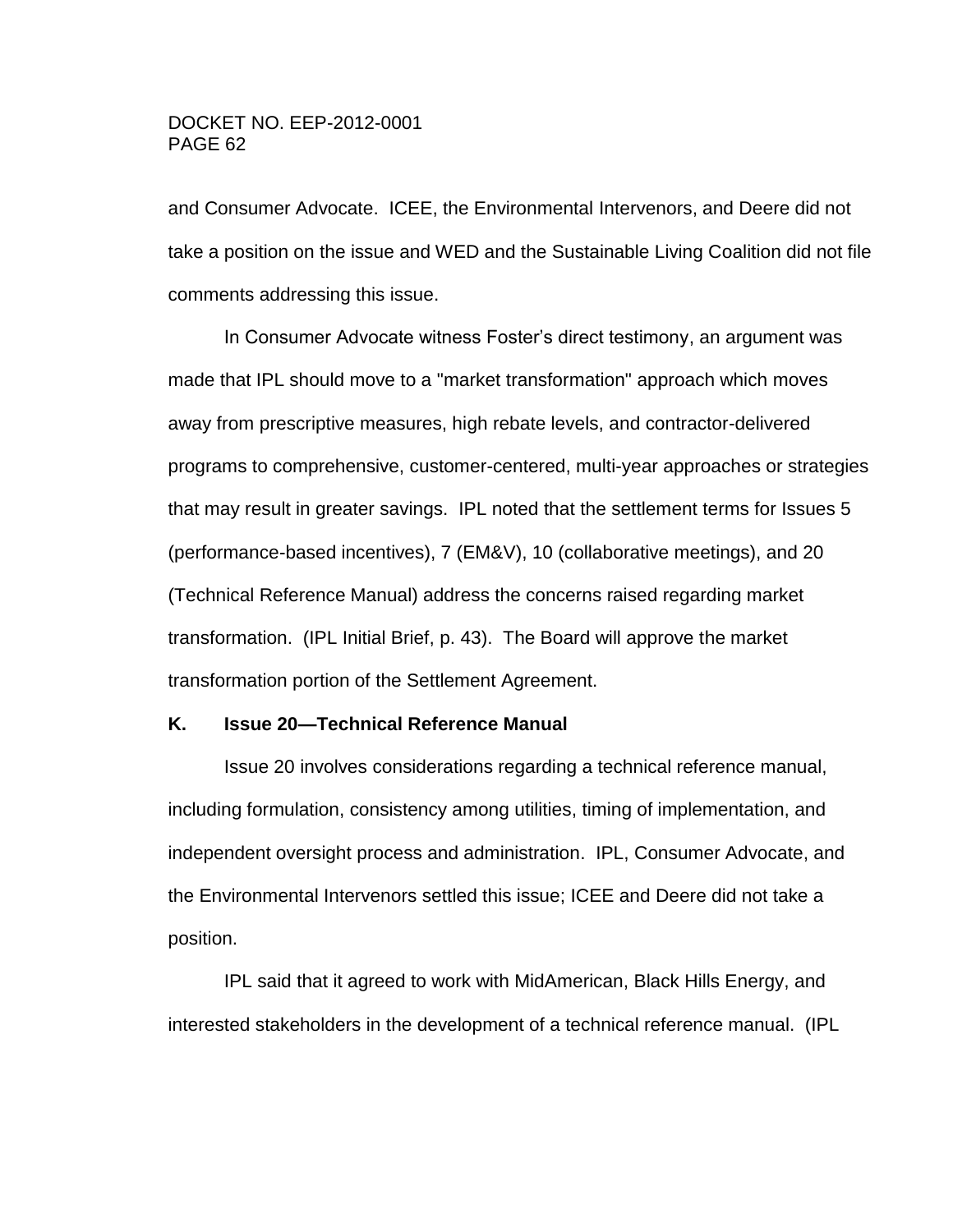and Consumer Advocate. ICEE, the Environmental Intervenors, and Deere did not take a position on the issue and WED and the Sustainable Living Coalition did not file comments addressing this issue.

In Consumer Advocate witness Foster's direct testimony, an argument was made that IPL should move to a "market transformation" approach which moves away from prescriptive measures, high rebate levels, and contractor-delivered programs to comprehensive, customer-centered, multi-year approaches or strategies that may result in greater savings. IPL noted that the settlement terms for Issues 5 (performance-based incentives), 7 (EM&V), 10 (collaborative meetings), and 20 (Technical Reference Manual) address the concerns raised regarding market transformation. (IPL Initial Brief, p. 43). The Board will approve the market transformation portion of the Settlement Agreement.

#### **K. Issue 20—Technical Reference Manual**

Issue 20 involves considerations regarding a technical reference manual, including formulation, consistency among utilities, timing of implementation, and independent oversight process and administration. IPL, Consumer Advocate, and the Environmental Intervenors settled this issue; ICEE and Deere did not take a position.

IPL said that it agreed to work with MidAmerican, Black Hills Energy, and interested stakeholders in the development of a technical reference manual. (IPL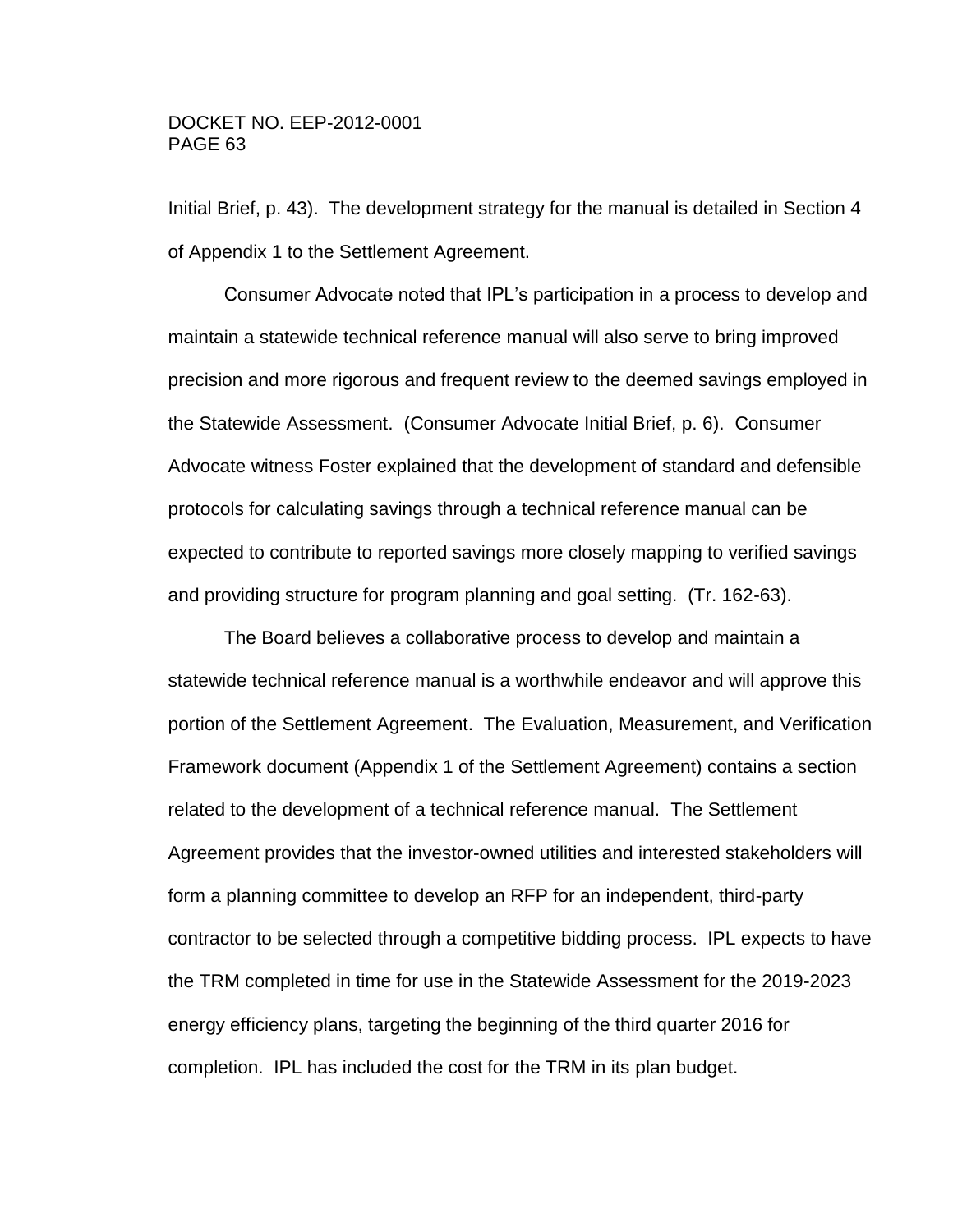Initial Brief, p. 43). The development strategy for the manual is detailed in Section 4 of Appendix 1 to the Settlement Agreement.

Consumer Advocate noted that IPL's participation in a process to develop and maintain a statewide technical reference manual will also serve to bring improved precision and more rigorous and frequent review to the deemed savings employed in the Statewide Assessment. (Consumer Advocate Initial Brief, p. 6). Consumer Advocate witness Foster explained that the development of standard and defensible protocols for calculating savings through a technical reference manual can be expected to contribute to reported savings more closely mapping to verified savings and providing structure for program planning and goal setting. (Tr. 162-63).

The Board believes a collaborative process to develop and maintain a statewide technical reference manual is a worthwhile endeavor and will approve this portion of the Settlement Agreement. The Evaluation, Measurement, and Verification Framework document (Appendix 1 of the Settlement Agreement) contains a section related to the development of a technical reference manual. The Settlement Agreement provides that the investor-owned utilities and interested stakeholders will form a planning committee to develop an RFP for an independent, third-party contractor to be selected through a competitive bidding process. IPL expects to have the TRM completed in time for use in the Statewide Assessment for the 2019-2023 energy efficiency plans, targeting the beginning of the third quarter 2016 for completion. IPL has included the cost for the TRM in its plan budget.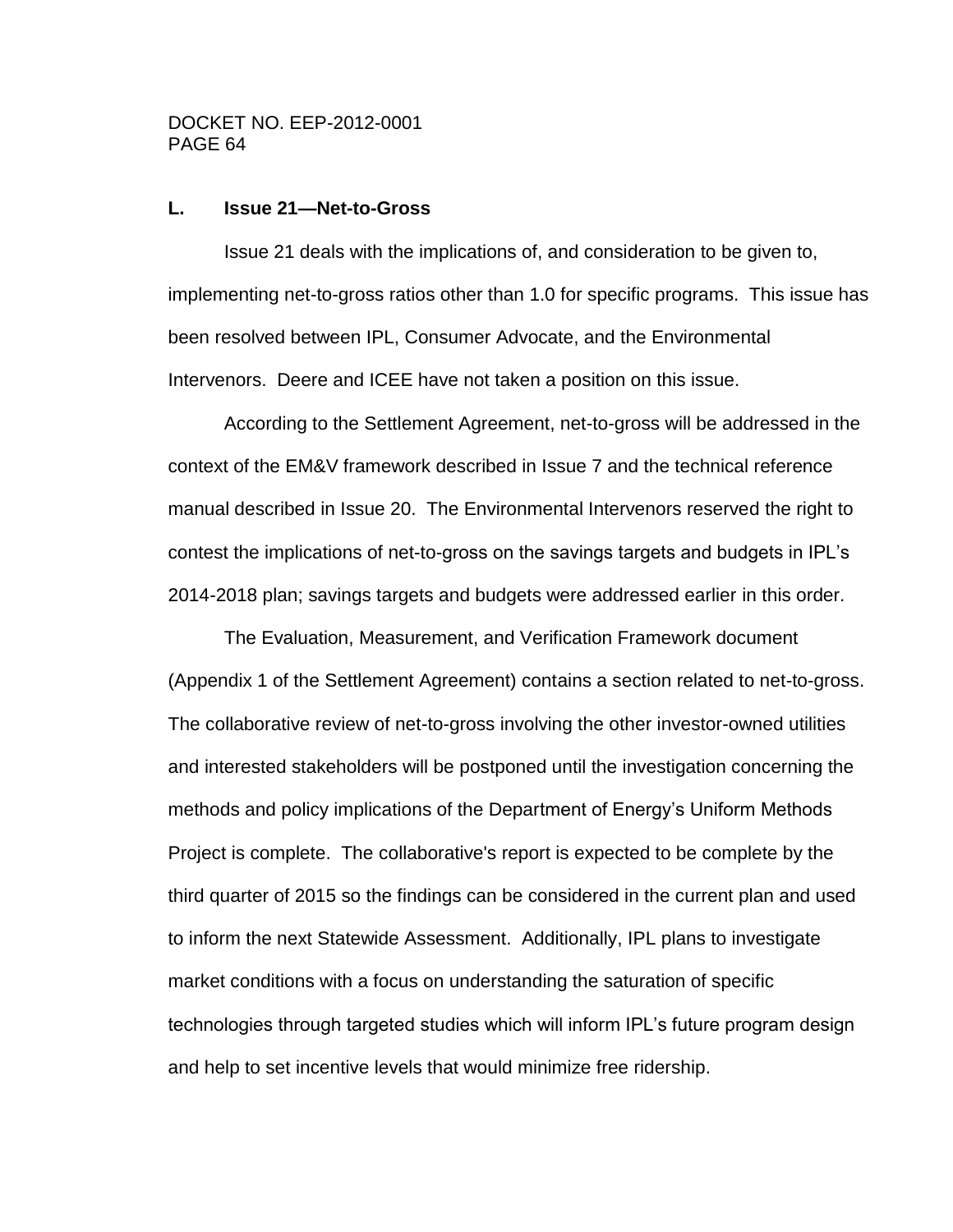#### **L. Issue 21—Net-to-Gross**

Issue 21 deals with the implications of, and consideration to be given to, implementing net-to-gross ratios other than 1.0 for specific programs. This issue has been resolved between IPL, Consumer Advocate, and the Environmental Intervenors. Deere and ICEE have not taken a position on this issue.

According to the Settlement Agreement, net-to-gross will be addressed in the context of the EM&V framework described in Issue 7 and the technical reference manual described in Issue 20. The Environmental Intervenors reserved the right to contest the implications of net-to-gross on the savings targets and budgets in IPL's 2014-2018 plan; savings targets and budgets were addressed earlier in this order.

The Evaluation, Measurement, and Verification Framework document (Appendix 1 of the Settlement Agreement) contains a section related to net-to-gross. The collaborative review of net-to-gross involving the other investor-owned utilities and interested stakeholders will be postponed until the investigation concerning the methods and policy implications of the Department of Energy's Uniform Methods Project is complete. The collaborative's report is expected to be complete by the third quarter of 2015 so the findings can be considered in the current plan and used to inform the next Statewide Assessment. Additionally, IPL plans to investigate market conditions with a focus on understanding the saturation of specific technologies through targeted studies which will inform IPL's future program design and help to set incentive levels that would minimize free ridership.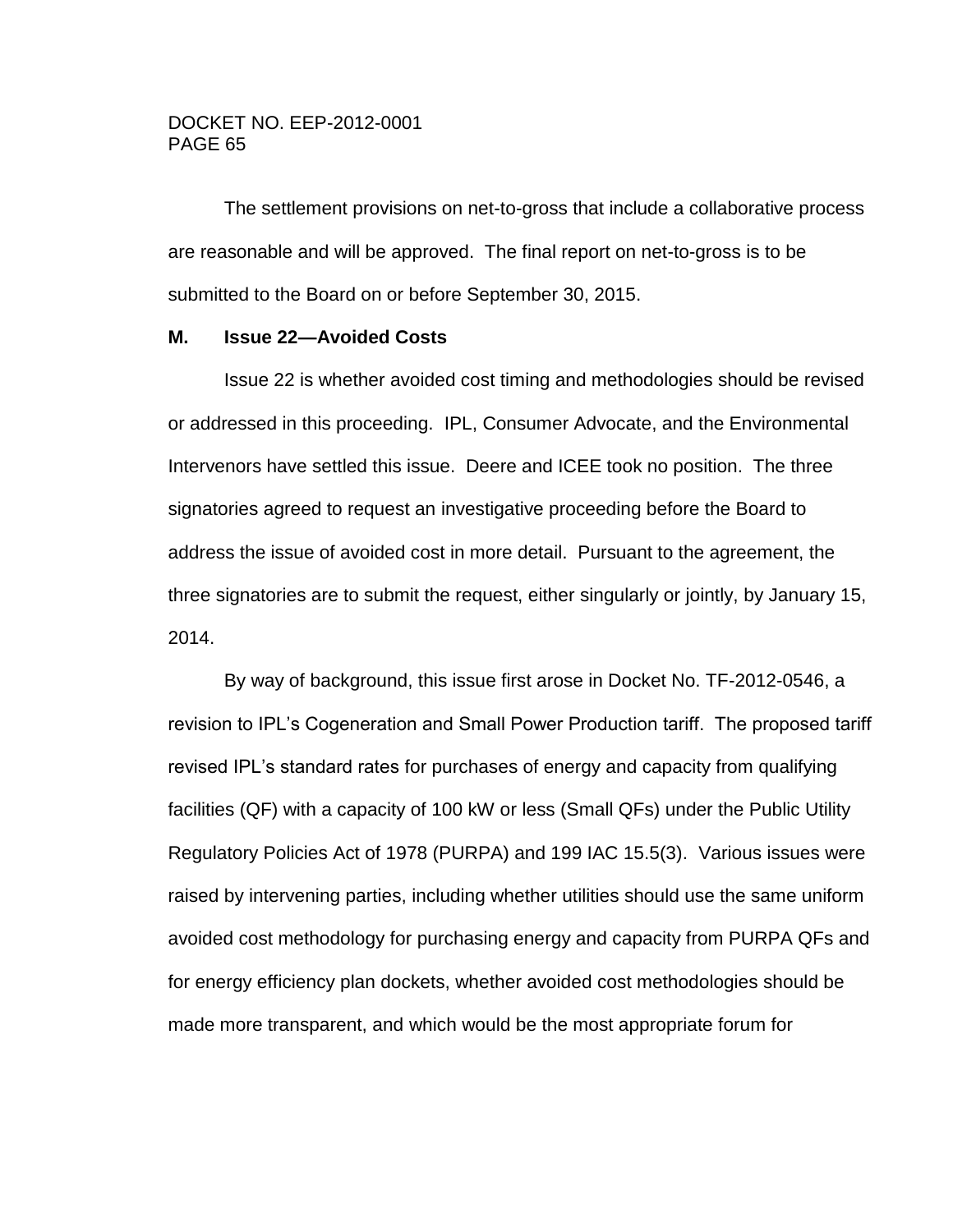The settlement provisions on net-to-gross that include a collaborative process are reasonable and will be approved. The final report on net-to-gross is to be submitted to the Board on or before September 30, 2015.

#### **M. Issue 22—Avoided Costs**

Issue 22 is whether avoided cost timing and methodologies should be revised or addressed in this proceeding. IPL, Consumer Advocate, and the Environmental Intervenors have settled this issue. Deere and ICEE took no position. The three signatories agreed to request an investigative proceeding before the Board to address the issue of avoided cost in more detail. Pursuant to the agreement, the three signatories are to submit the request, either singularly or jointly, by January 15, 2014.

By way of background, this issue first arose in Docket No. TF-2012-0546, a revision to IPL's Cogeneration and Small Power Production tariff. The proposed tariff revised IPL's standard rates for purchases of energy and capacity from qualifying facilities (QF) with a capacity of 100 kW or less (Small QFs) under the Public Utility Regulatory Policies Act of 1978 (PURPA) and 199 IAC 15.5(3). Various issues were raised by intervening parties, including whether utilities should use the same uniform avoided cost methodology for purchasing energy and capacity from PURPA QFs and for energy efficiency plan dockets, whether avoided cost methodologies should be made more transparent, and which would be the most appropriate forum for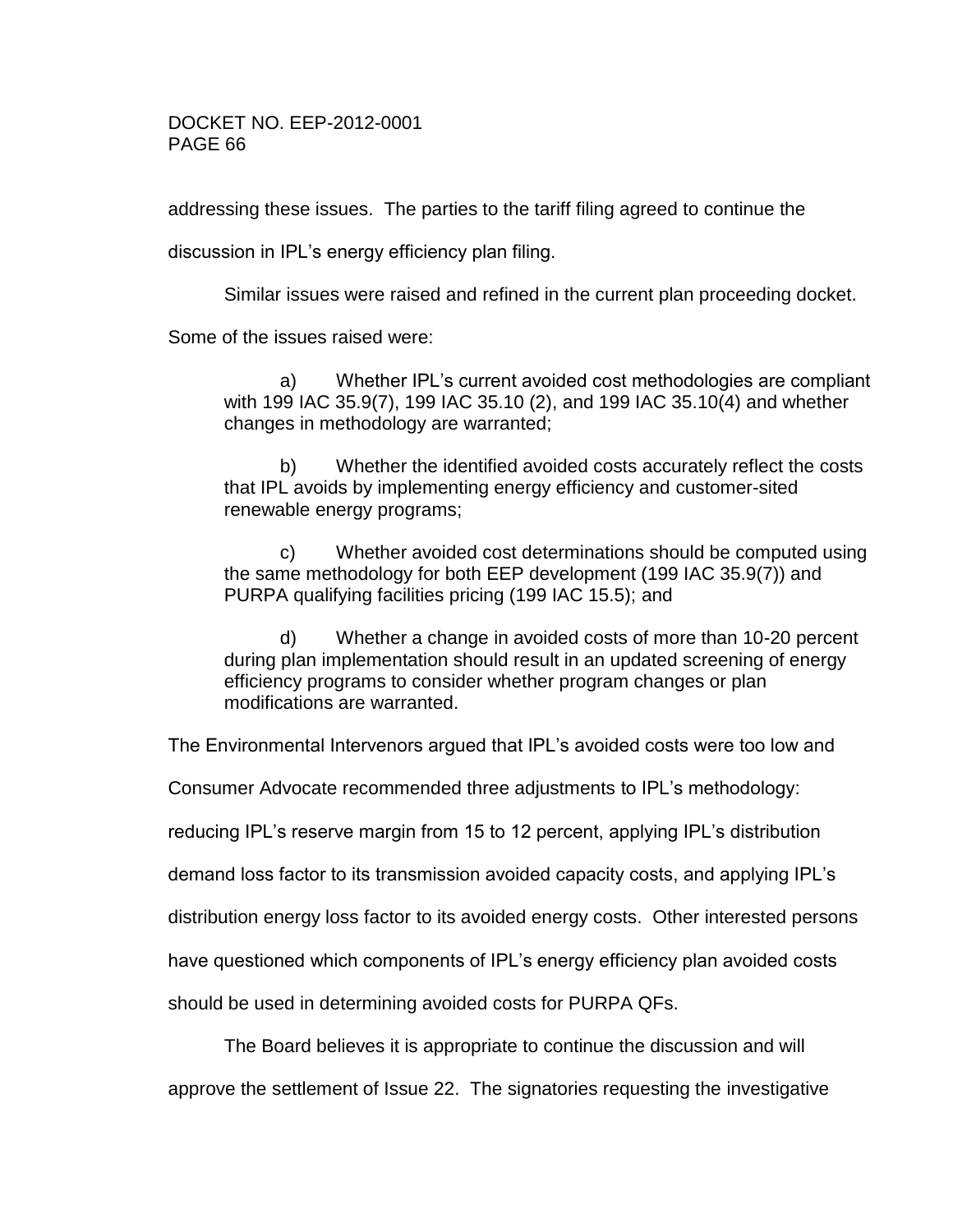addressing these issues. The parties to the tariff filing agreed to continue the

discussion in IPL's energy efficiency plan filing.

Similar issues were raised and refined in the current plan proceeding docket.

Some of the issues raised were:

a) Whether IPL's current avoided cost methodologies are compliant with 199 IAC 35.9(7), 199 IAC 35.10 (2), and 199 IAC 35.10(4) and whether changes in methodology are warranted;

b) Whether the identified avoided costs accurately reflect the costs that IPL avoids by implementing energy efficiency and customer-sited renewable energy programs;

c) Whether avoided cost determinations should be computed using the same methodology for both EEP development (199 IAC 35.9(7)) and PURPA qualifying facilities pricing (199 IAC 15.5); and

d) Whether a change in avoided costs of more than 10-20 percent during plan implementation should result in an updated screening of energy efficiency programs to consider whether program changes or plan modifications are warranted.

The Environmental Intervenors argued that IPL's avoided costs were too low and

Consumer Advocate recommended three adjustments to IPL's methodology:

reducing IPL's reserve margin from 15 to 12 percent, applying IPL's distribution

demand loss factor to its transmission avoided capacity costs, and applying IPL's

distribution energy loss factor to its avoided energy costs. Other interested persons

have questioned which components of IPL's energy efficiency plan avoided costs

should be used in determining avoided costs for PURPA QFs.

The Board believes it is appropriate to continue the discussion and will

approve the settlement of Issue 22. The signatories requesting the investigative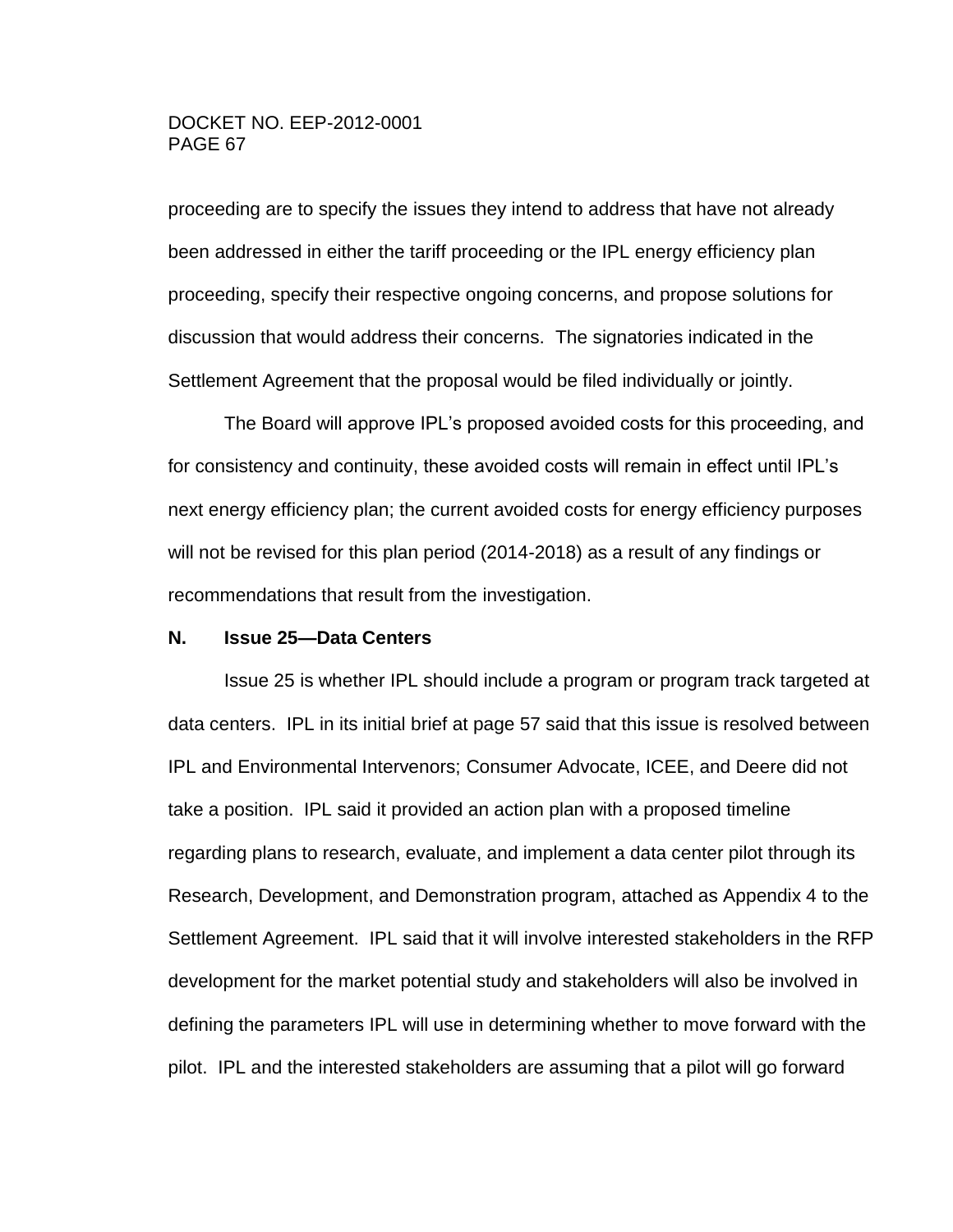proceeding are to specify the issues they intend to address that have not already been addressed in either the tariff proceeding or the IPL energy efficiency plan proceeding, specify their respective ongoing concerns, and propose solutions for discussion that would address their concerns. The signatories indicated in the Settlement Agreement that the proposal would be filed individually or jointly.

The Board will approve IPL's proposed avoided costs for this proceeding, and for consistency and continuity, these avoided costs will remain in effect until IPL's next energy efficiency plan; the current avoided costs for energy efficiency purposes will not be revised for this plan period (2014-2018) as a result of any findings or recommendations that result from the investigation.

#### **N. Issue 25—Data Centers**

Issue 25 is whether IPL should include a program or program track targeted at data centers. IPL in its initial brief at page 57 said that this issue is resolved between IPL and Environmental Intervenors; Consumer Advocate, ICEE, and Deere did not take a position. IPL said it provided an action plan with a proposed timeline regarding plans to research, evaluate, and implement a data center pilot through its Research, Development, and Demonstration program, attached as Appendix 4 to the Settlement Agreement. IPL said that it will involve interested stakeholders in the RFP development for the market potential study and stakeholders will also be involved in defining the parameters IPL will use in determining whether to move forward with the pilot. IPL and the interested stakeholders are assuming that a pilot will go forward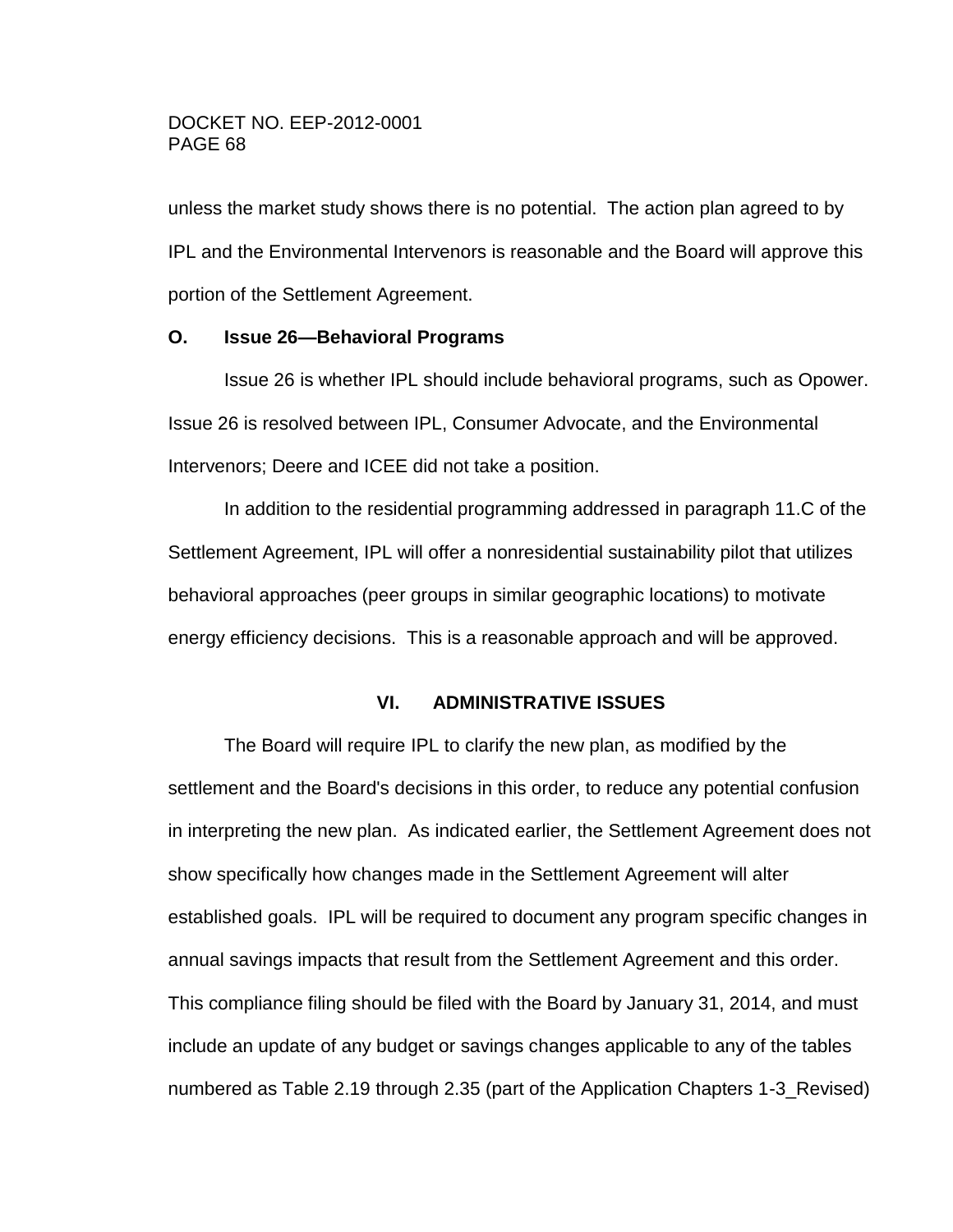unless the market study shows there is no potential. The action plan agreed to by IPL and the Environmental Intervenors is reasonable and the Board will approve this portion of the Settlement Agreement.

#### **O. Issue 26—Behavioral Programs**

Issue 26 is whether IPL should include behavioral programs, such as Opower. Issue 26 is resolved between IPL, Consumer Advocate, and the Environmental Intervenors; Deere and ICEE did not take a position.

In addition to the residential programming addressed in paragraph 11.C of the Settlement Agreement, IPL will offer a nonresidential sustainability pilot that utilizes behavioral approaches (peer groups in similar geographic locations) to motivate energy efficiency decisions. This is a reasonable approach and will be approved.

# **VI. ADMINISTRATIVE ISSUES**

The Board will require IPL to clarify the new plan, as modified by the settlement and the Board's decisions in this order, to reduce any potential confusion in interpreting the new plan. As indicated earlier, the Settlement Agreement does not show specifically how changes made in the Settlement Agreement will alter established goals. IPL will be required to document any program specific changes in annual savings impacts that result from the Settlement Agreement and this order. This compliance filing should be filed with the Board by January 31, 2014, and must include an update of any budget or savings changes applicable to any of the tables numbered as Table 2.19 through 2.35 (part of the Application Chapters 1-3\_Revised)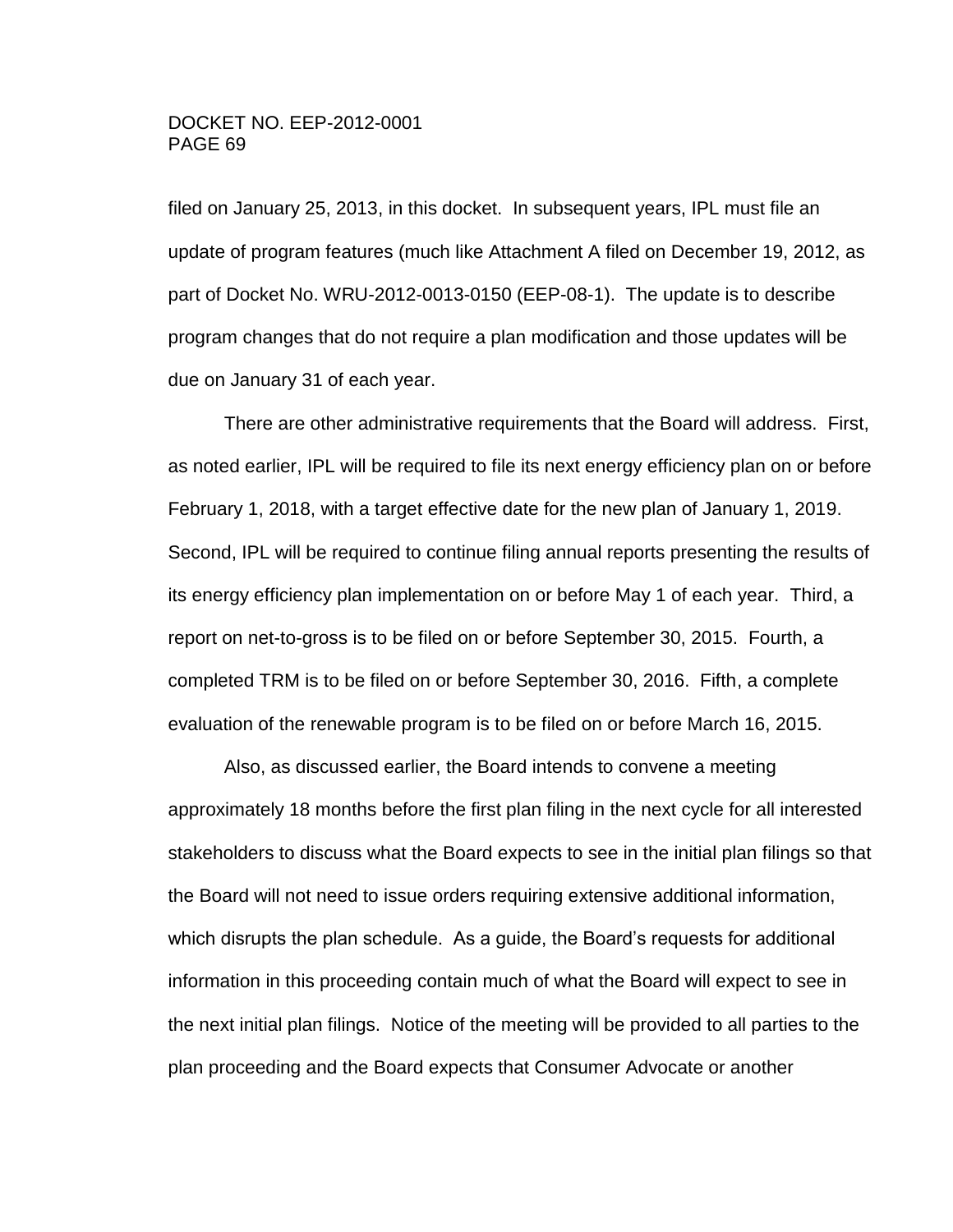filed on January 25, 2013, in this docket. In subsequent years, IPL must file an update of program features (much like Attachment A filed on December 19, 2012, as part of Docket No. WRU-2012-0013-0150 (EEP-08-1). The update is to describe program changes that do not require a plan modification and those updates will be due on January 31 of each year.

There are other administrative requirements that the Board will address. First, as noted earlier, IPL will be required to file its next energy efficiency plan on or before February 1, 2018, with a target effective date for the new plan of January 1, 2019. Second, IPL will be required to continue filing annual reports presenting the results of its energy efficiency plan implementation on or before May 1 of each year. Third, a report on net-to-gross is to be filed on or before September 30, 2015. Fourth, a completed TRM is to be filed on or before September 30, 2016. Fifth, a complete evaluation of the renewable program is to be filed on or before March 16, 2015.

Also, as discussed earlier, the Board intends to convene a meeting approximately 18 months before the first plan filing in the next cycle for all interested stakeholders to discuss what the Board expects to see in the initial plan filings so that the Board will not need to issue orders requiring extensive additional information, which disrupts the plan schedule. As a guide, the Board's requests for additional information in this proceeding contain much of what the Board will expect to see in the next initial plan filings. Notice of the meeting will be provided to all parties to the plan proceeding and the Board expects that Consumer Advocate or another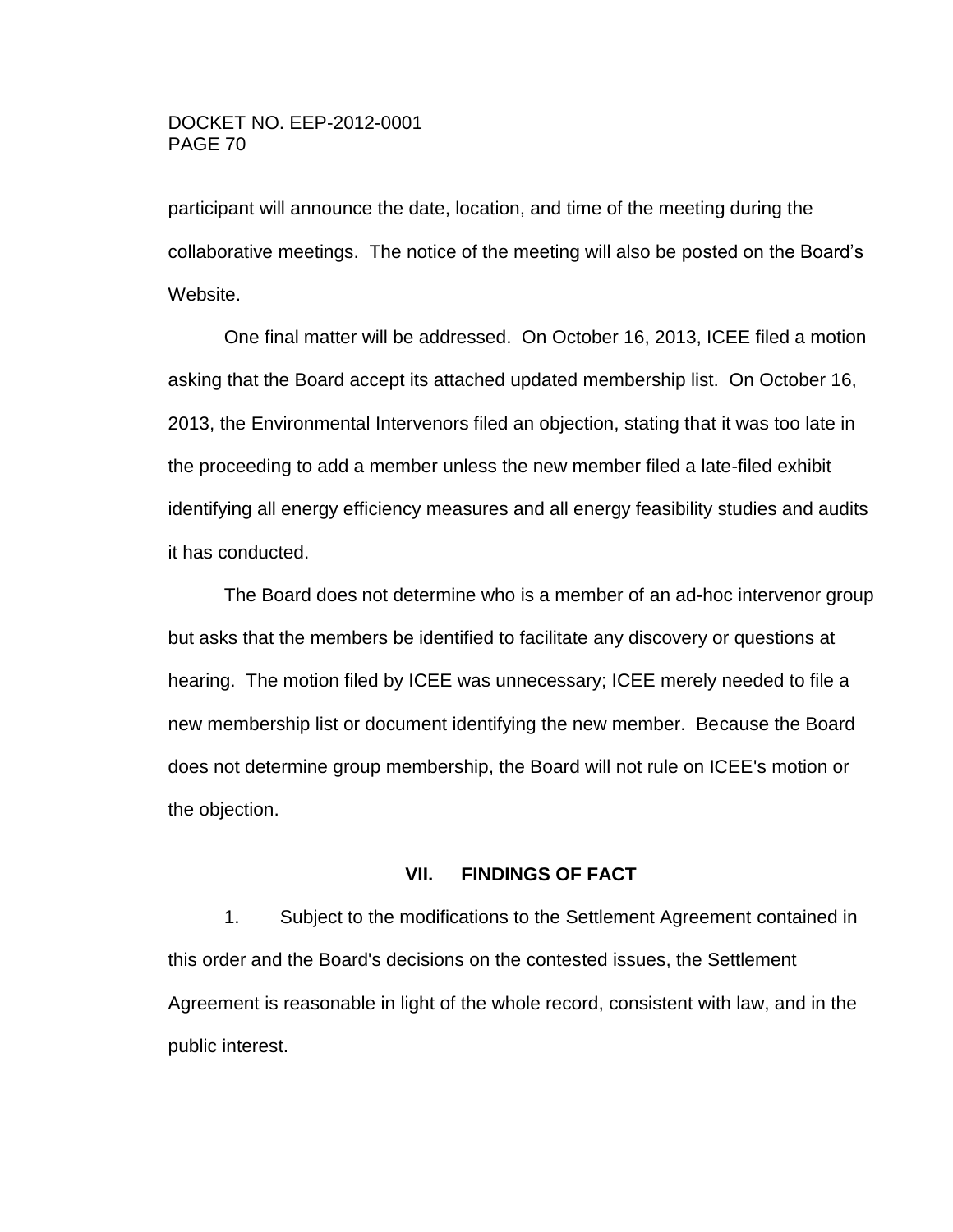participant will announce the date, location, and time of the meeting during the collaborative meetings. The notice of the meeting will also be posted on the Board's Website.

One final matter will be addressed. On October 16, 2013, ICEE filed a motion asking that the Board accept its attached updated membership list. On October 16, 2013, the Environmental Intervenors filed an objection, stating that it was too late in the proceeding to add a member unless the new member filed a late-filed exhibit identifying all energy efficiency measures and all energy feasibility studies and audits it has conducted.

The Board does not determine who is a member of an ad-hoc intervenor group but asks that the members be identified to facilitate any discovery or questions at hearing. The motion filed by ICEE was unnecessary; ICEE merely needed to file a new membership list or document identifying the new member. Because the Board does not determine group membership, the Board will not rule on ICEE's motion or the objection.

#### **VII. FINDINGS OF FACT**

1. Subject to the modifications to the Settlement Agreement contained in this order and the Board's decisions on the contested issues, the Settlement Agreement is reasonable in light of the whole record, consistent with law, and in the public interest.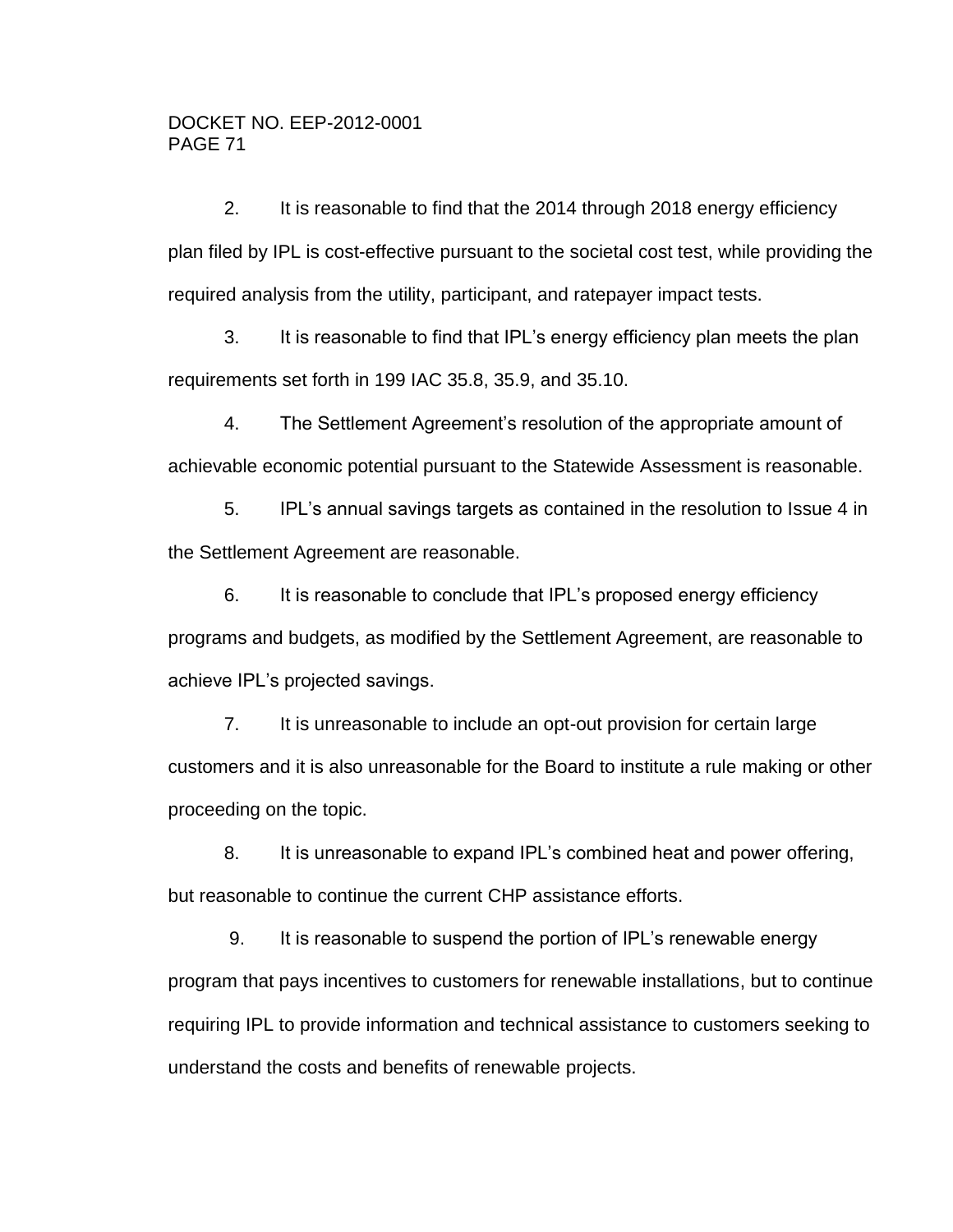2. It is reasonable to find that the 2014 through 2018 energy efficiency plan filed by IPL is cost-effective pursuant to the societal cost test, while providing the required analysis from the utility, participant, and ratepayer impact tests.

3. It is reasonable to find that IPL's energy efficiency plan meets the plan requirements set forth in 199 IAC 35.8, 35.9, and 35.10.

4. The Settlement Agreement's resolution of the appropriate amount of achievable economic potential pursuant to the Statewide Assessment is reasonable.

5. IPL's annual savings targets as contained in the resolution to Issue 4 in the Settlement Agreement are reasonable.

6. It is reasonable to conclude that IPL's proposed energy efficiency programs and budgets, as modified by the Settlement Agreement, are reasonable to achieve IPL's projected savings.

7. It is unreasonable to include an opt-out provision for certain large customers and it is also unreasonable for the Board to institute a rule making or other proceeding on the topic.

8. It is unreasonable to expand IPL's combined heat and power offering, but reasonable to continue the current CHP assistance efforts.

9. It is reasonable to suspend the portion of IPL's renewable energy program that pays incentives to customers for renewable installations, but to continue requiring IPL to provide information and technical assistance to customers seeking to understand the costs and benefits of renewable projects.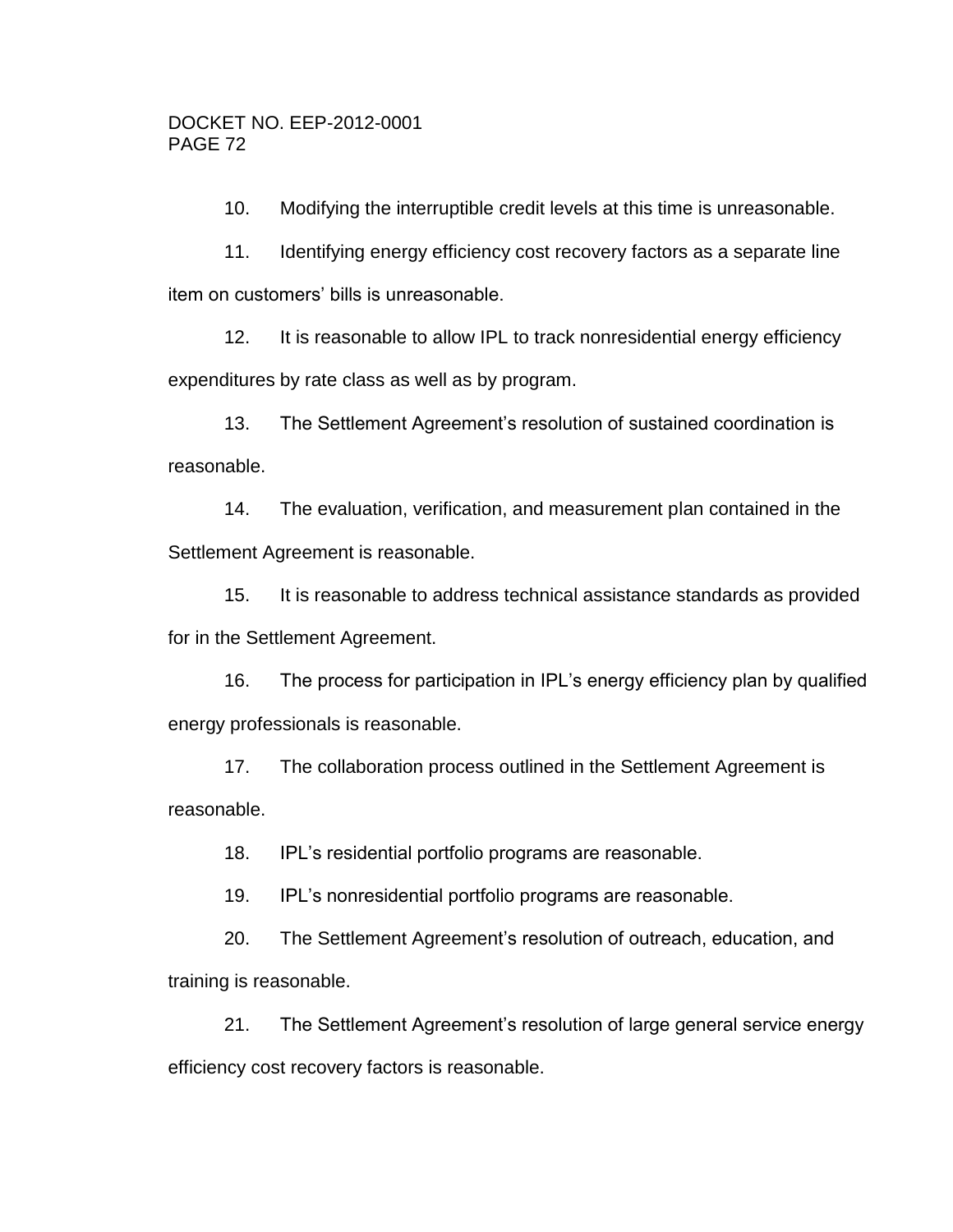10. Modifying the interruptible credit levels at this time is unreasonable.

11. Identifying energy efficiency cost recovery factors as a separate line item on customers' bills is unreasonable.

12. It is reasonable to allow IPL to track nonresidential energy efficiency expenditures by rate class as well as by program.

13. The Settlement Agreement's resolution of sustained coordination is reasonable.

14. The evaluation, verification, and measurement plan contained in the Settlement Agreement is reasonable.

15. It is reasonable to address technical assistance standards as provided for in the Settlement Agreement.

16. The process for participation in IPL's energy efficiency plan by qualified energy professionals is reasonable.

17. The collaboration process outlined in the Settlement Agreement is reasonable.

18. IPL's residential portfolio programs are reasonable.

19. IPL's nonresidential portfolio programs are reasonable.

20. The Settlement Agreement's resolution of outreach, education, and training is reasonable.

21. The Settlement Agreement's resolution of large general service energy efficiency cost recovery factors is reasonable.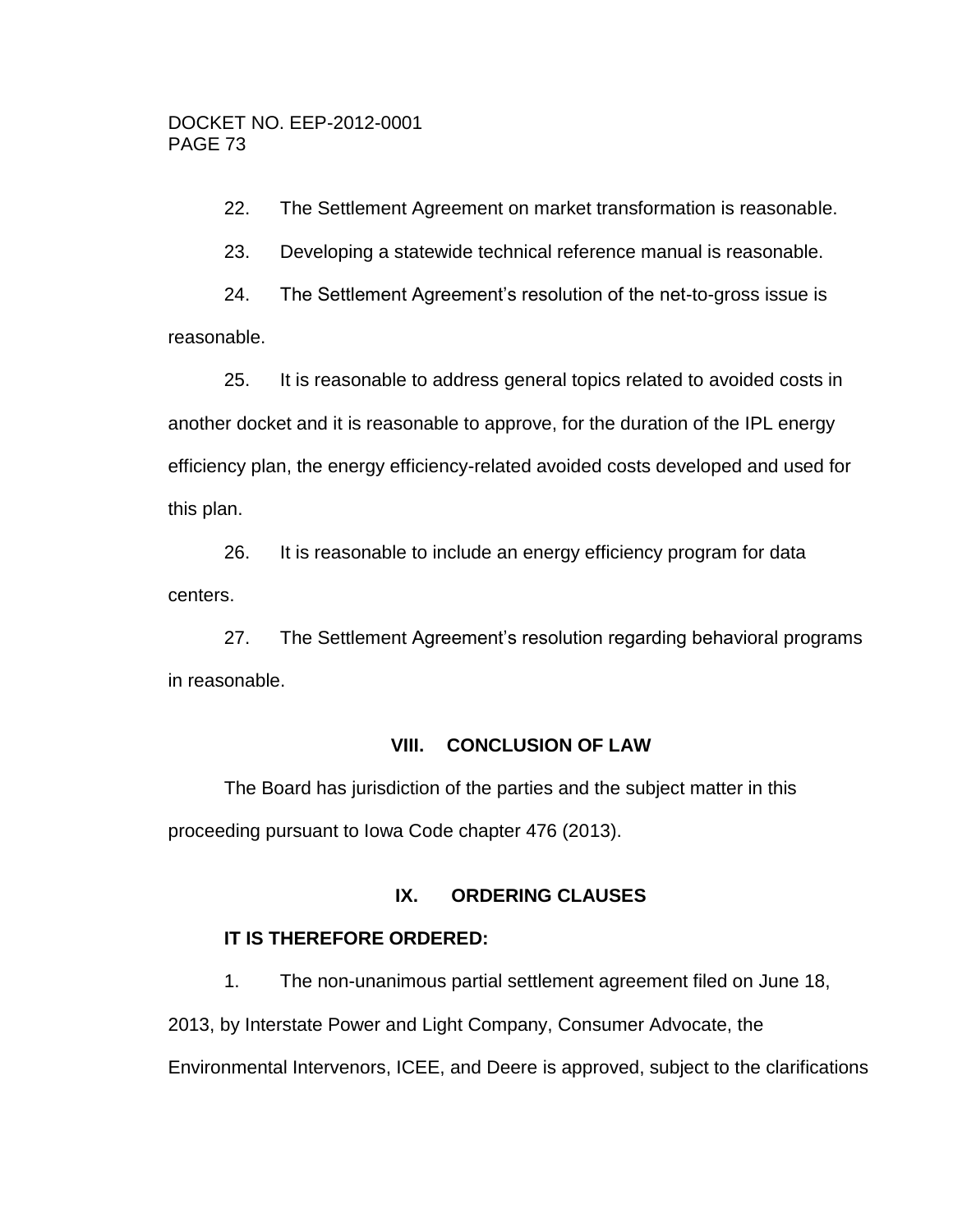22. The Settlement Agreement on market transformation is reasonable.

23. Developing a statewide technical reference manual is reasonable.

24. The Settlement Agreement's resolution of the net-to-gross issue is reasonable.

25. It is reasonable to address general topics related to avoided costs in another docket and it is reasonable to approve, for the duration of the IPL energy efficiency plan, the energy efficiency-related avoided costs developed and used for this plan.

26. It is reasonable to include an energy efficiency program for data centers.

27. The Settlement Agreement's resolution regarding behavioral programs in reasonable.

## **VIII. CONCLUSION OF LAW**

The Board has jurisdiction of the parties and the subject matter in this proceeding pursuant to Iowa Code chapter 476 (2013).

## **IX. ORDERING CLAUSES**

## **IT IS THEREFORE ORDERED:**

1. The non-unanimous partial settlement agreement filed on June 18,

2013, by Interstate Power and Light Company, Consumer Advocate, the

Environmental Intervenors, ICEE, and Deere is approved, subject to the clarifications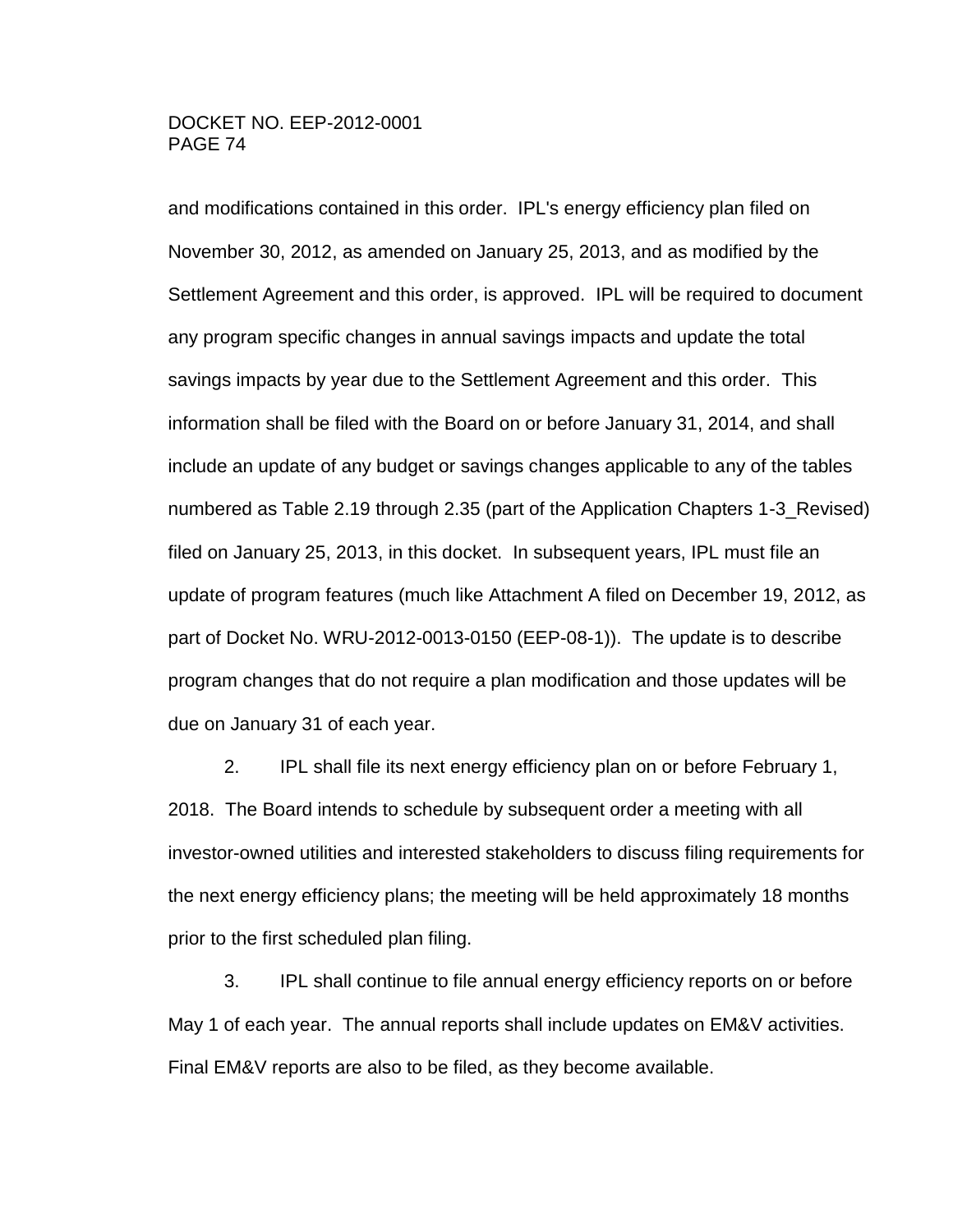#### DOCKET NO. EEP-2012-0001 PAGE 74

and modifications contained in this order. IPL's energy efficiency plan filed on November 30, 2012, as amended on January 25, 2013, and as modified by the Settlement Agreement and this order, is approved. IPL will be required to document any program specific changes in annual savings impacts and update the total savings impacts by year due to the Settlement Agreement and this order. This information shall be filed with the Board on or before January 31, 2014, and shall include an update of any budget or savings changes applicable to any of the tables numbered as Table 2.19 through 2.35 (part of the Application Chapters 1-3\_Revised) filed on January 25, 2013, in this docket. In subsequent years, IPL must file an update of program features (much like Attachment A filed on December 19, 2012, as part of Docket No. WRU-2012-0013-0150 (EEP-08-1)). The update is to describe program changes that do not require a plan modification and those updates will be due on January 31 of each year.

2. IPL shall file its next energy efficiency plan on or before February 1, 2018. The Board intends to schedule by subsequent order a meeting with all investor-owned utilities and interested stakeholders to discuss filing requirements for the next energy efficiency plans; the meeting will be held approximately 18 months prior to the first scheduled plan filing.

3. IPL shall continue to file annual energy efficiency reports on or before May 1 of each year. The annual reports shall include updates on EM&V activities. Final EM&V reports are also to be filed, as they become available.